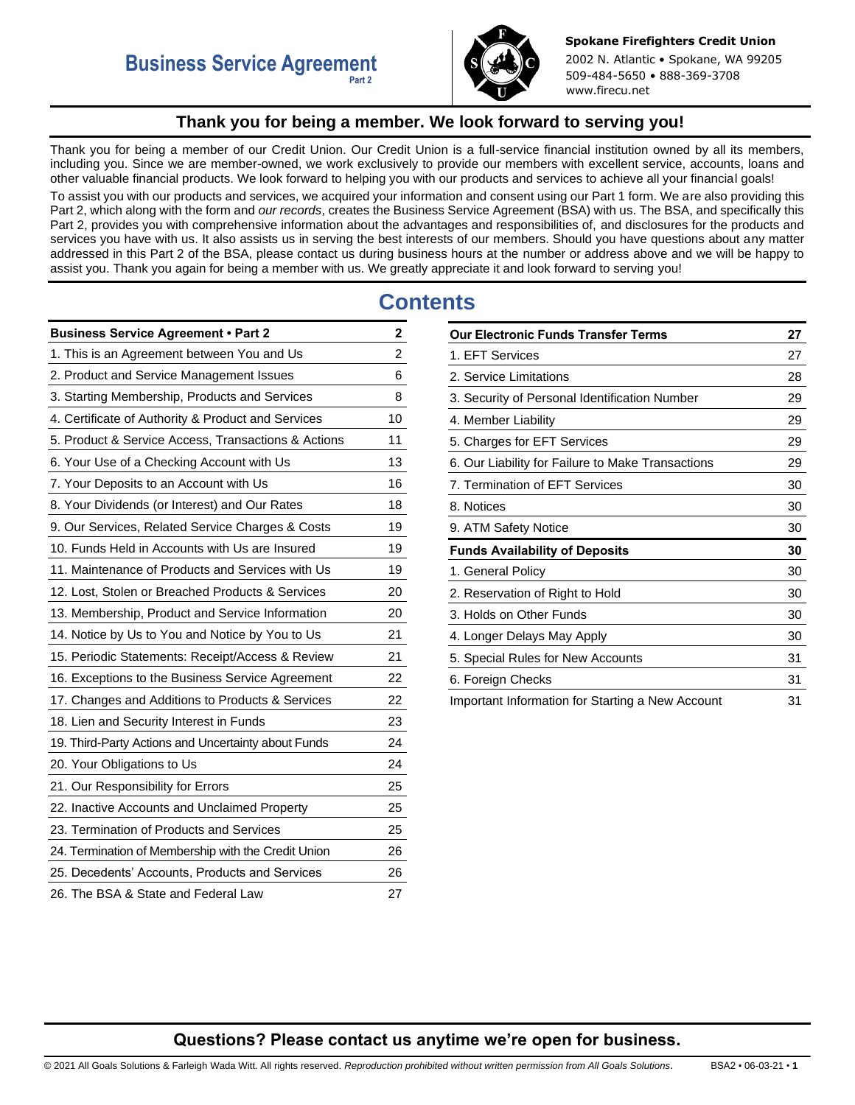

**Spokane Firefighters Credit Union** 2002 N. Atlantic • Spokane, WA 99205 509-484-5650 • 888-369-3708 www.firecu.net

# **Thank you for being a member. We look forward to serving you!**

<span id="page-0-0"></span>Thank you for being a member of our Credit Union. Our Credit Union is a full-service financial institution owned by all its members, including you. Since we are member-owned, we work exclusively to provide our members with excellent service, accounts, loans and other valuable financial products. We look forward to helping you with our products and services to achieve all your financial goals!

To assist you with our products and services, we acquired your information and consent using our Part 1 form. We are also providing this Part 2, which along with the form and *our records*, creates the Business Service Agreement (BSA) with us. The BSA, and specifically this Part 2, provides you with comprehensive information about the advantages and responsibilities of, and disclosures for the products and services you have with us. It also assists us in serving the best interests of our members. Should you have questions about any matter addressed in this Part 2 of the BSA, please contact us during business hours at the number or address above and we will be happy to assist you. Thank you again for being a member with us. We greatly appreciate it and look forward to serving you!

# **Contents**

| <b>Business Service Agreement . Part 2</b>          | 2                       |
|-----------------------------------------------------|-------------------------|
| 1. This is an Agreement between You and Us          | $\overline{\mathbf{c}}$ |
| 2. Product and Service Management Issues            | 6                       |
| 3. Starting Membership, Products and Services       | 8                       |
| 4. Certificate of Authority & Product and Services  | 10                      |
| 5. Product & Service Access, Transactions & Actions | 11                      |
| 6. Your Use of a Checking Account with Us           | 13                      |
| 7. Your Deposits to an Account with Us              | 16                      |
| 8. Your Dividends (or Interest) and Our Rates       | 18                      |
| 9. Our Services, Related Service Charges & Costs    | 19                      |
| 10. Funds Held in Accounts with Us are Insured      | 19                      |
| 11. Maintenance of Products and Services with Us    | 19                      |
| 12. Lost, Stolen or Breached Products & Services    | 20                      |
| 13. Membership, Product and Service Information     | 20                      |
| 14. Notice by Us to You and Notice by You to Us     | 21                      |
| 15. Periodic Statements: Receipt/Access & Review    | 21                      |
| 16. Exceptions to the Business Service Agreement    | 22                      |
| 17. Changes and Additions to Products & Services    | 22                      |
| 18. Lien and Security Interest in Funds             | 23                      |
| 19. Third-Party Actions and Uncertainty about Funds | 24                      |
| 20. Your Obligations to Us                          | 24                      |
| 21. Our Responsibility for Errors                   | 25                      |
| 22. Inactive Accounts and Unclaimed Property        | 25                      |
| 23. Termination of Products and Services            | 25                      |
| 24. Termination of Membership with the Credit Union | 26                      |
| 25. Decedents' Accounts, Products and Services      | 26                      |
| 26. The BSA & State and Federal Law                 | 27                      |

| <b>Our Electronic Funds Transfer Terms</b>        | 27 |
|---------------------------------------------------|----|
| 1. EFT Services                                   | 27 |
| 2. Service Limitations                            | 28 |
| 3. Security of Personal Identification Number     | 29 |
| 4. Member Liability                               | 29 |
| 5. Charges for EFT Services                       | 29 |
| 6. Our Liability for Failure to Make Transactions | 29 |
| 7. Termination of EFT Services                    | 30 |
| 8. Notices                                        | 30 |
| 9. ATM Safety Notice                              | 30 |
| <b>Funds Availability of Deposits</b>             | 30 |
| 1. General Policy                                 | 30 |
| 2. Reservation of Right to Hold                   | 30 |
| 3. Holds on Other Funds                           | 30 |
| 4. Longer Delays May Apply                        | 30 |
| 5. Special Rules for New Accounts                 | 31 |
| 6. Foreign Checks                                 | 31 |
| Important Information for Starting a New Account  | 31 |

# **Questions? Please contact us anytime we're open for business.**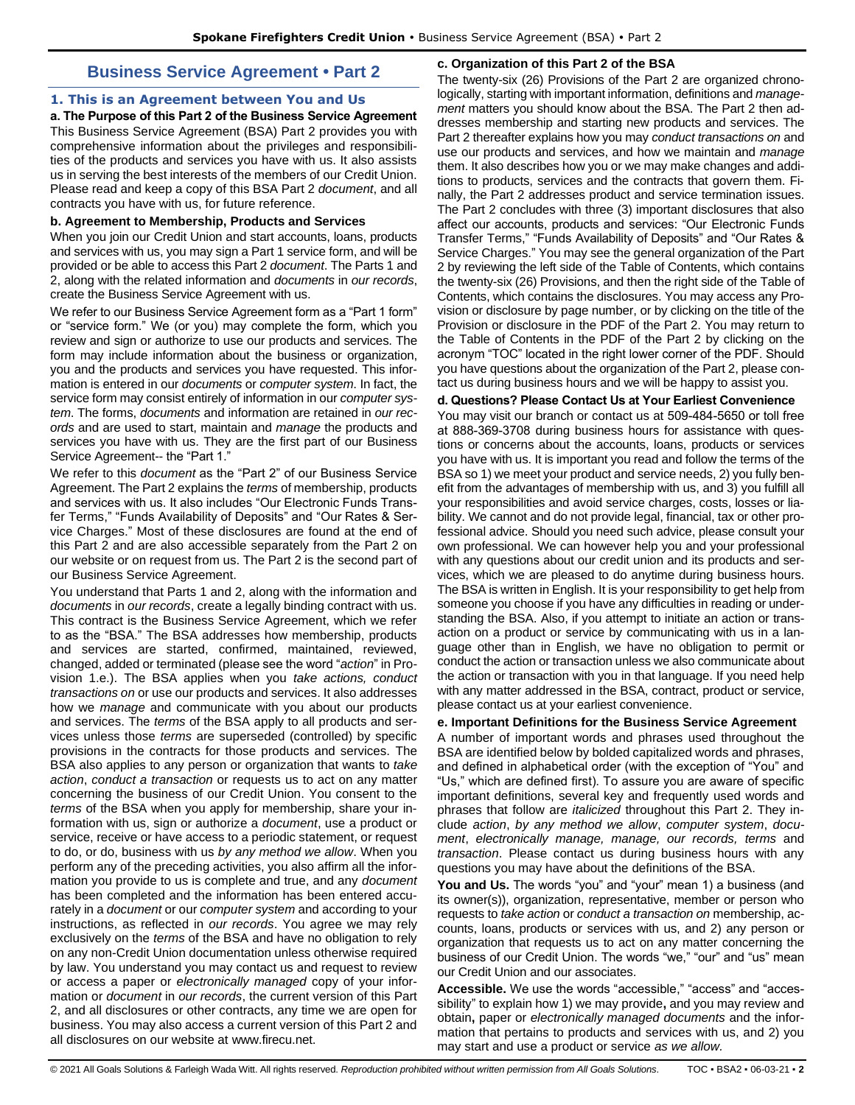# **Business Service Agreement • Part 2**

## <span id="page-1-1"></span><span id="page-1-0"></span>**1. This is an Agreement between You and Us**

**a. The Purpose of this Part 2 of the Business Service Agreement**  This Business Service Agreement (BSA) Part 2 provides you with comprehensive information about the privileges and responsibilities of the products and services you have with us. It also assists us in serving the best interests of the members of our Credit Union. Please read and keep a copy of this BSA Part 2 *document*, and all contracts you have with us, for future reference.

#### **b. Agreement to Membership, Products and Services**

When you join our Credit Union and start accounts, loans, products and services with us, you may sign a Part 1 service form, and will be provided or be able to access this Part 2 *document*. The Parts 1 and 2, along with the related information and *documents* in *our records*, create the Business Service Agreement with us.

We refer to our Business Service Agreement form as a "Part 1 form" or "service form." We (or you) may complete the form, which you review and sign or authorize to use our products and services. The form may include information about the business or organization, you and the products and services you have requested. This information is entered in our *documents* or *computer system*. In fact, the service form may consist entirely of information in our *computer system*. The forms, *documents* and information are retained in *our records* and are used to start, maintain and *manage* the products and services you have with us. They are the first part of our Business Service Agreement-- the "Part 1."

We refer to this *document* as the "Part 2" of our Business Service Agreement. The Part 2 explains the *terms* of membership, products and services with us. It also includes "Our Electronic Funds Transfer Terms," "Funds Availability of Deposits" and "Our Rates & Service Charges." Most of these disclosures are found at the end of this Part 2 and are also accessible separately from the Part 2 on our website or on request from us. The Part 2 is the second part of our Business Service Agreement.

You understand that Parts 1 and 2, along with the information and *documents* in *our records*, create a legally binding contract with us. This contract is the Business Service Agreement, which we refer to as the "BSA." The BSA addresses how membership, products and services are started, confirmed, maintained, reviewed, changed, added or terminated (please see the word "*action*" in Provision 1.e.). The BSA applies when you *take actions, conduct transactions on* or use our products and services. It also addresses how we *manage* and communicate with you about our products and services. The *terms* of the BSA apply to all products and services unless those *terms* are superseded (controlled) by specific provisions in the contracts for those products and services. The BSA also applies to any person or organization that wants to *take action*, *conduct a transaction* or requests us to act on any matter concerning the business of our Credit Union. You consent to the *terms* of the BSA when you apply for membership, share your information with us, sign or authorize a *document*, use a product or service, receive or have access to a periodic statement, or request to do, or do, business with us *by any method we allow*. When you perform any of the preceding activities, you also affirm all the information you provide to us is complete and true, and any *document* has been completed and the information has been entered accurately in a *document* or our *computer system* and according to your instructions, as reflected in *our records*. You agree we may rely exclusively on the *terms* of the BSA and have no obligation to rely on any non-Credit Union documentation unless otherwise required by law. You understand you may contact us and request to review or access a paper or *electronically managed* copy of your information or *document* in *our records*, the current version of this Part 2, and all disclosures or other contracts, any time we are open for business. You may also access a current version of this Part 2 and all disclosures on our website at www.firecu.net.

## **c. Organization of this Part 2 of the BSA**

The twenty-six (26) Provisions of the Part 2 are organized chronologically, starting with important information, definitions and *management* matters you should know about the BSA. The Part 2 then addresses membership and starting new products and services. The Part 2 thereafter explains how you may *conduct transactions on* and use our products and services, and how we maintain and *manage*  them. It also describes how you or we may make changes and additions to products, services and the contracts that govern them. Finally, the Part 2 addresses product and service termination issues. The Part 2 concludes with three (3) important disclosures that also affect our accounts, products and services: "Our Electronic Funds Transfer Terms," "Funds Availability of Deposits" and "Our Rates & Service Charges." You may see the general organization of the Part 2 by reviewing the left side of the Table of Contents, which contains the twenty-six (26) Provisions, and then the right side of the Table of Contents, which contains the disclosures. You may access any Provision or disclosure by page number, or by clicking on the title of the Provision or disclosure in the PDF of the Part 2. You may return to the Table of Contents in the PDF of the Part 2 by clicking on the acronym "TOC" located in the right lower corner of the PDF. Should you have questions about the organization of the Part 2, please contact us during business hours and we will be happy to assist you.

## **d. Questions? Please Contact Us at Your Earliest Convenience**

You may visit our branch or contact us at 509-484-5650 or toll free at 888-369-3708 during business hours for assistance with questions or concerns about the accounts, loans, products or services you have with us. It is important you read and follow the terms of the BSA so 1) we meet your product and service needs, 2) you fully benefit from the advantages of membership with us, and 3) you fulfill all your responsibilities and avoid service charges, costs, losses or liability. We cannot and do not provide legal, financial, tax or other professional advice. Should you need such advice, please consult your own professional. We can however help you and your professional with any questions about our credit union and its products and services, which we are pleased to do anytime during business hours. The BSA is written in English. It is your responsibility to get help from someone you choose if you have any difficulties in reading or understanding the BSA. Also, if you attempt to initiate an action or transaction on a product or service by communicating with us in a language other than in English, we have no obligation to permit or conduct the action or transaction unless we also communicate about the action or transaction with you in that language. If you need help with any matter addressed in the BSA, contract, product or service, please contact us at your earliest convenience.

## **e. Important Definitions for the Business Service Agreement**

A number of important words and phrases used throughout the BSA are identified below by bolded capitalized words and phrases, and defined in alphabetical order (with the exception of "You" and "Us," which are defined first). To assure you are aware of specific important definitions, several key and frequently used words and phrases that follow are *italicized* throughout this Part 2. They include *action*, *by any method we allow*, *computer system*, *document*, *electronically manage, manage, our records, terms* and *transaction*. Please contact us during business hours with any questions you may have about the definitions of the BSA.

**You and Us.** The words "you" and "your" mean 1) a business (and its owner(s)), organization, representative, member or person who requests to *take action* or *conduct a transaction on* membership, accounts, loans, products or services with us, and 2) any person or organization that requests us to act on any matter concerning the business of our Credit Union. The words "we," "our" and "us" mean our Credit Union and our associates.

**Accessible.** We use the words "accessible," "access" and "accessibility" to explain how 1) we may provide**,** and you may review and obtain**,** paper or *electronically managed documents* and the information that pertains to products and services with us, and 2) you may start and use a product or service *as we allow.*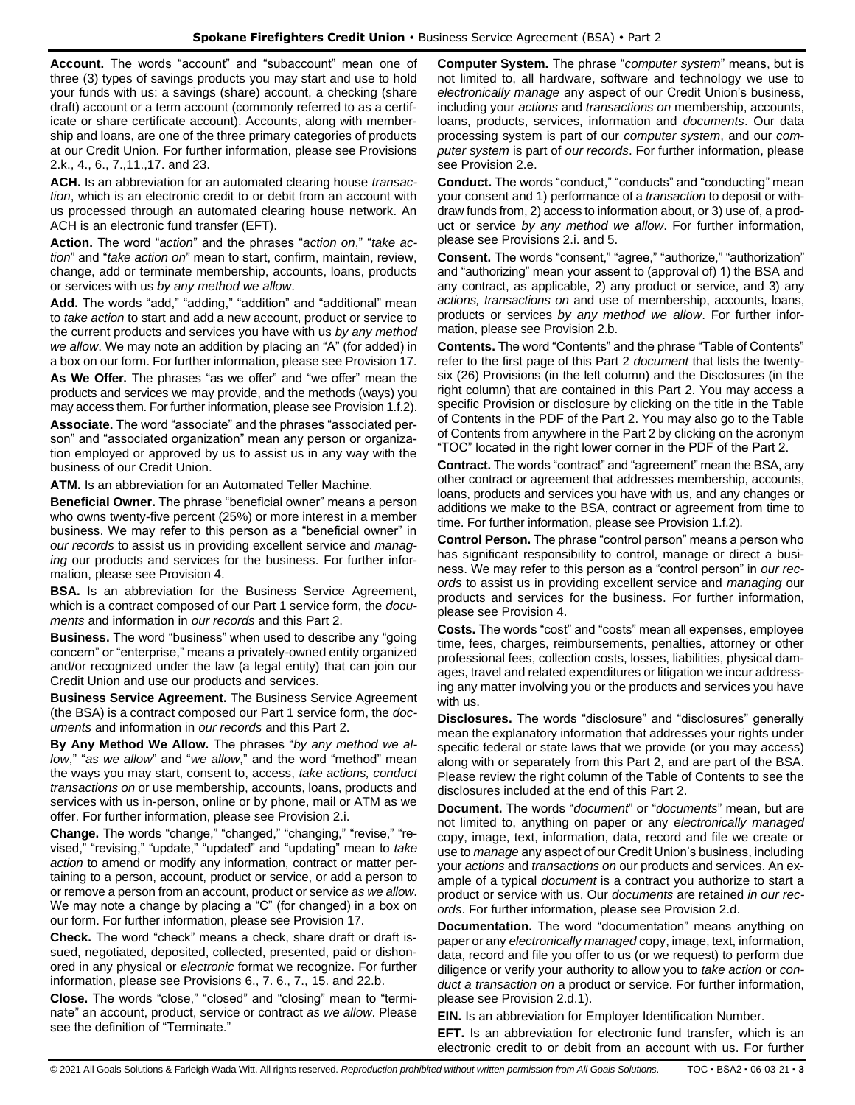**Account.** The words "account" and "subaccount" mean one of three (3) types of savings products you may start and use to hold your funds with us: a savings (share) account, a checking (share draft) account or a term account (commonly referred to as a certificate or share certificate account). Accounts, along with membership and loans, are one of the three primary categories of products at our Credit Union. For further information, please see Provisions 2.k., 4., 6., 7.,11.,17. and 23.

**ACH.** Is an abbreviation for an automated clearing house *transaction*, which is an electronic credit to or debit from an account with us processed through an automated clearing house network. An ACH is an electronic fund transfer (EFT).

**Action.** The word "*action*" and the phrases "*action on*," "*take action*" and "*take action on*" mean to start, confirm, maintain, review, change, add or terminate membership, accounts, loans, products or services with us *by any method we allow*.

**Add.** The words "add," "adding," "addition" and "additional" mean to *take action* to start and add a new account, product or service to the current products and services you have with us *by any method we allow*. We may note an addition by placing an "A" (for added) in a box on our form. For further information, please see Provision 17.

**As We Offer.** The phrases "as we offer" and "we offer" mean the products and services we may provide, and the methods (ways) you may access them. For further information, please see Provision 1.f.2).

**Associate.** The word "associate" and the phrases "associated person" and "associated organization" mean any person or organization employed or approved by us to assist us in any way with the business of our Credit Union.

**ATM.** Is an abbreviation for an Automated Teller Machine.

**Beneficial Owner.** The phrase "beneficial owner" means a person who owns twenty-five percent (25%) or more interest in a member business. We may refer to this person as a "beneficial owner" in *our records* to assist us in providing excellent service and *managing* our products and services for the business. For further information, please see Provision 4.

**BSA.** Is an abbreviation for the Business Service Agreement, which is a contract composed of our Part 1 service form, the *documents* and information in *our records* and this Part 2.

**Business.** The word "business" when used to describe any "going concern" or "enterprise," means a privately-owned entity organized and/or recognized under the law (a legal entity) that can join our Credit Union and use our products and services.

**Business Service Agreement.** The Business Service Agreement (the BSA) is a contract composed our Part 1 service form, the *documents* and information in *our records* and this Part 2.

**By Any Method We Allow.** The phrases "*by any method we allow*," "*as we allow*" and "*we allow*," and the word "method" mean the ways you may start, consent to, access, *take actions, conduct transactions on* or use membership, accounts, loans, products and services with us in-person, online or by phone, mail or ATM as we offer. For further information, please see Provision 2.i.

**Change.** The words "change," "changed," "changing," "revise," "revised," "revising," "update," "updated" and "updating" mean to *take action* to amend or modify any information, contract or matter pertaining to a person, account, product or service, or add a person to or remove a person from an account, product or service *as we allow*. We may note a change by placing a "C" (for changed) in a box on our form. For further information, please see Provision 17.

**Check.** The word "check" means a check, share draft or draft issued, negotiated, deposited, collected, presented, paid or dishonored in any physical or *electronic* format we recognize. For further information, please see Provisions 6., 7. 6., 7., 15. and 22.b.

**Close.** The words "close," "closed" and "closing" mean to "terminate" an account, product, service or contract *as we allow*. Please see the definition of "Terminate."

**Computer System.** The phrase "*computer system*" means, but is not limited to, all hardware, software and technology we use to *electronically manage* any aspect of our Credit Union's business, including your *actions* and *transactions on* membership, accounts, loans, products, services, information and *documents*. Our data processing system is part of our *computer system*, and our *computer system* is part of *our records*. For further information, please see Provision 2.e.

**Conduct.** The words "conduct," "conducts" and "conducting" mean your consent and 1) performance of a *transaction* to deposit or withdraw funds from, 2) access to information about, or 3) use of, a product or service *by any method we allow*. For further information, please see Provisions 2.i. and 5.

**Consent.** The words "consent," "agree," "authorize," "authorization" and "authorizing" mean your assent to (approval of) 1) the BSA and any contract, as applicable, 2) any product or service, and 3) any *actions, transactions on* and use of membership, accounts, loans, products or services *by any method we allow*. For further information, please see Provision 2.b.

**Contents.** The word "Contents" and the phrase "Table of Contents" refer to the first page of this Part 2 *document* that lists the twentysix (26) Provisions (in the left column) and the Disclosures (in the right column) that are contained in this Part 2. You may access a specific Provision or disclosure by clicking on the title in the Table of Contents in the PDF of the Part 2. You may also go to the Table of Contents from anywhere in the Part 2 by clicking on the acronym "TOC" located in the right lower corner in the PDF of the Part 2.

**Contract.** The words "contract" and "agreement" mean the BSA, any other contract or agreement that addresses membership, accounts, loans, products and services you have with us, and any changes or additions we make to the BSA, contract or agreement from time to time. For further information, please see Provision 1.f.2).

**Control Person.** The phrase "control person" means a person who has significant responsibility to control, manage or direct a business. We may refer to this person as a "control person" in *our records* to assist us in providing excellent service and *managing* our products and services for the business. For further information, please see Provision 4.

**Costs.** The words "cost" and "costs" mean all expenses, employee time, fees, charges, reimbursements, penalties, attorney or other professional fees, collection costs, losses, liabilities, physical damages, travel and related expenditures or litigation we incur addressing any matter involving you or the products and services you have with us.

**Disclosures.** The words "disclosure" and "disclosures" generally mean the explanatory information that addresses your rights under specific federal or state laws that we provide (or you may access) along with or separately from this Part 2, and are part of the BSA. Please review the right column of the Table of Contents to see the disclosures included at the end of this Part 2.

**Document.** The words "*document*" or "*documents*" mean, but are not limited to, anything on paper or any *electronically managed*  copy, image, text, information, data, record and file we create or use to *manage* any aspect of our Credit Union's business, including your *actions* and *transactions on* our products and services. An example of a typical *document* is a contract you authorize to start a product or service with us. Our *documents* are retained *in our records*. For further information, please see Provision 2.d.

**Documentation.** The word "documentation" means anything on paper or any *electronically managed* copy, image, text, information, data, record and file you offer to us (or we request) to perform due diligence or verify your authority to allow you to *take action* or *conduct a transaction on* a product or service. For further information, please see Provision 2.d.1).

**EIN.** Is an abbreviation for Employer Identification Number.

**EFT.** Is an abbreviation for electronic fund transfer, which is an electronic credit to or debit from an account with us. For further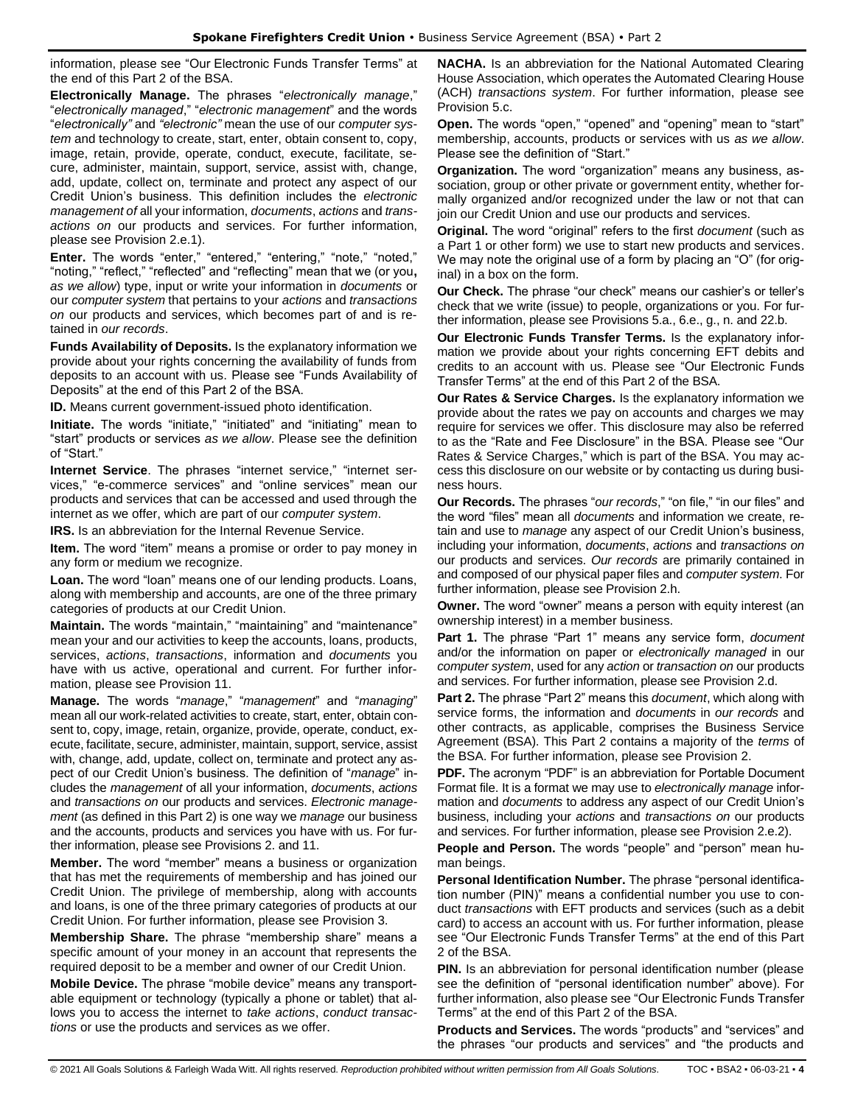information, please see "Our Electronic Funds Transfer Terms" at the end of this Part 2 of the BSA.

**Electronically Manage.** The phrases "*electronically manage*," "*electronically managed*," "*electronic management*" and the words "*electronically"* and *"electronic"* mean the use of our *computer system* and technology to create, start, enter, obtain consent to, copy, image, retain, provide, operate, conduct, execute, facilitate, secure, administer, maintain, support, service, assist with, change, add, update, collect on, terminate and protect any aspect of our Credit Union's business. This definition includes the *electronic management of* all your information, *documents*, *actions* and *transactions on* our products and services. For further information, please see Provision 2.e.1).

**Enter.** The words "enter," "entered," "entering," "note," "noted," "noting," "reflect," "reflected" and "reflecting" mean that we (or you**,** *as we allow*) type, input or write your information in *documents* or our *computer system* that pertains to your *actions* and *transactions on* our products and services, which becomes part of and is retained in *our records*.

**Funds Availability of Deposits.** Is the explanatory information we provide about your rights concerning the availability of funds from deposits to an account with us. Please see "Funds Availability of Deposits" at the end of this Part 2 of the BSA.

**ID.** Means current government-issued photo identification.

**Initiate.** The words "initiate," "initiated" and "initiating" mean to "start" products or services *as we allow*. Please see the definition of "Start."

**Internet Service**. The phrases "internet service," "internet services," "e-commerce services" and "online services" mean our products and services that can be accessed and used through the internet as we offer, which are part of our *computer system*.

**IRS.** Is an abbreviation for the Internal Revenue Service.

**Item.** The word "item" means a promise or order to pay money in any form or medium we recognize.

**Loan.** The word "loan" means one of our lending products. Loans, along with membership and accounts, are one of the three primary categories of products at our Credit Union.

**Maintain.** The words "maintain," "maintaining" and "maintenance" mean your and our activities to keep the accounts, loans, products, services, *actions*, *transactions*, information and *documents* you have with us active, operational and current. For further information, please see Provision 11.

**Manage.** The words "*manage*," "*management*" and "*managing*" mean all our work-related activities to create, start, enter, obtain consent to, copy, image, retain, organize, provide, operate, conduct, execute, facilitate, secure, administer, maintain, support, service, assist with, change, add, update, collect on, terminate and protect any aspect of our Credit Union's business. The definition of "*manage*" includes the *management* of all your information, *documents*, *actions* and *transactions on* our products and services. *Electronic management* (as defined in this Part 2) is one way we *manage* our business and the accounts, products and services you have with us. For further information, please see Provisions 2. and 11.

**Member.** The word "member" means a business or organization that has met the requirements of membership and has joined our Credit Union. The privilege of membership, along with accounts and loans, is one of the three primary categories of products at our Credit Union. For further information, please see Provision 3.

**Membership Share.** The phrase "membership share" means a specific amount of your money in an account that represents the required deposit to be a member and owner of our Credit Union.

**Mobile Device.** The phrase "mobile device" means any transportable equipment or technology (typically a phone or tablet) that allows you to access the internet to *take actions*, *conduct transactions* or use the products and services as we offer.

**NACHA.** Is an abbreviation for the National Automated Clearing House Association, which operates the Automated Clearing House (ACH) *transactions system*. For further information, please see Provision 5.c.

**Open.** The words "open," "opened" and "opening" mean to "start" membership, accounts, products or services with us *as we allow*. Please see the definition of "Start."

**Organization.** The word "organization" means any business, association, group or other private or government entity, whether formally organized and/or recognized under the law or not that can join our Credit Union and use our products and services.

**Original.** The word "original" refers to the first *document* (such as a Part 1 or other form) we use to start new products and services. We may note the original use of a form by placing an "O" (for original) in a box on the form.

**Our Check.** The phrase "our check" means our cashier's or teller's check that we write (issue) to people, organizations or you. For further information, please see Provisions 5.a., 6.e., g., n. and 22.b.

**Our Electronic Funds Transfer Terms.** Is the explanatory information we provide about your rights concerning EFT debits and credits to an account with us. Please see "Our Electronic Funds Transfer Terms" at the end of this Part 2 of the BSA.

**Our Rates & Service Charges.** Is the explanatory information we provide about the rates we pay on accounts and charges we may require for services we offer. This disclosure may also be referred to as the "Rate and Fee Disclosure" in the BSA. Please see "Our Rates & Service Charges," which is part of the BSA. You may access this disclosure on our website or by contacting us during business hours.

**Our Records.** The phrases "*our records*," "on file," "in our files" and the word "files" mean all *documents* and information we create, retain and use to *manage* any aspect of our Credit Union's business, including your information, *documents*, *actions* and *transactions on* our products and services. *Our records* are primarily contained in and composed of our physical paper files and *computer system*. For further information, please see Provision 2.h.

**Owner.** The word "owner" means a person with equity interest (an ownership interest) in a member business.

**Part 1.** The phrase "Part 1" means any service form, *document* and/or the information on paper or *electronically managed* in our *computer system*, used for any *action* or *transaction on* our products and services. For further information, please see Provision 2.d.

**Part 2.** The phrase "Part 2" means this *document*, which along with service forms, the information and *documents* in *our records* and other contracts, as applicable, comprises the Business Service Agreement (BSA). This Part 2 contains a majority of the *terms* of the BSA. For further information, please see Provision 2.

**PDF.** The acronym "PDF" is an abbreviation for Portable Document Format file. It is a format we may use to *electronically manage* information and *documents* to address any aspect of our Credit Union's business, including your *actions* and *transactions on* our products and services. For further information, please see Provision 2.e.2).

**People and Person.** The words "people" and "person" mean human beings.

**Personal Identification Number.** The phrase "personal identification number (PIN)" means a confidential number you use to conduct *transactions* with EFT products and services (such as a debit card) to access an account with us. For further information, please see "Our Electronic Funds Transfer Terms" at the end of this Part 2 of the BSA.

**PIN.** Is an abbreviation for personal identification number (please see the definition of "personal identification number" above). For further information, also please see "Our Electronic Funds Transfer Terms" at the end of this Part 2 of the BSA.

**Products and Services.** The words "products" and "services" and the phrases "our products and services" and "the products and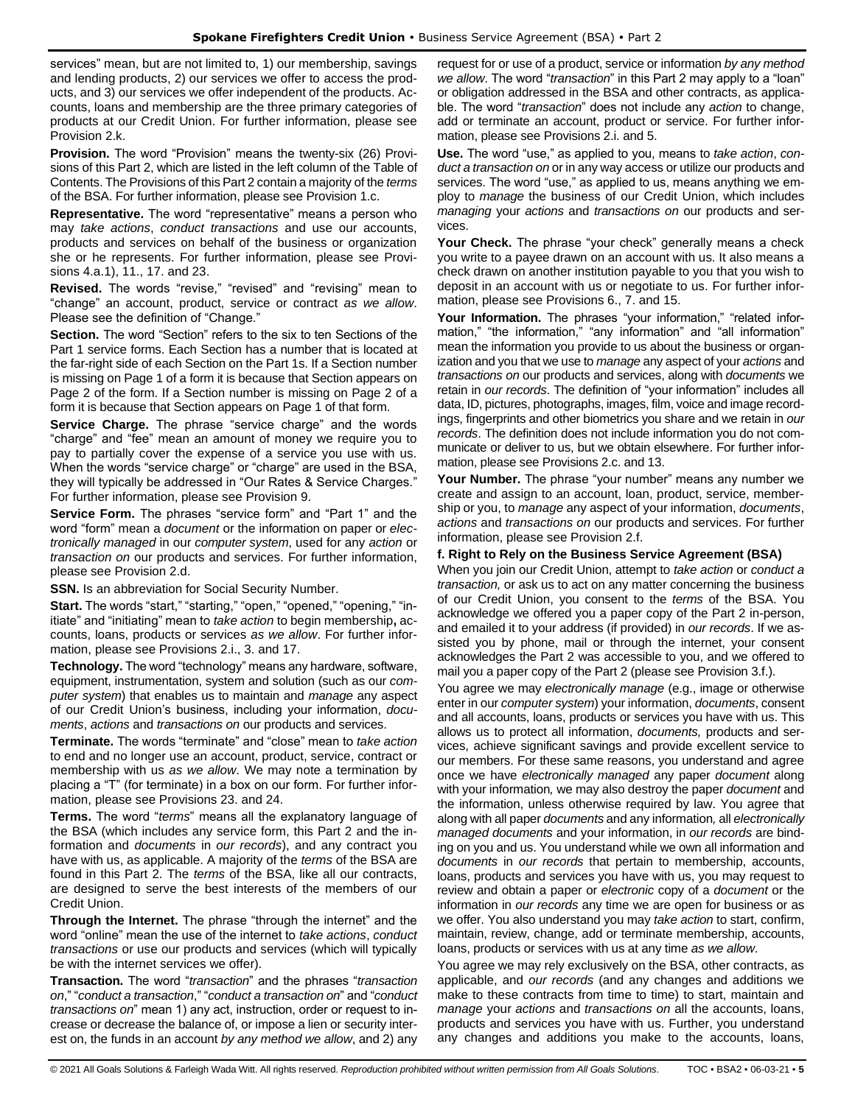services" mean, but are not limited to, 1) our membership, savings and lending products, 2) our services we offer to access the products, and 3) our services we offer independent of the products. Accounts, loans and membership are the three primary categories of products at our Credit Union. For further information, please see Provision 2 k.

**Provision.** The word "Provision" means the twenty-six (26) Provisions of this Part 2, which are listed in the left column of the Table of Contents. The Provisions of this Part 2 contain a majority of the *terms* of the BSA. For further information, please see Provision 1.c.

**Representative.** The word "representative" means a person who may *take actions*, *conduct transactions* and use our accounts, products and services on behalf of the business or organization she or he represents. For further information, please see Provisions 4.a.1), 11., 17. and 23.

**Revised.** The words "revise," "revised" and "revising" mean to "change" an account, product, service or contract *as we allow*. Please see the definition of "Change."

**Section.** The word "Section" refers to the six to ten Sections of the Part 1 service forms. Each Section has a number that is located at the far-right side of each Section on the Part 1s. If a Section number is missing on Page 1 of a form it is because that Section appears on Page 2 of the form. If a Section number is missing on Page 2 of a form it is because that Section appears on Page 1 of that form.

**Service Charge.** The phrase "service charge" and the words "charge" and "fee" mean an amount of money we require you to pay to partially cover the expense of a service you use with us. When the words "service charge" or "charge" are used in the BSA, they will typically be addressed in "Our Rates & Service Charges." For further information, please see Provision 9.

**Service Form.** The phrases "service form" and "Part 1" and the word "form" mean a *document* or the information on paper or *electronically managed* in our *computer system*, used for any *action* or *transaction on* our products and services. For further information, please see Provision 2.d.

**SSN.** Is an abbreviation for Social Security Number.

**Start.** The words "start," "starting," "open," "opened," "opening," "initiate" and "initiating" mean to *take action* to begin membership**,** accounts, loans, products or services *as we allow*. For further information, please see Provisions 2.i., 3. and 17.

**Technology.** The word "technology" means any hardware, software, equipment, instrumentation, system and solution (such as our *computer system*) that enables us to maintain and *manage* any aspect of our Credit Union's business, including your information, *documents*, *actions* and *transactions on* our products and services.

**Terminate.** The words "terminate" and "close" mean to *take action* to end and no longer use an account, product, service, contract or membership with us *as we allow*. We may note a termination by placing a "T" (for terminate) in a box on our form. For further information, please see Provisions 23. and 24.

**Terms.** The word "*terms*" means all the explanatory language of the BSA (which includes any service form, this Part 2 and the information and *documents* in *our records*), and any contract you have with us, as applicable. A majority of the *terms* of the BSA are found in this Part 2. The *terms* of the BSA, like all our contracts, are designed to serve the best interests of the members of our Credit Union.

**Through the Internet.** The phrase "through the internet" and the word "online" mean the use of the internet to *take actions*, *conduct transactions* or use our products and services (which will typically be with the internet services we offer).

**Transaction.** The word "*transaction*" and the phrases "*transaction on*," "*conduct a transaction*," "*conduct a transaction on*" and "*conduct transactions on*" mean 1) any act, instruction, order or request to increase or decrease the balance of, or impose a lien or security interest on, the funds in an account *by any method we allow*, and 2) any request for or use of a product, service or information *by any method we allow*. The word "*transaction*" in this Part 2 may apply to a "loan" or obligation addressed in the BSA and other contracts, as applicable. The word "*transaction*" does not include any *action* to change, add or terminate an account, product or service. For further information, please see Provisions 2.i. and 5.

**Use.** The word "use," as applied to you, means to *take action*, *conduct a transaction on* or in any way access or utilize our products and services. The word "use," as applied to us, means anything we employ to *manage* the business of our Credit Union, which includes *managing* your *actions* and *transactions on* our products and services.

**Your Check.** The phrase "your check" generally means a check you write to a payee drawn on an account with us. It also means a check drawn on another institution payable to you that you wish to deposit in an account with us or negotiate to us. For further information, please see Provisions 6., 7. and 15.

Your Information. The phrases "your information," "related information," "the information," "any information" and "all information" mean the information you provide to us about the business or organization and you that we use to *manage* any aspect of your *actions* and *transactions on* our products and services, along with *documents* we retain in *our records*. The definition of "your information" includes all data, ID, pictures, photographs, images, film, voice and image recordings, fingerprints and other biometrics you share and we retain in *our records*. The definition does not include information you do not communicate or deliver to us, but we obtain elsewhere. For further information, please see Provisions 2.c. and 13.

**Your Number.** The phrase "your number" means any number we create and assign to an account, loan, product, service, membership or you, to *manage* any aspect of your information, *documents*, *actions* and *transactions on* our products and services. For further information, please see Provision 2.f.

## **f. Right to Rely on the Business Service Agreement (BSA)**

When you join our Credit Union, attempt to *take action* or *conduct a transaction,* or ask us to act on any matter concerning the business of our Credit Union, you consent to the *terms* of the BSA. You acknowledge we offered you a paper copy of the Part 2 in-person, and emailed it to your address (if provided) in *our records*. If we assisted you by phone, mail or through the internet, your consent acknowledges the Part 2 was accessible to you, and we offered to mail you a paper copy of the Part 2 (please see Provision 3.f.).

You agree we may *electronically manage* (e.g., image or otherwise enter in our *computer system*) your information, *documents*, consent and all accounts, loans, products or services you have with us. This allows us to protect all information, *documents,* products and services, achieve significant savings and provide excellent service to our members. For these same reasons, you understand and agree once we have *electronically managed* any paper *document* along with your information*,* we may also destroy the paper *document* and the information, unless otherwise required by law. You agree that along with all paper *documents* and any information*,* all *electronically managed documents* and your information, in *our records* are binding on you and us. You understand while we own all information and *documents* in *our records* that pertain to membership, accounts, loans, products and services you have with us, you may request to review and obtain a paper or *electronic* copy of a *document* or the information in *our records* any time we are open for business or as we offer. You also understand you may *take action* to start, confirm, maintain, review, change, add or terminate membership, accounts, loans, products or services with us at any time *as we allow*.

You agree we may rely exclusively on the BSA, other contracts, as applicable, and *our records* (and any changes and additions we make to these contracts from time to time) to start, maintain and *manage* your *actions* and *transactions on* all the accounts, loans, products and services you have with us. Further, you understand any changes and additions you make to the accounts, loans,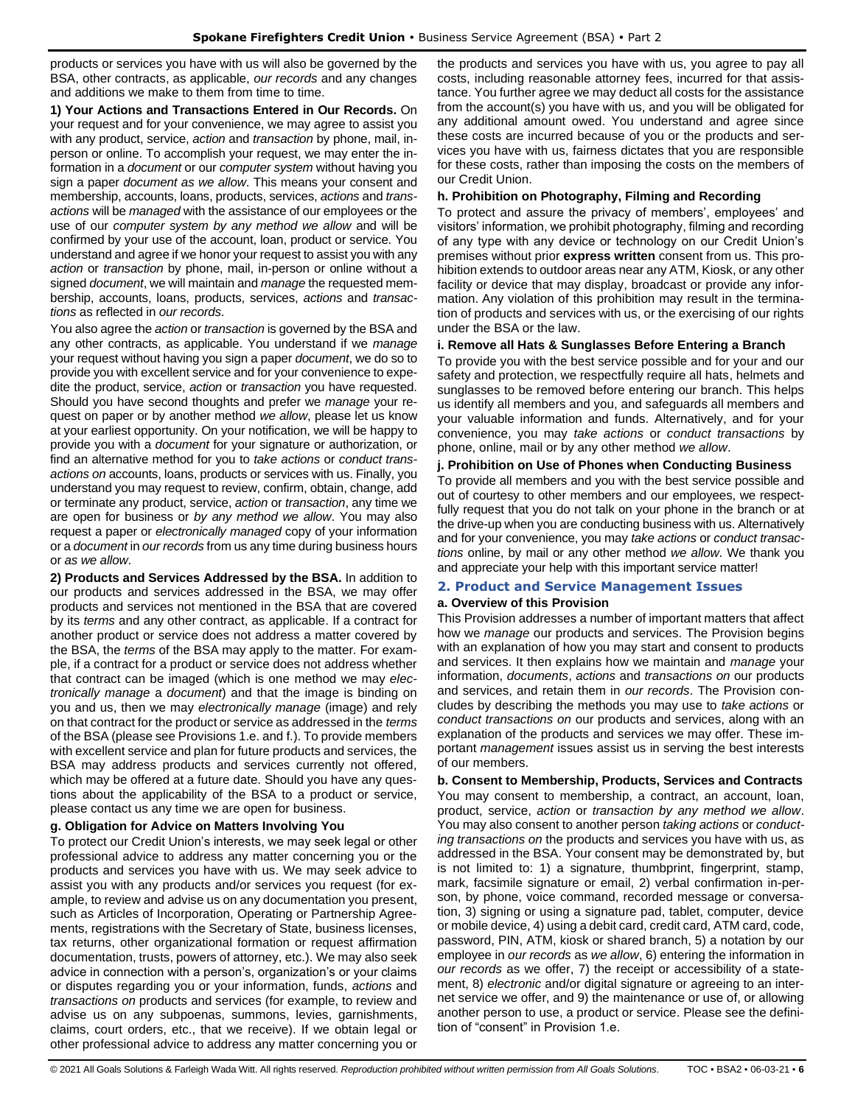products or services you have with us will also be governed by the BSA, other contracts, as applicable, *our records* and any changes and additions we make to them from time to time.

**1) Your Actions and Transactions Entered in Our Records.** On your request and for your convenience, we may agree to assist you with any product, service, *action* and *transaction* by phone, mail, inperson or online. To accomplish your request, we may enter the information in a *document* or our *computer system* without having you sign a paper *document as we allow*. This means your consent and membership, accounts, loans, products, services, *actions* and *transactions* will be *managed* with the assistance of our employees or the use of our *computer system by any method we allow* and will be confirmed by your use of the account, loan, product or service. You understand and agree if we honor your request to assist you with any *action* or *transaction* by phone, mail, in-person or online without a signed *document*, we will maintain and *manage* the requested membership, accounts, loans, products, services, *actions* and *transactions* as reflected in *our records*.

You also agree the *action* or *transaction* is governed by the BSA and any other contracts, as applicable. You understand if we *manage* your request without having you sign a paper *document*, we do so to provide you with excellent service and for your convenience to expedite the product, service, *action* or *transaction* you have requested. Should you have second thoughts and prefer we *manage* your request on paper or by another method *we allow*, please let us know at your earliest opportunity. On your notification, we will be happy to provide you with a *document* for your signature or authorization, or find an alternative method for you to *take actions* or *conduct transactions on* accounts, loans, products or services with us. Finally, you understand you may request to review, confirm, obtain, change, add or terminate any product, service, *action* or *transaction*, any time we are open for business or *by any method we allow*. You may also request a paper or *electronically managed* copy of your information or a *document* in *our records* from us any time during business hours or *as we allow*.

**2) Products and Services Addressed by the BSA.** In addition to our products and services addressed in the BSA, we may offer products and services not mentioned in the BSA that are covered by its *terms* and any other contract, as applicable. If a contract for another product or service does not address a matter covered by the BSA, the *terms* of the BSA may apply to the matter. For example, if a contract for a product or service does not address whether that contract can be imaged (which is one method we may *electronically manage* a *document*) and that the image is binding on you and us, then we may *electronically manage* (image) and rely on that contract for the product or service as addressed in the *terms* of the BSA (please see Provisions 1.e. and f.). To provide members with excellent service and plan for future products and services, the BSA may address products and services currently not offered, which may be offered at a future date. Should you have any questions about the applicability of the BSA to a product or service, please contact us any time we are open for business.

## **g. Obligation for Advice on Matters Involving You**

To protect our Credit Union's interests, we may seek legal or other professional advice to address any matter concerning you or the products and services you have with us. We may seek advice to assist you with any products and/or services you request (for example, to review and advise us on any documentation you present, such as Articles of Incorporation, Operating or Partnership Agreements, registrations with the Secretary of State, business licenses, tax returns, other organizational formation or request affirmation documentation, trusts, powers of attorney, etc.). We may also seek advice in connection with a person's, organization's or your claims or disputes regarding you or your information, funds, *actions* and *transactions on* products and services (for example, to review and advise us on any subpoenas, summons, levies, garnishments, claims, court orders, etc., that we receive). If we obtain legal or other professional advice to address any matter concerning you or

the products and services you have with us, you agree to pay all costs, including reasonable attorney fees, incurred for that assistance. You further agree we may deduct all costs for the assistance from the account(s) you have with us, and you will be obligated for any additional amount owed. You understand and agree since these costs are incurred because of you or the products and services you have with us, fairness dictates that you are responsible for these costs, rather than imposing the costs on the members of our Credit Union.

## **h. Prohibition on Photography, Filming and Recording**

To protect and assure the privacy of members', employees' and visitors' information, we prohibit photography, filming and recording of any type with any device or technology on our Credit Union's premises without prior **express written** consent from us. This prohibition extends to outdoor areas near any ATM, Kiosk, or any other facility or device that may display, broadcast or provide any information. Any violation of this prohibition may result in the termination of products and services with us, or the exercising of our rights under the BSA or the law.

## **i. Remove all Hats & Sunglasses Before Entering a Branch**

To provide you with the best service possible and for your and our safety and protection, we respectfully require all hats, helmets and sunglasses to be removed before entering our branch. This helps us identify all members and you, and safeguards all members and your valuable information and funds. Alternatively, and for your convenience, you may *take actions* or *conduct transactions* by phone, online, mail or by any other method *we allow*.

## **j. Prohibition on Use of Phones when Conducting Business**

To provide all members and you with the best service possible and out of courtesy to other members and our employees, we respectfully request that you do not talk on your phone in the branch or at the drive-up when you are conducting business with us. Alternatively and for your convenience, you may *take actions* or *conduct transactions* online, by mail or any other method *we allow*. We thank you and appreciate your help with this important service matter!

# <span id="page-5-0"></span>**2. Product and Service Management Issues**

## **a. Overview of this Provision**

This Provision addresses a number of important matters that affect how we *manage* our products and services. The Provision begins with an explanation of how you may start and consent to products and services. It then explains how we maintain and *manage* your information, *documents*, *actions* and *transactions on* our products and services, and retain them in *our records*. The Provision concludes by describing the methods you may use to *take actions* or *conduct transactions on* our products and services, along with an explanation of the products and services we may offer. These important *management* issues assist us in serving the best interests of our members.

**b. Consent to Membership, Products, Services and Contracts** You may consent to membership, a contract, an account, loan, product, service, *action* or *transaction by any method we allow*. You may also consent to another person *taking actions* or *conducting transactions on* the products and services you have with us, as addressed in the BSA. Your consent may be demonstrated by, but is not limited to: 1) a signature, thumbprint, fingerprint, stamp, mark, facsimile signature or email, 2) verbal confirmation in-person, by phone, voice command, recorded message or conversation, 3) signing or using a signature pad, tablet, computer, device or mobile device, 4) using a debit card, credit card, ATM card, code, password, PIN, ATM, kiosk or shared branch, 5) a notation by our employee in *our records* as *we allow*, 6) entering the information in *our records* as we offer, 7) the receipt or accessibility of a statement, 8) *electronic* and/or digital signature or agreeing to an internet service we offer, and 9) the maintenance or use of, or allowing another person to use, a product or service. Please see the definition of "consent" in Provision 1.e.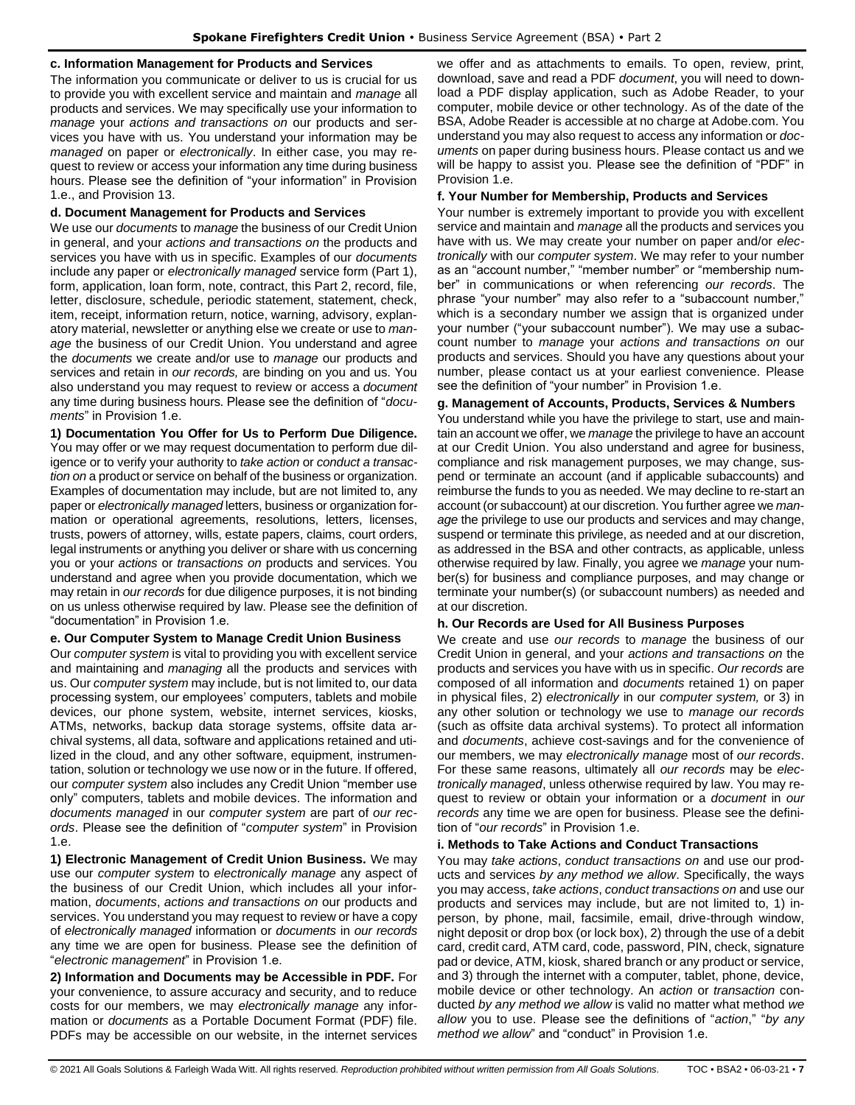#### **c. Information Management for Products and Services**

The information you communicate or deliver to us is crucial for us to provide you with excellent service and maintain and *manage* all products and services. We may specifically use your information to *manage* your *actions and transactions on* our products and services you have with us. You understand your information may be *managed* on paper or *electronically*. In either case, you may request to review or access your information any time during business hours. Please see the definition of "your information" in Provision 1.e., and Provision 13.

## **d. Document Management for Products and Services**

We use our *documents* to *manage* the business of our Credit Union in general, and your *actions and transactions on* the products and services you have with us in specific. Examples of our *documents* include any paper or *electronically managed* service form (Part 1), form, application, loan form, note, contract, this Part 2, record, file, letter, disclosure, schedule, periodic statement, statement, check, item, receipt, information return, notice, warning, advisory, explanatory material, newsletter or anything else we create or use to *manage* the business of our Credit Union. You understand and agree the *documents* we create and/or use to *manage* our products and services and retain in *our records,* are binding on you and us. You also understand you may request to review or access a *document*  any time during business hours. Please see the definition of "*documents*" in Provision 1.e.

**1) Documentation You Offer for Us to Perform Due Diligence.** You may offer or we may request documentation to perform due diligence or to verify your authority to *take action* or *conduct a transaction on* a product or service on behalf of the business or organization. Examples of documentation may include, but are not limited to, any paper or *electronically managed* letters, business or organization formation or operational agreements, resolutions, letters, licenses, trusts, powers of attorney, wills, estate papers, claims, court orders, legal instruments or anything you deliver or share with us concerning you or your *actions* or *transactions on* products and services. You understand and agree when you provide documentation, which we may retain in *our records* for due diligence purposes, it is not binding on us unless otherwise required by law. Please see the definition of "documentation" in Provision 1.e.

## **e. Our Computer System to Manage Credit Union Business**

Our *computer system* is vital to providing you with excellent service and maintaining and *managing* all the products and services with us. Our *computer system* may include, but is not limited to, our data processing system, our employees' computers, tablets and mobile devices, our phone system, website, internet services, kiosks, ATMs, networks, backup data storage systems, offsite data archival systems, all data, software and applications retained and utilized in the cloud, and any other software, equipment, instrumentation, solution or technology we use now or in the future. If offered, our *computer system* also includes any Credit Union "member use only" computers, tablets and mobile devices. The information and *documents managed* in our *computer system* are part of *our records*. Please see the definition of "*computer system*" in Provision 1.e.

**1) Electronic Management of Credit Union Business.** We may use our *computer system* to *electronically manage* any aspect of the business of our Credit Union, which includes all your information, *documents*, *actions and transactions on* our products and services. You understand you may request to review or have a copy of *electronically managed* information or *documents* in *our records* any time we are open for business. Please see the definition of "*electronic management*" in Provision 1.e.

**2) Information and Documents may be Accessible in PDF.** For your convenience, to assure accuracy and security, and to reduce costs for our members, we may *electronically manage* any information or *documents* as a Portable Document Format (PDF) file. PDFs may be accessible on our website, in the internet services we offer and as attachments to emails. To open, review, print, download, save and read a PDF *document*, you will need to download a PDF display application, such as Adobe Reader, to your computer, mobile device or other technology. As of the date of the BSA, Adobe Reader is accessible at no charge at Adobe.com. You understand you may also request to access any information or *documents* on paper during business hours. Please contact us and we will be happy to assist you. Please see the definition of "PDF" in Provision 1.e.

## **f. Your Number for Membership, Products and Services**

Your number is extremely important to provide you with excellent service and maintain and *manage* all the products and services you have with us. We may create your number on paper and/or *electronically* with our *computer system*. We may refer to your number as an "account number," "member number" or "membership number" in communications or when referencing *our records*. The phrase "your number" may also refer to a "subaccount number," which is a secondary number we assign that is organized under your number ("your subaccount number"). We may use a subaccount number to *manage* your *actions and transactions on* our products and services. Should you have any questions about your number, please contact us at your earliest convenience. Please see the definition of "your number" in Provision 1.e.

## **g. Management of Accounts, Products, Services & Numbers**

You understand while you have the privilege to start, use and maintain an account we offer, we *manage* the privilege to have an account at our Credit Union. You also understand and agree for business, compliance and risk management purposes, we may change, suspend or terminate an account (and if applicable subaccounts) and reimburse the funds to you as needed. We may decline to re-start an account (or subaccount) at our discretion. You further agree we *manage* the privilege to use our products and services and may change, suspend or terminate this privilege, as needed and at our discretion, as addressed in the BSA and other contracts, as applicable, unless otherwise required by law. Finally, you agree we *manage* your number(s) for business and compliance purposes, and may change or terminate your number(s) (or subaccount numbers) as needed and at our discretion.

## **h. Our Records are Used for All Business Purposes**

We create and use *our records* to *manage* the business of our Credit Union in general, and your *actions and transactions on* the products and services you have with us in specific. *Our records* are composed of all information and *documents* retained 1) on paper in physical files, 2) *electronically* in our *computer system,* or 3) in any other solution or technology we use to *manage our records* (such as offsite data archival systems). To protect all information and *documents*, achieve cost-savings and for the convenience of our members, we may *electronically manage* most of *our records*. For these same reasons, ultimately all *our records* may be *electronically managed*, unless otherwise required by law. You may request to review or obtain your information or a *document* in *our records* any time we are open for business. Please see the definition of "*our records*" in Provision 1.e.

## **i. Methods to Take Actions and Conduct Transactions**

You may *take actions*, *conduct transactions on* and use our products and services *by any method we allow*. Specifically, the ways you may access, *take actions*, *conduct transactions on* and use our products and services may include, but are not limited to, 1) inperson, by phone, mail, facsimile, email, drive-through window, night deposit or drop box (or lock box), 2) through the use of a debit card, credit card, ATM card, code, password, PIN, check, signature pad or device, ATM, kiosk, shared branch or any product or service, and 3) through the internet with a computer, tablet, phone, device, mobile device or other technology. An *action* or *transaction* conducted *by any method we allow* is valid no matter what method *we allow* you to use. Please see the definitions of "*action*," "*by any method we allow*" and "conduct" in Provision 1.e.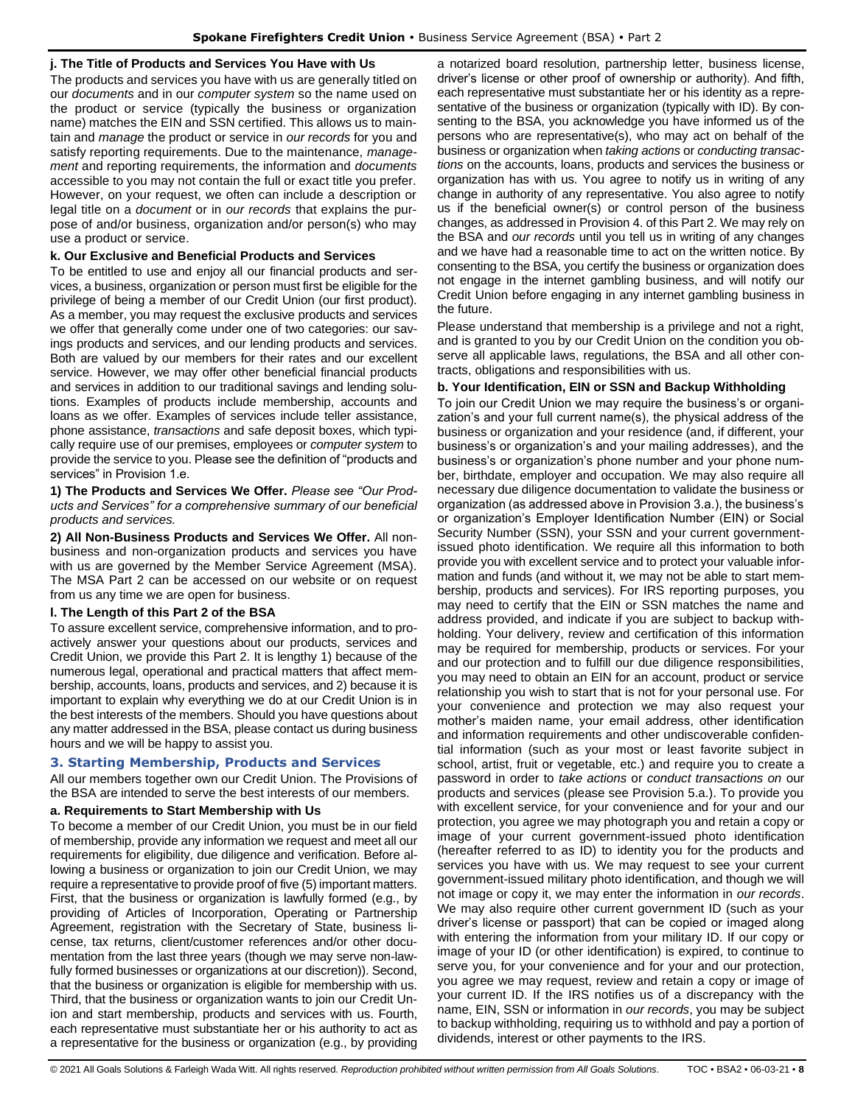## **j. The Title of Products and Services You Have with Us**

The products and services you have with us are generally titled on our *documents* and in our *computer system* so the name used on the product or service (typically the business or organization name) matches the EIN and SSN certified. This allows us to maintain and *manage* the product or service in *our records* for you and satisfy reporting requirements. Due to the maintenance, *management* and reporting requirements, the information and *documents* accessible to you may not contain the full or exact title you prefer. However, on your request, we often can include a description or legal title on a *document* or in *our records* that explains the purpose of and/or business, organization and/or person(s) who may use a product or service.

## **k. Our Exclusive and Beneficial Products and Services**

To be entitled to use and enjoy all our financial products and services, a business, organization or person must first be eligible for the privilege of being a member of our Credit Union (our first product). As a member, you may request the exclusive products and services we offer that generally come under one of two categories: our savings products and services, and our lending products and services. Both are valued by our members for their rates and our excellent service. However, we may offer other beneficial financial products and services in addition to our traditional savings and lending solutions. Examples of products include membership, accounts and loans as we offer. Examples of services include teller assistance, phone assistance, *transactions* and safe deposit boxes, which typically require use of our premises, employees or *computer system* to provide the service to you. Please see the definition of "products and services" in Provision 1.e.

**1) The Products and Services We Offer.** *Please see "Our Products and Services" for a comprehensive summary of our beneficial products and services.*

**2) All Non-Business Products and Services We Offer.** All nonbusiness and non-organization products and services you have with us are governed by the Member Service Agreement (MSA). The MSA Part 2 can be accessed on our website or on request from us any time we are open for business.

## **l. The Length of this Part 2 of the BSA**

To assure excellent service, comprehensive information, and to proactively answer your questions about our products, services and Credit Union, we provide this Part 2. It is lengthy 1) because of the numerous legal, operational and practical matters that affect membership, accounts, loans, products and services, and 2) because it is important to explain why everything we do at our Credit Union is in the best interests of the members. Should you have questions about any matter addressed in the BSA, please contact us during business hours and we will be happy to assist you.

## <span id="page-7-0"></span>**3. Starting Membership, Products and Services**

All our members together own our Credit Union. The Provisions of the BSA are intended to serve the best interests of our members.

## **a. Requirements to Start Membership with Us**

To become a member of our Credit Union, you must be in our field of membership, provide any information we request and meet all our requirements for eligibility, due diligence and verification. Before allowing a business or organization to join our Credit Union, we may require a representative to provide proof of five (5) important matters. First, that the business or organization is lawfully formed (e.g., by providing of Articles of Incorporation, Operating or Partnership Agreement, registration with the Secretary of State, business license, tax returns, client/customer references and/or other documentation from the last three years (though we may serve non-lawfully formed businesses or organizations at our discretion)). Second, that the business or organization is eligible for membership with us. Third, that the business or organization wants to join our Credit Union and start membership, products and services with us. Fourth, each representative must substantiate her or his authority to act as a representative for the business or organization (e.g., by providing a notarized board resolution, partnership letter, business license, driver's license or other proof of ownership or authority). And fifth, each representative must substantiate her or his identity as a representative of the business or organization (typically with ID). By consenting to the BSA, you acknowledge you have informed us of the persons who are representative(s), who may act on behalf of the business or organization when *taking actions* or *conducting transactions* on the accounts, loans, products and services the business or organization has with us. You agree to notify us in writing of any change in authority of any representative. You also agree to notify us if the beneficial owner(s) or control person of the business changes, as addressed in Provision 4. of this Part 2. We may rely on the BSA and *our records* until you tell us in writing of any changes and we have had a reasonable time to act on the written notice. By consenting to the BSA, you certify the business or organization does not engage in the internet gambling business, and will notify our Credit Union before engaging in any internet gambling business in the future.

Please understand that membership is a privilege and not a right, and is granted to you by our Credit Union on the condition you observe all applicable laws, regulations, the BSA and all other contracts, obligations and responsibilities with us.

## **b. Your Identification, EIN or SSN and Backup Withholding**

To join our Credit Union we may require the business's or organization's and your full current name(s), the physical address of the business or organization and your residence (and, if different, your business's or organization's and your mailing addresses), and the business's or organization's phone number and your phone number, birthdate, employer and occupation. We may also require all necessary due diligence documentation to validate the business or organization (as addressed above in Provision 3.a.), the business's or organization's Employer Identification Number (EIN) or Social Security Number (SSN), your SSN and your current governmentissued photo identification. We require all this information to both provide you with excellent service and to protect your valuable information and funds (and without it, we may not be able to start membership, products and services). For IRS reporting purposes, you may need to certify that the EIN or SSN matches the name and address provided, and indicate if you are subject to backup withholding. Your delivery, review and certification of this information may be required for membership, products or services. For your and our protection and to fulfill our due diligence responsibilities, you may need to obtain an EIN for an account, product or service relationship you wish to start that is not for your personal use. For your convenience and protection we may also request your mother's maiden name, your email address, other identification and information requirements and other undiscoverable confidential information (such as your most or least favorite subject in school, artist, fruit or vegetable, etc.) and require you to create a password in order to *take actions* or *conduct transactions on* our products and services (please see Provision 5.a.). To provide you with excellent service, for your convenience and for your and our protection, you agree we may photograph you and retain a copy or image of your current government-issued photo identification (hereafter referred to as ID) to identity you for the products and services you have with us. We may request to see your current government-issued military photo identification, and though we will not image or copy it, we may enter the information in *our records*. We may also require other current government ID (such as your driver's license or passport) that can be copied or imaged along with entering the information from your military ID. If our copy or image of your ID (or other identification) is expired, to continue to serve you, for your convenience and for your and our protection, you agree we may request, review and retain a copy or image of your current ID. If the IRS notifies us of a discrepancy with the name, EIN, SSN or information in *our records*, you may be subject to backup withholding, requiring us to withhold and pay a portion of dividends, interest or other payments to the IRS.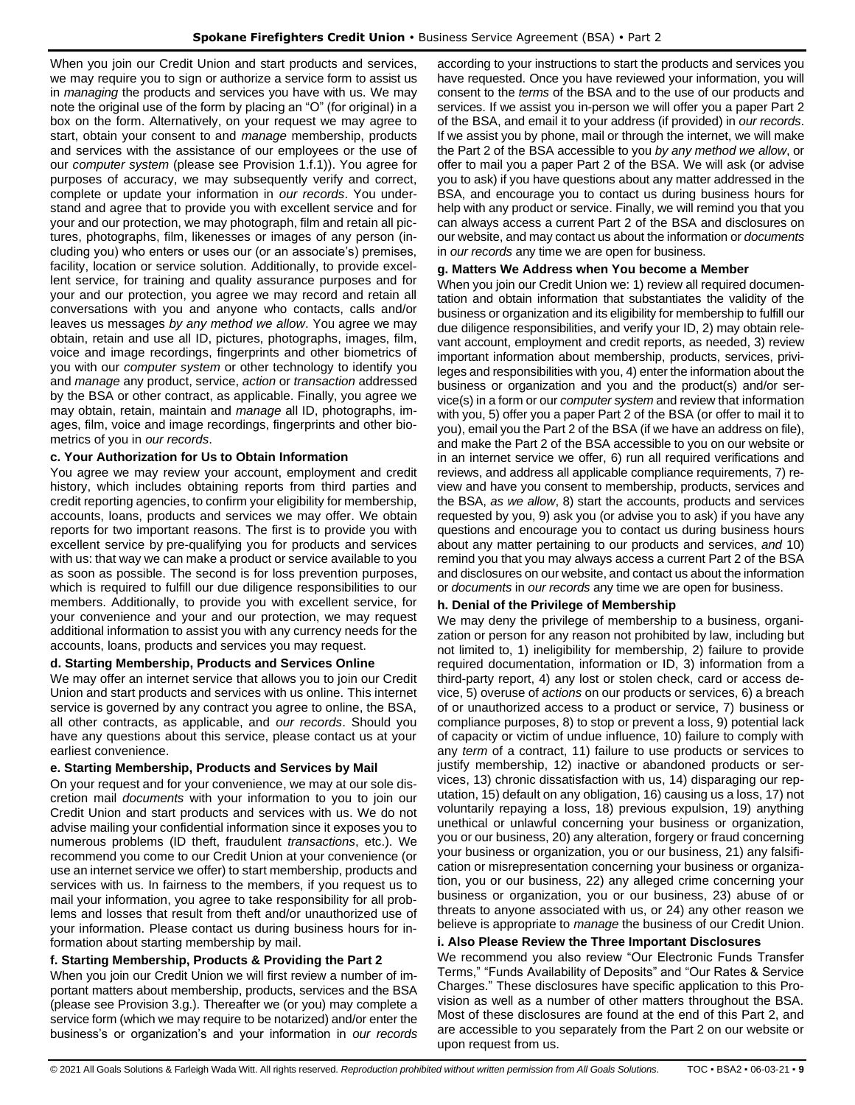When you join our Credit Union and start products and services, we may require you to sign or authorize a service form to assist us in *managing* the products and services you have with us. We may note the original use of the form by placing an "O" (for original) in a box on the form. Alternatively, on your request we may agree to start, obtain your consent to and *manage* membership, products and services with the assistance of our employees or the use of our *computer system* (please see Provision 1.f.1)). You agree for purposes of accuracy, we may subsequently verify and correct, complete or update your information in *our records*. You understand and agree that to provide you with excellent service and for your and our protection, we may photograph, film and retain all pictures, photographs, film, likenesses or images of any person (including you) who enters or uses our (or an associate's) premises, facility, location or service solution. Additionally, to provide excellent service, for training and quality assurance purposes and for your and our protection, you agree we may record and retain all conversations with you and anyone who contacts, calls and/or leaves us messages *by any method we allow*. You agree we may obtain, retain and use all ID, pictures, photographs, images, film, voice and image recordings, fingerprints and other biometrics of you with our *computer system* or other technology to identify you and *manage* any product, service, *action* or *transaction* addressed by the BSA or other contract, as applicable. Finally, you agree we may obtain, retain, maintain and *manage* all ID, photographs, images, film, voice and image recordings, fingerprints and other biometrics of you in *our records*.

## **c. Your Authorization for Us to Obtain Information**

You agree we may review your account, employment and credit history, which includes obtaining reports from third parties and credit reporting agencies, to confirm your eligibility for membership, accounts, loans, products and services we may offer. We obtain reports for two important reasons. The first is to provide you with excellent service by pre-qualifying you for products and services with us: that way we can make a product or service available to you as soon as possible. The second is for loss prevention purposes, which is required to fulfill our due diligence responsibilities to our members. Additionally, to provide you with excellent service, for your convenience and your and our protection, we may request additional information to assist you with any currency needs for the accounts, loans, products and services you may request.

## **d. Starting Membership, Products and Services Online**

We may offer an internet service that allows you to join our Credit Union and start products and services with us online. This internet service is governed by any contract you agree to online, the BSA, all other contracts, as applicable, and *our records*. Should you have any questions about this service, please contact us at your earliest convenience.

## **e. Starting Membership, Products and Services by Mail**

On your request and for your convenience, we may at our sole discretion mail *documents* with your information to you to join our Credit Union and start products and services with us. We do not advise mailing your confidential information since it exposes you to numerous problems (ID theft, fraudulent *transactions*, etc.). We recommend you come to our Credit Union at your convenience (or use an internet service we offer) to start membership, products and services with us. In fairness to the members, if you request us to mail your information, you agree to take responsibility for all problems and losses that result from theft and/or unauthorized use of your information. Please contact us during business hours for information about starting membership by mail.

## **f. Starting Membership, Products & Providing the Part 2**

When you join our Credit Union we will first review a number of important matters about membership, products, services and the BSA (please see Provision 3.g.). Thereafter we (or you) may complete a service form (which we may require to be notarized) and/or enter the business's or organization's and your information in *our records*  according to your instructions to start the products and services you have requested. Once you have reviewed your information, you will consent to the *terms* of the BSA and to the use of our products and services. If we assist you in-person we will offer you a paper Part 2 of the BSA, and email it to your address (if provided) in *our records*. If we assist you by phone, mail or through the internet, we will make the Part 2 of the BSA accessible to you *by any method we allow*, or offer to mail you a paper Part 2 of the BSA. We will ask (or advise you to ask) if you have questions about any matter addressed in the BSA, and encourage you to contact us during business hours for help with any product or service. Finally, we will remind you that you can always access a current Part 2 of the BSA and disclosures on our website, and may contact us about the information or *documents*  in *our records* any time we are open for business.

## **g. Matters We Address when You become a Member**

When you join our Credit Union we: 1) review all required documentation and obtain information that substantiates the validity of the business or organization and its eligibility for membership to fulfill our due diligence responsibilities, and verify your ID, 2) may obtain relevant account, employment and credit reports, as needed, 3) review important information about membership, products, services, privileges and responsibilities with you, 4) enter the information about the business or organization and you and the product(s) and/or service(s) in a form or our *computer system* and review that information with you, 5) offer you a paper Part 2 of the BSA (or offer to mail it to you), email you the Part 2 of the BSA (if we have an address on file), and make the Part 2 of the BSA accessible to you on our website or in an internet service we offer, 6) run all required verifications and reviews, and address all applicable compliance requirements, 7) review and have you consent to membership, products, services and the BSA, *as we allow*, 8) start the accounts, products and services requested by you, 9) ask you (or advise you to ask) if you have any questions and encourage you to contact us during business hours about any matter pertaining to our products and services, *and* 10) remind you that you may always access a current Part 2 of the BSA and disclosures on our website, and contact us about the information or *documents* in *our records* any time we are open for business.

## **h. Denial of the Privilege of Membership**

We may deny the privilege of membership to a business, organization or person for any reason not prohibited by law, including but not limited to, 1) ineligibility for membership, 2) failure to provide required documentation, information or ID, 3) information from a third-party report, 4) any lost or stolen check, card or access device, 5) overuse of *actions* on our products or services, 6) a breach of or unauthorized access to a product or service, 7) business or compliance purposes, 8) to stop or prevent a loss, 9) potential lack of capacity or victim of undue influence, 10) failure to comply with any *term* of a contract, 11) failure to use products or services to justify membership, 12) inactive or abandoned products or services, 13) chronic dissatisfaction with us, 14) disparaging our reputation, 15) default on any obligation, 16) causing us a loss, 17) not voluntarily repaying a loss, 18) previous expulsion, 19) anything unethical or unlawful concerning your business or organization, you or our business, 20) any alteration, forgery or fraud concerning your business or organization, you or our business, 21) any falsification or misrepresentation concerning your business or organization, you or our business, 22) any alleged crime concerning your business or organization, you or our business, 23) abuse of or threats to anyone associated with us, or 24) any other reason we believe is appropriate to *manage* the business of our Credit Union.

## **i. Also Please Review the Three Important Disclosures**

We recommend you also review "Our Electronic Funds Transfer Terms," "Funds Availability of Deposits" and "Our Rates & Service Charges." These disclosures have specific application to this Provision as well as a number of other matters throughout the BSA. Most of these disclosures are found at the end of this Part 2, and are accessible to you separately from the Part 2 on our website or upon request from us.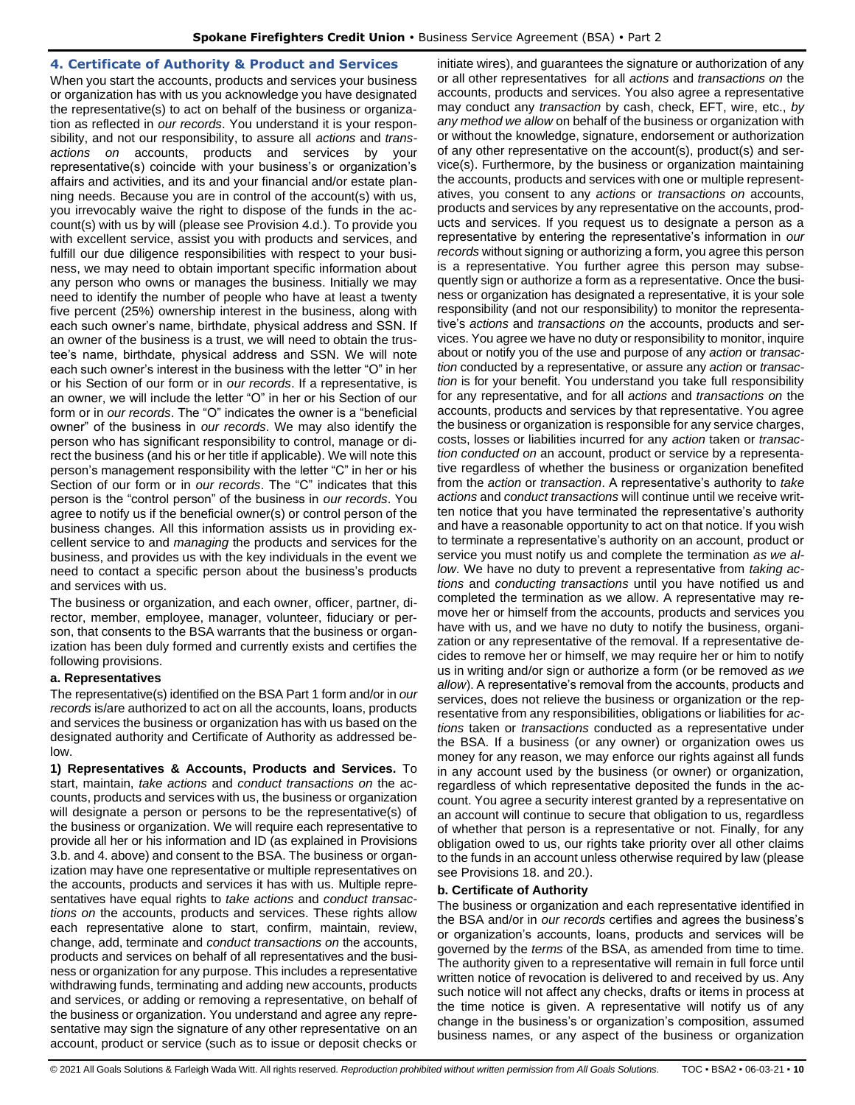## <span id="page-9-0"></span>**4. Certificate of Authority & Product and Services**

When you start the accounts, products and services your business or organization has with us you acknowledge you have designated the representative(s) to act on behalf of the business or organization as reflected in *our records*. You understand it is your responsibility, and not our responsibility, to assure all *actions* and *transactions on* accounts, products and services by your representative(s) coincide with your business's or organization's affairs and activities, and its and your financial and/or estate planning needs. Because you are in control of the account(s) with us, you irrevocably waive the right to dispose of the funds in the account(s) with us by will (please see Provision 4.d.). To provide you with excellent service, assist you with products and services, and fulfill our due diligence responsibilities with respect to your business, we may need to obtain important specific information about any person who owns or manages the business. Initially we may need to identify the number of people who have at least a twenty five percent (25%) ownership interest in the business, along with each such owner's name, birthdate, physical address and SSN. If an owner of the business is a trust, we will need to obtain the trustee's name, birthdate, physical address and SSN. We will note each such owner's interest in the business with the letter "O" in her or his Section of our form or in *our records*. If a representative, is an owner, we will include the letter "O" in her or his Section of our form or in *our records*. The "O" indicates the owner is a "beneficial owner" of the business in *our records*. We may also identify the person who has significant responsibility to control, manage or direct the business (and his or her title if applicable). We will note this person's management responsibility with the letter "C" in her or his Section of our form or in *our records*. The "C" indicates that this person is the "control person" of the business in *our records*. You agree to notify us if the beneficial owner(s) or control person of the business changes. All this information assists us in providing excellent service to and *managing* the products and services for the business, and provides us with the key individuals in the event we need to contact a specific person about the business's products and services with us.

The business or organization, and each owner, officer, partner, director, member, employee, manager, volunteer, fiduciary or person, that consents to the BSA warrants that the business or organization has been duly formed and currently exists and certifies the following provisions.

## **a. Representatives**

The representative(s) identified on the BSA Part 1 form and/or in *our records* is/are authorized to act on all the accounts, loans, products and services the business or organization has with us based on the designated authority and Certificate of Authority as addressed below.

**1) Representatives & Accounts, Products and Services.** To start, maintain, *take actions* and *conduct transactions on* the accounts, products and services with us, the business or organization will designate a person or persons to be the representative(s) of the business or organization. We will require each representative to provide all her or his information and ID (as explained in Provisions 3.b. and 4. above) and consent to the BSA. The business or organization may have one representative or multiple representatives on the accounts, products and services it has with us. Multiple representatives have equal rights to *take actions* and *conduct transactions on* the accounts, products and services. These rights allow each representative alone to start, confirm, maintain, review, change, add, terminate and *conduct transactions on* the accounts, products and services on behalf of all representatives and the business or organization for any purpose. This includes a representative withdrawing funds, terminating and adding new accounts, products and services, or adding or removing a representative, on behalf of the business or organization. You understand and agree any representative may sign the signature of any other representative on an account, product or service (such as to issue or deposit checks or

initiate wires), and guarantees the signature or authorization of any or all other representatives for all *actions* and *transactions on* the accounts, products and services. You also agree a representative may conduct any *transaction* by cash, check, EFT, wire, etc., *by any method we allow* on behalf of the business or organization with or without the knowledge, signature, endorsement or authorization of any other representative on the account(s), product(s) and service(s). Furthermore, by the business or organization maintaining the accounts, products and services with one or multiple representatives, you consent to any *actions* or *transactions on* accounts, products and services by any representative on the accounts, products and services. If you request us to designate a person as a representative by entering the representative's information in *our records* without signing or authorizing a form, you agree this person is a representative. You further agree this person may subsequently sign or authorize a form as a representative. Once the business or organization has designated a representative, it is your sole responsibility (and not our responsibility) to monitor the representative's *actions* and *transactions on* the accounts, products and services. You agree we have no duty or responsibility to monitor, inquire about or notify you of the use and purpose of any *action* or *transaction* conducted by a representative, or assure any *action* or *transaction* is for your benefit. You understand you take full responsibility for any representative, and for all *actions* and *transactions on* the accounts, products and services by that representative. You agree the business or organization is responsible for any service charges, costs, losses or liabilities incurred for any *action* taken or *transaction conducted on* an account, product or service by a representative regardless of whether the business or organization benefited from the *action* or *transaction*. A representative's authority to *take actions* and *conduct transactions* will continue until we receive written notice that you have terminated the representative's authority and have a reasonable opportunity to act on that notice. If you wish to terminate a representative's authority on an account, product or service you must notify us and complete the termination *as we allow*. We have no duty to prevent a representative from *taking actions* and *conducting transactions* until you have notified us and completed the termination as we allow. A representative may remove her or himself from the accounts, products and services you have with us, and we have no duty to notify the business, organization or any representative of the removal. If a representative decides to remove her or himself, we may require her or him to notify us in writing and/or sign or authorize a form (or be removed *as we allow*). A representative's removal from the accounts, products and services, does not relieve the business or organization or the representative from any responsibilities, obligations or liabilities for *actions* taken or *transactions* conducted as a representative under the BSA. If a business (or any owner) or organization owes us money for any reason, we may enforce our rights against all funds in any account used by the business (or owner) or organization, regardless of which representative deposited the funds in the account. You agree a security interest granted by a representative on an account will continue to secure that obligation to us, regardless of whether that person is a representative or not. Finally, for any obligation owed to us, our rights take priority over all other claims to the funds in an account unless otherwise required by law (please see Provisions 18. and 20.).

#### **b. Certificate of Authority**

The business or organization and each representative identified in the BSA and/or in *our records* certifies and agrees the business's or organization's accounts, loans, products and services will be governed by the *terms* of the BSA, as amended from time to time. The authority given to a representative will remain in full force until written notice of revocation is delivered to and received by us. Any such notice will not affect any checks, drafts or items in process at the time notice is given. A representative will notify us of any change in the business's or organization's composition, assumed business names, or any aspect of the business or organization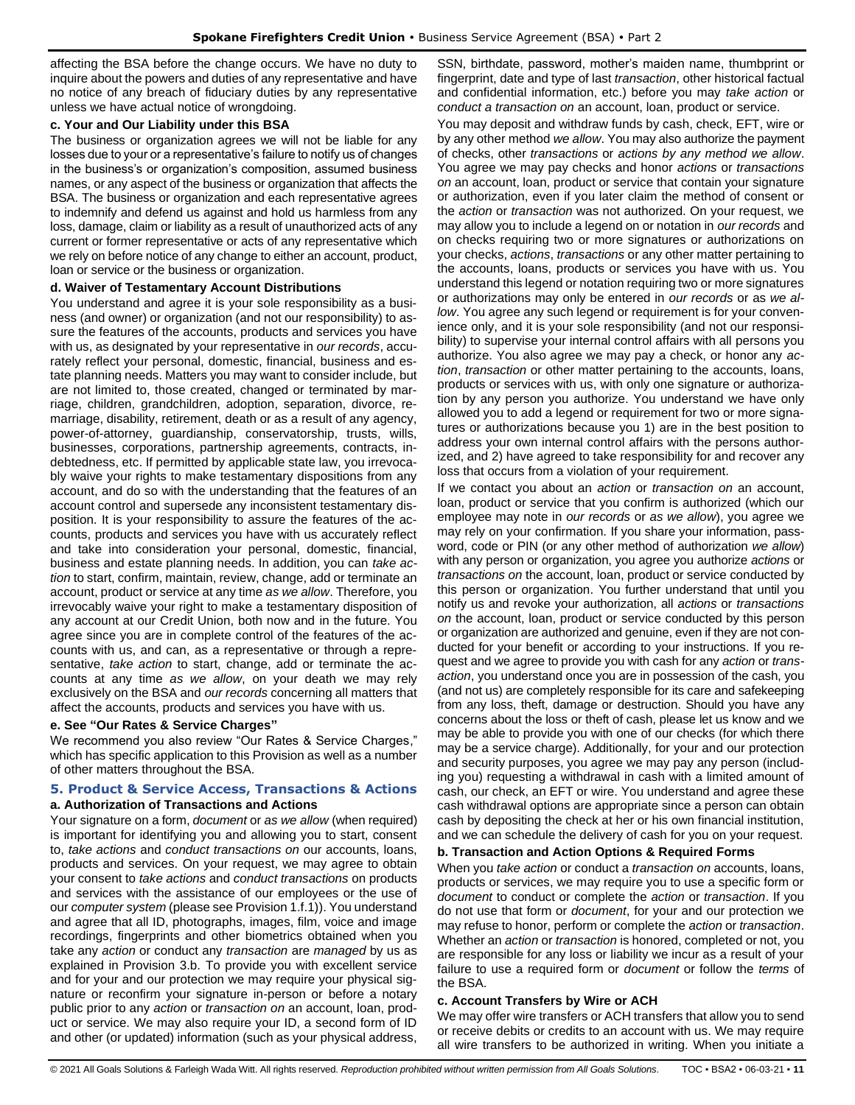affecting the BSA before the change occurs. We have no duty to inquire about the powers and duties of any representative and have no notice of any breach of fiduciary duties by any representative unless we have actual notice of wrongdoing.

#### **c. Your and Our Liability under this BSA**

The business or organization agrees we will not be liable for any losses due to your or a representative's failure to notify us of changes in the business's or organization's composition, assumed business names, or any aspect of the business or organization that affects the BSA. The business or organization and each representative agrees to indemnify and defend us against and hold us harmless from any loss, damage, claim or liability as a result of unauthorized acts of any current or former representative or acts of any representative which we rely on before notice of any change to either an account, product, loan or service or the business or organization.

#### **d. Waiver of Testamentary Account Distributions**

You understand and agree it is your sole responsibility as a business (and owner) or organization (and not our responsibility) to assure the features of the accounts, products and services you have with us, as designated by your representative in *our records*, accurately reflect your personal, domestic, financial, business and estate planning needs. Matters you may want to consider include, but are not limited to, those created, changed or terminated by marriage, children, grandchildren, adoption, separation, divorce, remarriage, disability, retirement, death or as a result of any agency, power-of-attorney, guardianship, conservatorship, trusts, wills, businesses, corporations, partnership agreements, contracts, indebtedness, etc. If permitted by applicable state law, you irrevocably waive your rights to make testamentary dispositions from any account, and do so with the understanding that the features of an account control and supersede any inconsistent testamentary disposition. It is your responsibility to assure the features of the accounts, products and services you have with us accurately reflect and take into consideration your personal, domestic, financial, business and estate planning needs. In addition, you can *take action* to start, confirm, maintain, review, change, add or terminate an account, product or service at any time *as we allow*. Therefore, you irrevocably waive your right to make a testamentary disposition of any account at our Credit Union, both now and in the future. You agree since you are in complete control of the features of the accounts with us, and can, as a representative or through a representative, *take action* to start, change, add or terminate the accounts at any time *as we allow*, on your death we may rely exclusively on the BSA and *our records* concerning all matters that affect the accounts, products and services you have with us.

#### **e. See "Our Rates & Service Charges"**

We recommend you also review "Our Rates & Service Charges," which has specific application to this Provision as well as a number of other matters throughout the BSA.

# <span id="page-10-0"></span>**5. Product & Service Access, Transactions & Actions**

## **a. Authorization of Transactions and Actions**

Your signature on a form, *document* or *as we allow* (when required) is important for identifying you and allowing you to start, consent to, *take actions* and *conduct transactions on* our accounts, loans, products and services. On your request, we may agree to obtain your consent to *take actions* and *conduct transactions* on products and services with the assistance of our employees or the use of our *computer system* (please see Provision 1.f.1)). You understand and agree that all ID, photographs, images, film, voice and image recordings, fingerprints and other biometrics obtained when you take any *action* or conduct any *transaction* are *managed* by us as explained in Provision 3.b. To provide you with excellent service and for your and our protection we may require your physical signature or reconfirm your signature in-person or before a notary public prior to any *action* or *transaction on* an account, loan, product or service. We may also require your ID, a second form of ID and other (or updated) information (such as your physical address,

SSN, birthdate, password, mother's maiden name, thumbprint or fingerprint, date and type of last *transaction*, other historical factual and confidential information, etc.) before you may *take action* or *conduct a transaction on* an account, loan, product or service.

You may deposit and withdraw funds by cash, check, EFT, wire or by any other method *we allow*. You may also authorize the payment of checks, other *transactions* or *actions by any method we allow*. You agree we may pay checks and honor *actions* or *transactions on* an account, loan, product or service that contain your signature or authorization, even if you later claim the method of consent or the *action* or *transaction* was not authorized. On your request, we may allow you to include a legend on or notation in *our records* and on checks requiring two or more signatures or authorizations on your checks, *actions*, *transactions* or any other matter pertaining to the accounts, loans, products or services you have with us. You understand this legend or notation requiring two or more signatures or authorizations may only be entered in *our records* or as *we allow*. You agree any such legend or requirement is for your convenience only, and it is your sole responsibility (and not our responsibility) to supervise your internal control affairs with all persons you authorize. You also agree we may pay a check, or honor any *action*, *transaction* or other matter pertaining to the accounts, loans, products or services with us, with only one signature or authorization by any person you authorize. You understand we have only allowed you to add a legend or requirement for two or more signatures or authorizations because you 1) are in the best position to address your own internal control affairs with the persons authorized, and 2) have agreed to take responsibility for and recover any loss that occurs from a violation of your requirement.

If we contact you about an *action* or *transaction on* an account, loan, product or service that you confirm is authorized (which our employee may note in *our records* or *as we allow*), you agree we may rely on your confirmation. If you share your information, password, code or PIN (or any other method of authorization *we allow*) with any person or organization, you agree you authorize *actions* or *transactions on* the account, loan, product or service conducted by this person or organization. You further understand that until you notify us and revoke your authorization, all *actions* or *transactions on* the account, loan, product or service conducted by this person or organization are authorized and genuine, even if they are not conducted for your benefit or according to your instructions. If you request and we agree to provide you with cash for any *action* or *transaction*, you understand once you are in possession of the cash, you (and not us) are completely responsible for its care and safekeeping from any loss, theft, damage or destruction. Should you have any concerns about the loss or theft of cash, please let us know and we may be able to provide you with one of our checks (for which there may be a service charge). Additionally, for your and our protection and security purposes, you agree we may pay any person (including you) requesting a withdrawal in cash with a limited amount of cash, our check, an EFT or wire. You understand and agree these cash withdrawal options are appropriate since a person can obtain cash by depositing the check at her or his own financial institution, and we can schedule the delivery of cash for you on your request.

## **b. Transaction and Action Options & Required Forms**

When you *take action* or conduct a *transaction on* accounts, loans, products or services, we may require you to use a specific form or *document* to conduct or complete the *action* or *transaction*. If you do not use that form or *document*, for your and our protection we may refuse to honor, perform or complete the *action* or *transaction*. Whether an *action* or *transaction* is honored, completed or not, you are responsible for any loss or liability we incur as a result of your failure to use a required form or *document* or follow the *terms* of the BSA.

## **c. Account Transfers by Wire or ACH**

We may offer wire transfers or ACH transfers that allow you to send or receive debits or credits to an account with us. We may require all wire transfers to be authorized in writing. When you initiate a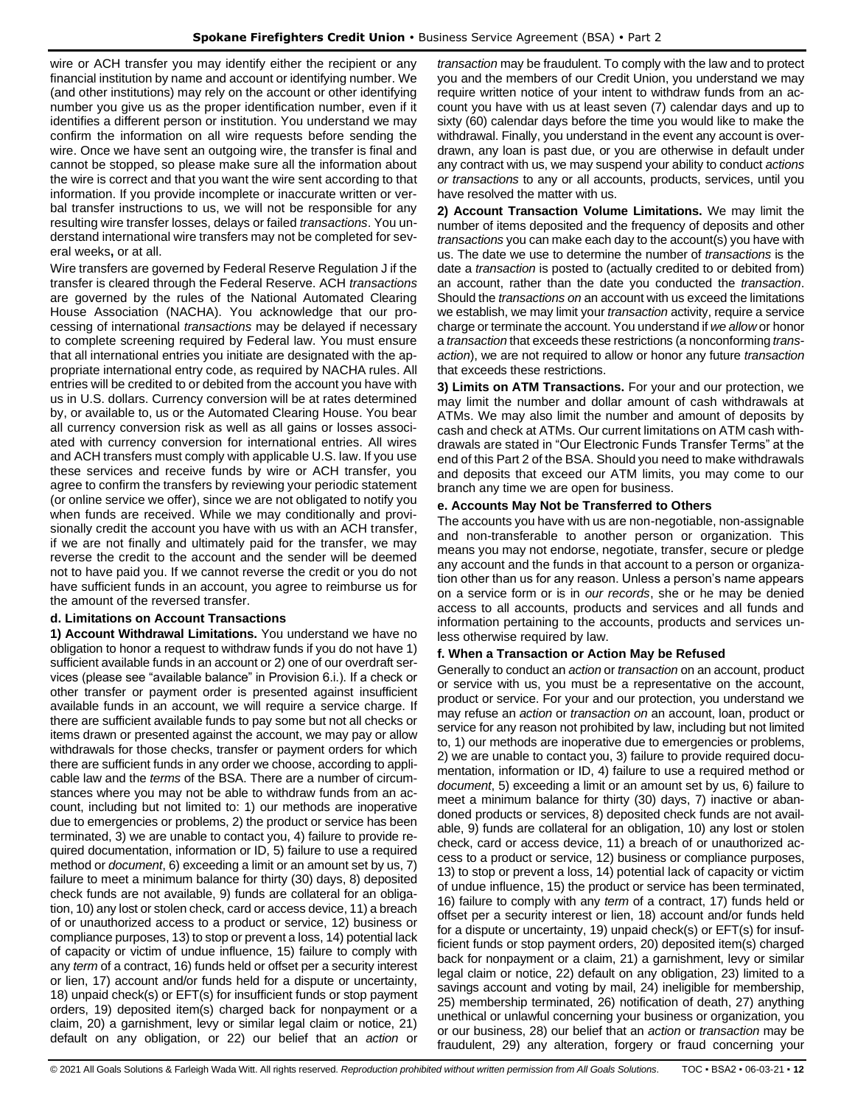wire or ACH transfer you may identify either the recipient or any financial institution by name and account or identifying number. We (and other institutions) may rely on the account or other identifying number you give us as the proper identification number, even if it identifies a different person or institution. You understand we may confirm the information on all wire requests before sending the wire. Once we have sent an outgoing wire, the transfer is final and cannot be stopped, so please make sure all the information about the wire is correct and that you want the wire sent according to that information. If you provide incomplete or inaccurate written or verbal transfer instructions to us, we will not be responsible for any resulting wire transfer losses, delays or failed *transactions*. You understand international wire transfers may not be completed for several weeks**,** or at all.

Wire transfers are governed by Federal Reserve Regulation J if the transfer is cleared through the Federal Reserve. ACH *transactions* are governed by the rules of the National Automated Clearing House Association (NACHA). You acknowledge that our processing of international *transactions* may be delayed if necessary to complete screening required by Federal law. You must ensure that all international entries you initiate are designated with the appropriate international entry code, as required by NACHA rules. All entries will be credited to or debited from the account you have with us in U.S. dollars. Currency conversion will be at rates determined by, or available to, us or the Automated Clearing House. You bear all currency conversion risk as well as all gains or losses associated with currency conversion for international entries. All wires and ACH transfers must comply with applicable U.S. law. If you use these services and receive funds by wire or ACH transfer, you agree to confirm the transfers by reviewing your periodic statement (or online service we offer), since we are not obligated to notify you when funds are received. While we may conditionally and provisionally credit the account you have with us with an ACH transfer, if we are not finally and ultimately paid for the transfer, we may reverse the credit to the account and the sender will be deemed not to have paid you. If we cannot reverse the credit or you do not have sufficient funds in an account, you agree to reimburse us for the amount of the reversed transfer.

## **d. Limitations on Account Transactions**

**1) Account Withdrawal Limitations.** You understand we have no obligation to honor a request to withdraw funds if you do not have 1) sufficient available funds in an account or 2) one of our overdraft services (please see "available balance" in Provision 6.i.). If a check or other transfer or payment order is presented against insufficient available funds in an account, we will require a service charge. If there are sufficient available funds to pay some but not all checks or items drawn or presented against the account, we may pay or allow withdrawals for those checks, transfer or payment orders for which there are sufficient funds in any order we choose, according to applicable law and the *terms* of the BSA. There are a number of circumstances where you may not be able to withdraw funds from an account, including but not limited to: 1) our methods are inoperative due to emergencies or problems, 2) the product or service has been terminated, 3) we are unable to contact you, 4) failure to provide required documentation, information or ID, 5) failure to use a required method or *document*, 6) exceeding a limit or an amount set by us, 7) failure to meet a minimum balance for thirty (30) days, 8) deposited check funds are not available, 9) funds are collateral for an obligation, 10) any lost or stolen check, card or access device, 11) a breach of or unauthorized access to a product or service, 12) business or compliance purposes, 13) to stop or prevent a loss, 14) potential lack of capacity or victim of undue influence, 15) failure to comply with any *term* of a contract, 16) funds held or offset per a security interest or lien, 17) account and/or funds held for a dispute or uncertainty, 18) unpaid check(s) or EFT(s) for insufficient funds or stop payment orders, 19) deposited item(s) charged back for nonpayment or a claim, 20) a garnishment, levy or similar legal claim or notice, 21) default on any obligation, or 22) our belief that an *action* or

*transaction* may be fraudulent. To comply with the law and to protect you and the members of our Credit Union, you understand we may require written notice of your intent to withdraw funds from an account you have with us at least seven (7) calendar days and up to sixty (60) calendar days before the time you would like to make the withdrawal. Finally, you understand in the event any account is overdrawn, any loan is past due, or you are otherwise in default under any contract with us, we may suspend your ability to conduct *actions or transactions* to any or all accounts, products, services, until you have resolved the matter with us.

**2) Account Transaction Volume Limitations.** We may limit the number of items deposited and the frequency of deposits and other *transactions* you can make each day to the account(s) you have with us. The date we use to determine the number of *transactions* is the date a *transaction* is posted to (actually credited to or debited from) an account, rather than the date you conducted the *transaction*. Should the *transactions on* an account with us exceed the limitations we establish, we may limit your *transaction* activity, require a service charge or terminate the account. You understand if *we allow* or honor a *transaction* that exceeds these restrictions (a nonconforming *transaction*), we are not required to allow or honor any future *transaction* that exceeds these restrictions.

**3) Limits on ATM Transactions.** For your and our protection, we may limit the number and dollar amount of cash withdrawals at ATMs. We may also limit the number and amount of deposits by cash and check at ATMs. Our current limitations on ATM cash withdrawals are stated in "Our Electronic Funds Transfer Terms" at the end of this Part 2 of the BSA. Should you need to make withdrawals and deposits that exceed our ATM limits, you may come to our branch any time we are open for business.

#### **e. Accounts May Not be Transferred to Others**

The accounts you have with us are non-negotiable, non-assignable and non-transferable to another person or organization. This means you may not endorse, negotiate, transfer, secure or pledge any account and the funds in that account to a person or organization other than us for any reason. Unless a person's name appears on a service form or is in *our records*, she or he may be denied access to all accounts, products and services and all funds and information pertaining to the accounts, products and services unless otherwise required by law.

## **f. When a Transaction or Action May be Refused**

Generally to conduct an *action* or *transaction* on an account, product or service with us, you must be a representative on the account, product or service. For your and our protection, you understand we may refuse an *action* or *transaction on* an account, loan, product or service for any reason not prohibited by law, including but not limited to, 1) our methods are inoperative due to emergencies or problems, 2) we are unable to contact you, 3) failure to provide required documentation, information or ID, 4) failure to use a required method or *document*, 5) exceeding a limit or an amount set by us, 6) failure to meet a minimum balance for thirty (30) days, 7) inactive or abandoned products or services, 8) deposited check funds are not available, 9) funds are collateral for an obligation, 10) any lost or stolen check, card or access device, 11) a breach of or unauthorized access to a product or service, 12) business or compliance purposes, 13) to stop or prevent a loss, 14) potential lack of capacity or victim of undue influence, 15) the product or service has been terminated, 16) failure to comply with any *term* of a contract, 17) funds held or offset per a security interest or lien, 18) account and/or funds held for a dispute or uncertainty, 19) unpaid check(s) or EFT(s) for insufficient funds or stop payment orders, 20) deposited item(s) charged back for nonpayment or a claim, 21) a garnishment, levy or similar legal claim or notice, 22) default on any obligation, 23) limited to a savings account and voting by mail, 24) ineligible for membership, 25) membership terminated, 26) notification of death, 27) anything unethical or unlawful concerning your business or organization, you or our business, 28) our belief that an *action* or *transaction* may be fraudulent, 29) any alteration, forgery or fraud concerning your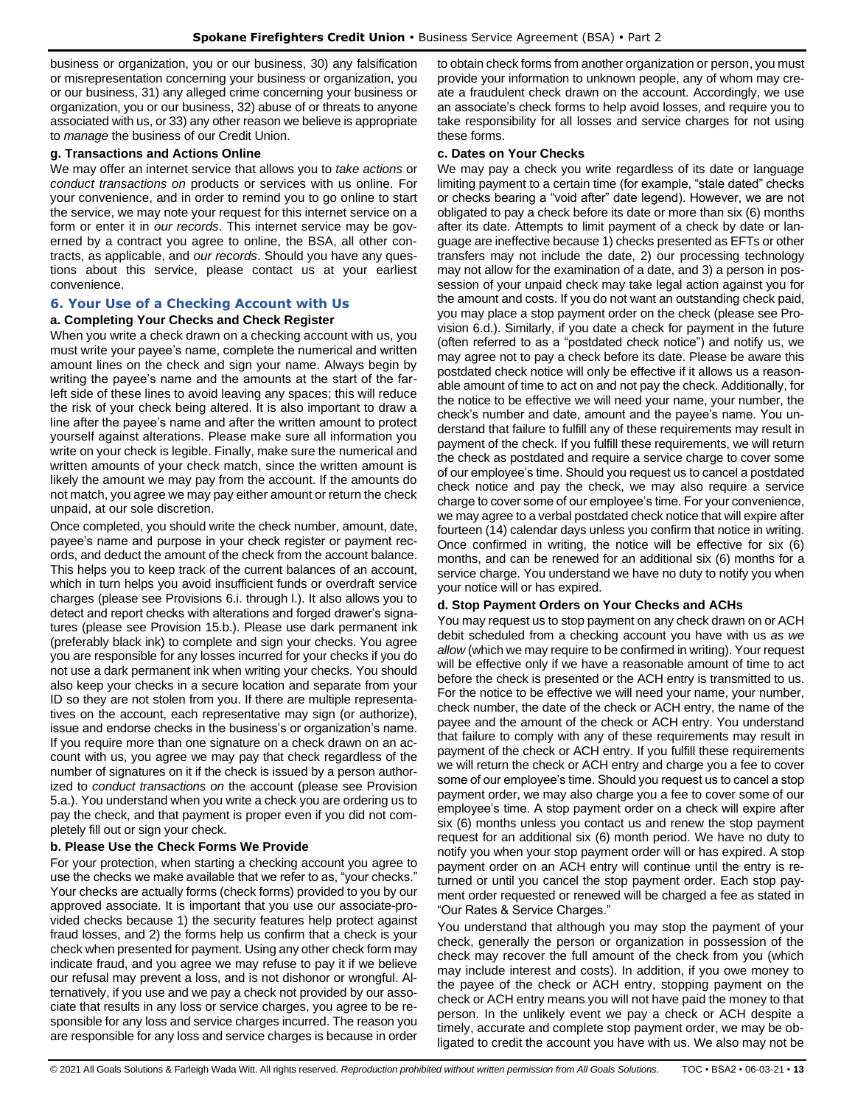business or organization, you or our business, 30) any falsification or misrepresentation concerning your business or organization, you or our business, 31) any alleged crime concerning your business or organization, you or our business, 32) abuse of or threats to anyone associated with us, or 33) any other reason we believe is appropriate to *manage* the business of our Credit Union.

#### **g. Transactions and Actions Online**

We may offer an internet service that allows you to *take actions* or *conduct transactions on* products or services with us online. For your convenience, and in order to remind you to go online to start the service, we may note your request for this internet service on a form or enter it in *our records*. This internet service may be governed by a contract you agree to online, the BSA, all other contracts, as applicable, and *our records*. Should you have any questions about this service, please contact us at your earliest convenience.

## <span id="page-12-0"></span>**6. Your Use of a Checking Account with Us**

## **a. Completing Your Checks and Check Register**

When you write a check drawn on a checking account with us, you must write your payee's name, complete the numerical and written amount lines on the check and sign your name. Always begin by writing the payee's name and the amounts at the start of the farleft side of these lines to avoid leaving any spaces; this will reduce the risk of your check being altered. It is also important to draw a line after the payee's name and after the written amount to protect yourself against alterations. Please make sure all information you write on your check is legible. Finally, make sure the numerical and written amounts of your check match, since the written amount is likely the amount we may pay from the account. If the amounts do not match, you agree we may pay either amount or return the check unpaid, at our sole discretion.

Once completed, you should write the check number, amount, date, payee's name and purpose in your check register or payment records, and deduct the amount of the check from the account balance. This helps you to keep track of the current balances of an account, which in turn helps you avoid insufficient funds or overdraft service charges (please see Provisions 6.i. through l.). It also allows you to detect and report checks with alterations and forged drawer's signatures (please see Provision 15.b.). Please use dark permanent ink (preferably black ink) to complete and sign your checks. You agree you are responsible for any losses incurred for your checks if you do not use a dark permanent ink when writing your checks. You should also keep your checks in a secure location and separate from your ID so they are not stolen from you. If there are multiple representatives on the account, each representative may sign (or authorize), issue and endorse checks in the business's or organization's name. If you require more than one signature on a check drawn on an account with us, you agree we may pay that check regardless of the number of signatures on it if the check is issued by a person authorized to *conduct transactions on* the account (please see Provision 5.a.). You understand when you write a check you are ordering us to pay the check, and that payment is proper even if you did not completely fill out or sign your check.

#### **b. Please Use the Check Forms We Provide**

For your protection, when starting a checking account you agree to use the checks we make available that we refer to as, "your checks." Your checks are actually forms (check forms) provided to you by our approved associate. It is important that you use our associate-provided checks because 1) the security features help protect against fraud losses, and 2) the forms help us confirm that a check is your check when presented for payment. Using any other check form may indicate fraud, and you agree we may refuse to pay it if we believe our refusal may prevent a loss, and is not dishonor or wrongful. Alternatively, if you use and we pay a check not provided by our associate that results in any loss or service charges, you agree to be responsible for any loss and service charges incurred. The reason you are responsible for any loss and service charges is because in order to obtain check forms from another organization or person, you must provide your information to unknown people, any of whom may create a fraudulent check drawn on the account. Accordingly, we use an associate's check forms to help avoid losses, and require you to take responsibility for all losses and service charges for not using these forms.

#### **c. Dates on Your Checks**

We may pay a check you write regardless of its date or language limiting payment to a certain time (for example, "stale dated" checks or checks bearing a "void after" date legend). However, we are not obligated to pay a check before its date or more than six (6) months after its date. Attempts to limit payment of a check by date or language are ineffective because 1) checks presented as EFTs or other transfers may not include the date, 2) our processing technology may not allow for the examination of a date, and 3) a person in possession of your unpaid check may take legal action against you for the amount and costs. If you do not want an outstanding check paid, you may place a stop payment order on the check (please see Provision 6.d.). Similarly, if you date a check for payment in the future (often referred to as a "postdated check notice") and notify us, we may agree not to pay a check before its date. Please be aware this postdated check notice will only be effective if it allows us a reasonable amount of time to act on and not pay the check. Additionally, for the notice to be effective we will need your name, your number, the check's number and date, amount and the payee's name. You understand that failure to fulfill any of these requirements may result in payment of the check. If you fulfill these requirements, we will return the check as postdated and require a service charge to cover some of our employee's time. Should you request us to cancel a postdated check notice and pay the check, we may also require a service charge to cover some of our employee's time. For your convenience, we may agree to a verbal postdated check notice that will expire after fourteen (14) calendar days unless you confirm that notice in writing. Once confirmed in writing, the notice will be effective for six (6) months, and can be renewed for an additional six (6) months for a service charge. You understand we have no duty to notify you when your notice will or has expired.

#### **d. Stop Payment Orders on Your Checks and ACHs**

You may request us to stop payment on any check drawn on or ACH debit scheduled from a checking account you have with us *as we allow* (which we may require to be confirmed in writing). Your request will be effective only if we have a reasonable amount of time to act before the check is presented or the ACH entry is transmitted to us. For the notice to be effective we will need your name, your number, check number, the date of the check or ACH entry, the name of the payee and the amount of the check or ACH entry. You understand that failure to comply with any of these requirements may result in payment of the check or ACH entry. If you fulfill these requirements we will return the check or ACH entry and charge you a fee to cover some of our employee's time. Should you request us to cancel a stop payment order, we may also charge you a fee to cover some of our employee's time. A stop payment order on a check will expire after six (6) months unless you contact us and renew the stop payment request for an additional six (6) month period. We have no duty to notify you when your stop payment order will or has expired. A stop payment order on an ACH entry will continue until the entry is returned or until you cancel the stop payment order. Each stop payment order requested or renewed will be charged a fee as stated in "Our Rates & Service Charges."

You understand that although you may stop the payment of your check, generally the person or organization in possession of the check may recover the full amount of the check from you (which may include interest and costs). In addition, if you owe money to the payee of the check or ACH entry, stopping payment on the check or ACH entry means you will not have paid the money to that person. In the unlikely event we pay a check or ACH despite a timely, accurate and complete stop payment order, we may be obligated to credit the account you have with us. We also may not be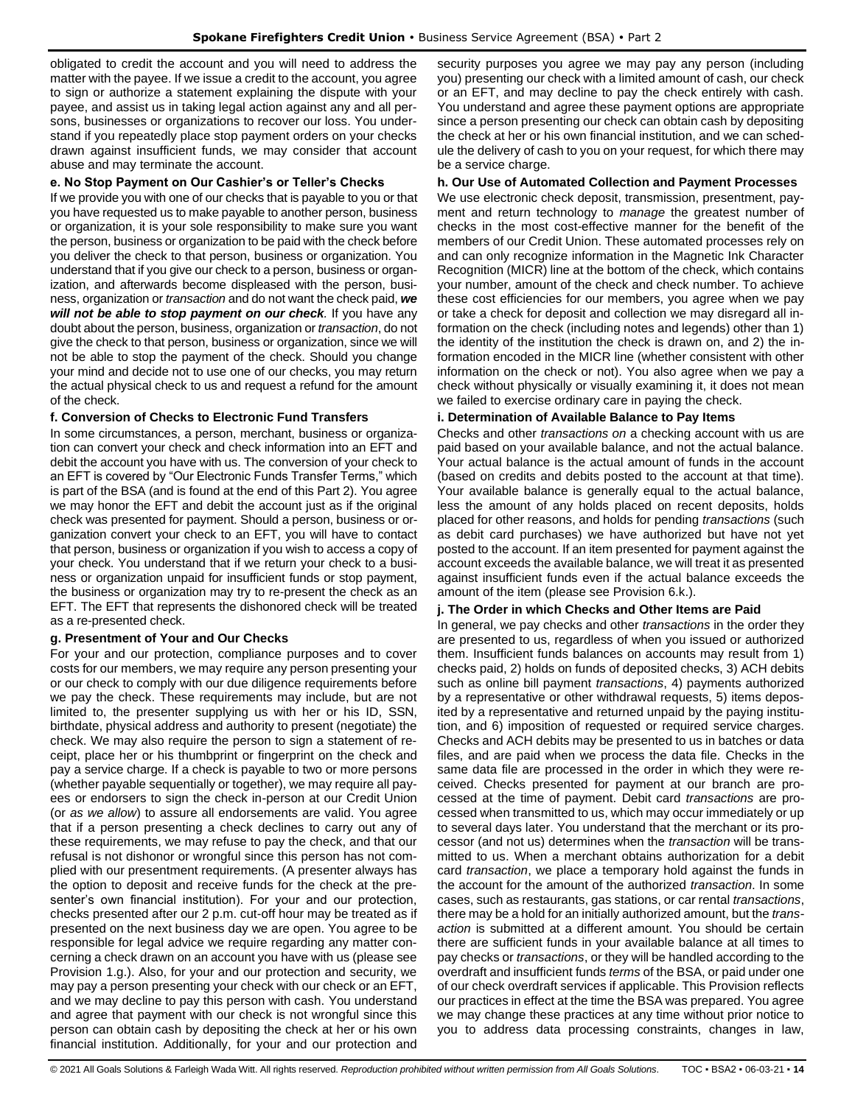obligated to credit the account and you will need to address the matter with the payee. If we issue a credit to the account, you agree to sign or authorize a statement explaining the dispute with your payee, and assist us in taking legal action against any and all persons, businesses or organizations to recover our loss. You understand if you repeatedly place stop payment orders on your checks drawn against insufficient funds, we may consider that account abuse and may terminate the account.

#### **e. No Stop Payment on Our Cashier's or Teller's Checks**

If we provide you with one of our checks that is payable to you or that you have requested us to make payable to another person, business or organization, it is your sole responsibility to make sure you want the person, business or organization to be paid with the check before you deliver the check to that person, business or organization. You understand that if you give our check to a person, business or organization, and afterwards become displeased with the person, business, organization or *transaction* and do not want the check paid, *we will not be able to stop payment on our check.* If you have any doubt about the person, business, organization or *transaction*, do not give the check to that person, business or organization, since we will not be able to stop the payment of the check. Should you change your mind and decide not to use one of our checks, you may return the actual physical check to us and request a refund for the amount of the check.

#### **f. Conversion of Checks to Electronic Fund Transfers**

In some circumstances, a person, merchant, business or organization can convert your check and check information into an EFT and debit the account you have with us. The conversion of your check to an EFT is covered by "Our Electronic Funds Transfer Terms," which is part of the BSA (and is found at the end of this Part 2). You agree we may honor the EFT and debit the account just as if the original check was presented for payment. Should a person, business or organization convert your check to an EFT, you will have to contact that person, business or organization if you wish to access a copy of your check. You understand that if we return your check to a business or organization unpaid for insufficient funds or stop payment, the business or organization may try to re-present the check as an EFT. The EFT that represents the dishonored check will be treated as a re-presented check.

## **g. Presentment of Your and Our Checks**

For your and our protection, compliance purposes and to cover costs for our members, we may require any person presenting your or our check to comply with our due diligence requirements before we pay the check. These requirements may include, but are not limited to, the presenter supplying us with her or his ID, SSN, birthdate, physical address and authority to present (negotiate) the check. We may also require the person to sign a statement of receipt, place her or his thumbprint or fingerprint on the check and pay a service charge. If a check is payable to two or more persons (whether payable sequentially or together), we may require all payees or endorsers to sign the check in-person at our Credit Union (or *as we allow*) to assure all endorsements are valid. You agree that if a person presenting a check declines to carry out any of these requirements, we may refuse to pay the check, and that our refusal is not dishonor or wrongful since this person has not complied with our presentment requirements. (A presenter always has the option to deposit and receive funds for the check at the presenter's own financial institution). For your and our protection, checks presented after our 2 p.m. cut-off hour may be treated as if presented on the next business day we are open. You agree to be responsible for legal advice we require regarding any matter concerning a check drawn on an account you have with us (please see Provision 1.g.). Also, for your and our protection and security, we may pay a person presenting your check with our check or an EFT, and we may decline to pay this person with cash. You understand and agree that payment with our check is not wrongful since this person can obtain cash by depositing the check at her or his own financial institution. Additionally, for your and our protection and

security purposes you agree we may pay any person (including you) presenting our check with a limited amount of cash, our check or an EFT, and may decline to pay the check entirely with cash. You understand and agree these payment options are appropriate since a person presenting our check can obtain cash by depositing the check at her or his own financial institution, and we can schedule the delivery of cash to you on your request, for which there may be a service charge.

#### **h. Our Use of Automated Collection and Payment Processes**

We use electronic check deposit, transmission, presentment, payment and return technology to *manage* the greatest number of checks in the most cost-effective manner for the benefit of the members of our Credit Union. These automated processes rely on and can only recognize information in the Magnetic Ink Character Recognition (MICR) line at the bottom of the check, which contains your number, amount of the check and check number. To achieve these cost efficiencies for our members, you agree when we pay or take a check for deposit and collection we may disregard all information on the check (including notes and legends) other than 1) the identity of the institution the check is drawn on, and 2) the information encoded in the MICR line (whether consistent with other information on the check or not). You also agree when we pay a check without physically or visually examining it, it does not mean we failed to exercise ordinary care in paying the check.

#### **i. Determination of Available Balance to Pay Items**

Checks and other *transactions on* a checking account with us are paid based on your available balance, and not the actual balance. Your actual balance is the actual amount of funds in the account (based on credits and debits posted to the account at that time). Your available balance is generally equal to the actual balance, less the amount of any holds placed on recent deposits, holds placed for other reasons, and holds for pending *transactions* (such as debit card purchases) we have authorized but have not yet posted to the account. If an item presented for payment against the account exceeds the available balance, we will treat it as presented against insufficient funds even if the actual balance exceeds the amount of the item (please see Provision 6.k.).

## **j. The Order in which Checks and Other Items are Paid**

In general, we pay checks and other *transactions* in the order they are presented to us, regardless of when you issued or authorized them. Insufficient funds balances on accounts may result from 1) checks paid, 2) holds on funds of deposited checks, 3) ACH debits such as online bill payment *transactions*, 4) payments authorized by a representative or other withdrawal requests, 5) items deposited by a representative and returned unpaid by the paying institution, and 6) imposition of requested or required service charges. Checks and ACH debits may be presented to us in batches or data files, and are paid when we process the data file. Checks in the same data file are processed in the order in which they were received. Checks presented for payment at our branch are processed at the time of payment. Debit card *transactions* are processed when transmitted to us, which may occur immediately or up to several days later. You understand that the merchant or its processor (and not us) determines when the *transaction* will be transmitted to us. When a merchant obtains authorization for a debit card *transaction*, we place a temporary hold against the funds in the account for the amount of the authorized *transaction*. In some cases, such as restaurants, gas stations, or car rental *transactions*, there may be a hold for an initially authorized amount, but the *transaction* is submitted at a different amount. You should be certain there are sufficient funds in your available balance at all times to pay checks or *transactions*, or they will be handled according to the overdraft and insufficient funds *terms* of the BSA, or paid under one of our check overdraft services if applicable. This Provision reflects our practices in effect at the time the BSA was prepared. You agree we may change these practices at any time without prior notice to you to address data processing constraints, changes in law,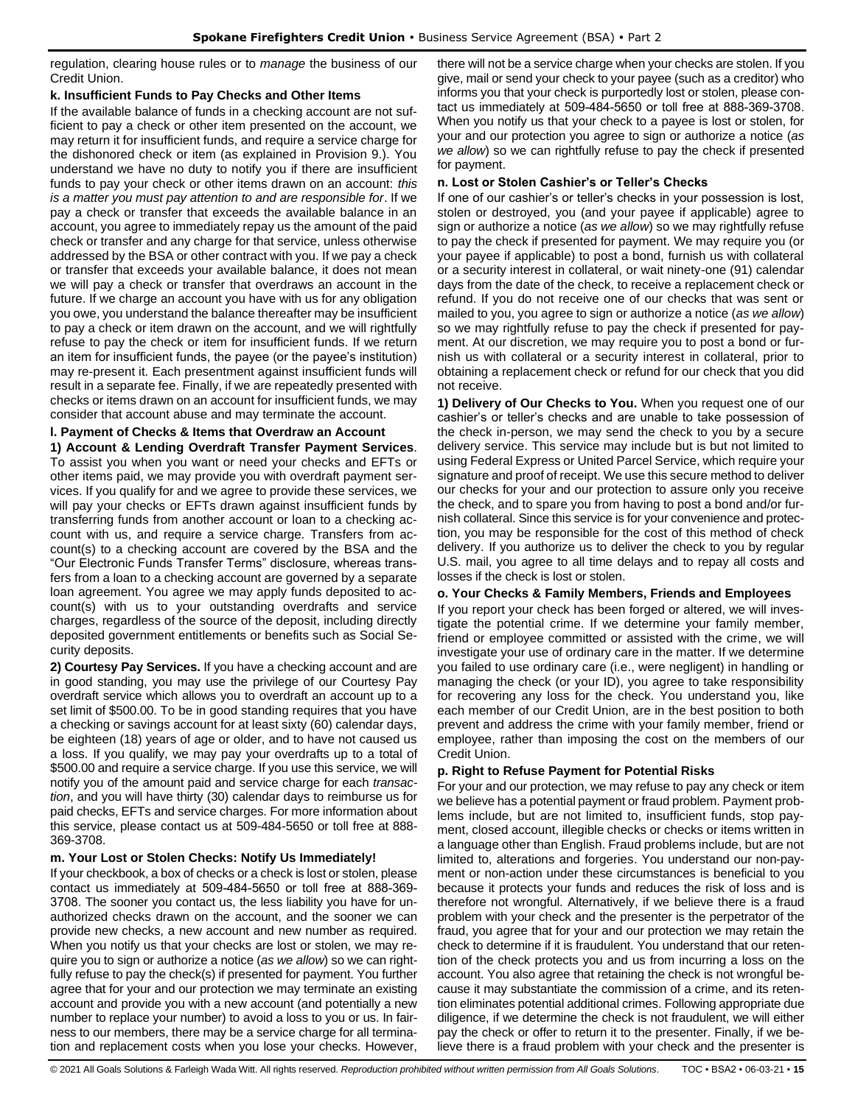regulation, clearing house rules or to *manage* the business of our Credit Union.

#### **k. Insufficient Funds to Pay Checks and Other Items**

If the available balance of funds in a checking account are not sufficient to pay a check or other item presented on the account, we may return it for insufficient funds, and require a service charge for the dishonored check or item (as explained in Provision 9.). You understand we have no duty to notify you if there are insufficient funds to pay your check or other items drawn on an account: *this is a matter you must pay attention to and are responsible for*. If we pay a check or transfer that exceeds the available balance in an account, you agree to immediately repay us the amount of the paid check or transfer and any charge for that service, unless otherwise addressed by the BSA or other contract with you. If we pay a check or transfer that exceeds your available balance, it does not mean we will pay a check or transfer that overdraws an account in the future. If we charge an account you have with us for any obligation you owe, you understand the balance thereafter may be insufficient to pay a check or item drawn on the account, and we will rightfully refuse to pay the check or item for insufficient funds. If we return an item for insufficient funds, the payee (or the payee's institution) may re-present it. Each presentment against insufficient funds will result in a separate fee. Finally, if we are repeatedly presented with checks or items drawn on an account for insufficient funds, we may consider that account abuse and may terminate the account.

## **l. Payment of Checks & Items that Overdraw an Account**

**1) Account & Lending Overdraft Transfer Payment Services**. To assist you when you want or need your checks and EFTs or other items paid, we may provide you with overdraft payment services. If you qualify for and we agree to provide these services, we will pay your checks or EFTs drawn against insufficient funds by transferring funds from another account or loan to a checking account with us, and require a service charge. Transfers from account(s) to a checking account are covered by the BSA and the "Our Electronic Funds Transfer Terms" disclosure, whereas transfers from a loan to a checking account are governed by a separate loan agreement. You agree we may apply funds deposited to account(s) with us to your outstanding overdrafts and service charges, regardless of the source of the deposit, including directly deposited government entitlements or benefits such as Social Security deposits.

**2) Courtesy Pay Services.** If you have a checking account and are in good standing, you may use the privilege of our Courtesy Pay overdraft service which allows you to overdraft an account up to a set limit of \$500.00. To be in good standing requires that you have a checking or savings account for at least sixty (60) calendar days, be eighteen (18) years of age or older, and to have not caused us a loss. If you qualify, we may pay your overdrafts up to a total of \$500.00 and require a service charge. If you use this service, we will notify you of the amount paid and service charge for each *transaction*, and you will have thirty (30) calendar days to reimburse us for paid checks, EFTs and service charges. For more information about this service, please contact us at 509-484-5650 or toll free at 888- 369-3708.

## **m. Your Lost or Stolen Checks: Notify Us Immediately!**

If your checkbook, a box of checks or a check is lost or stolen, please contact us immediately at 509-484-5650 or toll free at 888-369- 3708. The sooner you contact us, the less liability you have for unauthorized checks drawn on the account, and the sooner we can provide new checks, a new account and new number as required. When you notify us that your checks are lost or stolen, we may require you to sign or authorize a notice (*as we allow*) so we can rightfully refuse to pay the check(s) if presented for payment. You further agree that for your and our protection we may terminate an existing account and provide you with a new account (and potentially a new number to replace your number) to avoid a loss to you or us. In fairness to our members, there may be a service charge for all termination and replacement costs when you lose your checks. However,

there will not be a service charge when your checks are stolen. If you give, mail or send your check to your payee (such as a creditor) who informs you that your check is purportedly lost or stolen, please contact us immediately at 509-484-5650 or toll free at 888-369-3708. When you notify us that your check to a payee is lost or stolen, for your and our protection you agree to sign or authorize a notice (*as we allow*) so we can rightfully refuse to pay the check if presented for payment.

#### **n. Lost or Stolen Cashier's or Teller's Checks**

If one of our cashier's or teller's checks in your possession is lost, stolen or destroyed, you (and your payee if applicable) agree to sign or authorize a notice (*as we allow*) so we may rightfully refuse to pay the check if presented for payment. We may require you (or your payee if applicable) to post a bond, furnish us with collateral or a security interest in collateral, or wait ninety-one (91) calendar days from the date of the check, to receive a replacement check or refund. If you do not receive one of our checks that was sent or mailed to you, you agree to sign or authorize a notice (*as we allow*) so we may rightfully refuse to pay the check if presented for payment. At our discretion, we may require you to post a bond or furnish us with collateral or a security interest in collateral, prior to obtaining a replacement check or refund for our check that you did not receive.

**1) Delivery of Our Checks to You.** When you request one of our cashier's or teller's checks and are unable to take possession of the check in-person, we may send the check to you by a secure delivery service. This service may include but is but not limited to using Federal Express or United Parcel Service, which require your signature and proof of receipt. We use this secure method to deliver our checks for your and our protection to assure only you receive the check, and to spare you from having to post a bond and/or furnish collateral. Since this service is for your convenience and protection, you may be responsible for the cost of this method of check delivery. If you authorize us to deliver the check to you by regular U.S. mail, you agree to all time delays and to repay all costs and losses if the check is lost or stolen.

#### **o. Your Checks & Family Members, Friends and Employees**

If you report your check has been forged or altered, we will investigate the potential crime. If we determine your family member, friend or employee committed or assisted with the crime, we will investigate your use of ordinary care in the matter. If we determine you failed to use ordinary care (i.e., were negligent) in handling or managing the check (or your ID), you agree to take responsibility for recovering any loss for the check. You understand you, like each member of our Credit Union, are in the best position to both prevent and address the crime with your family member, friend or employee, rather than imposing the cost on the members of our Credit Union.

## **p. Right to Refuse Payment for Potential Risks**

For your and our protection, we may refuse to pay any check or item we believe has a potential payment or fraud problem. Payment problems include, but are not limited to, insufficient funds, stop payment, closed account, illegible checks or checks or items written in a language other than English. Fraud problems include, but are not limited to, alterations and forgeries. You understand our non-payment or non-action under these circumstances is beneficial to you because it protects your funds and reduces the risk of loss and is therefore not wrongful. Alternatively, if we believe there is a fraud problem with your check and the presenter is the perpetrator of the fraud, you agree that for your and our protection we may retain the check to determine if it is fraudulent. You understand that our retention of the check protects you and us from incurring a loss on the account. You also agree that retaining the check is not wrongful because it may substantiate the commission of a crime, and its retention eliminates potential additional crimes. Following appropriate due diligence, if we determine the check is not fraudulent, we will either pay the check or offer to return it to the presenter. Finally, if we believe there is a fraud problem with your check and the presenter is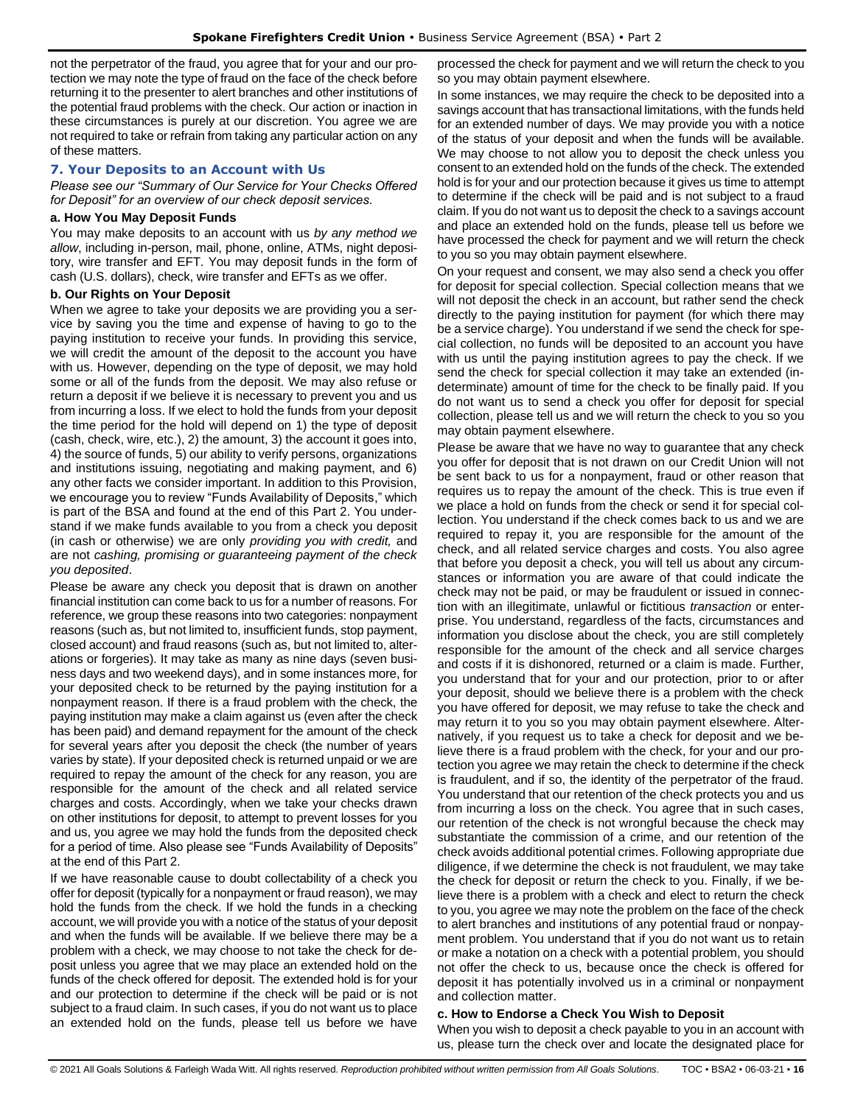not the perpetrator of the fraud, you agree that for your and our protection we may note the type of fraud on the face of the check before returning it to the presenter to alert branches and other institutions of the potential fraud problems with the check. Our action or inaction in these circumstances is purely at our discretion. You agree we are not required to take or refrain from taking any particular action on any of these matters.

## <span id="page-15-0"></span>**7. Your Deposits to an Account with Us**

*Please see our "Summary of Our Service for Your Checks Offered for Deposit" for an overview of our check deposit services.*

#### **a. How You May Deposit Funds**

You may make deposits to an account with us *by any method we allow*, including in-person, mail, phone, online, ATMs, night depository, wire transfer and EFT. You may deposit funds in the form of cash (U.S. dollars), check, wire transfer and EFTs as we offer.

#### **b. Our Rights on Your Deposit**

When we agree to take your deposits we are providing you a service by saving you the time and expense of having to go to the paying institution to receive your funds. In providing this service, we will credit the amount of the deposit to the account you have with us. However, depending on the type of deposit, we may hold some or all of the funds from the deposit. We may also refuse or return a deposit if we believe it is necessary to prevent you and us from incurring a loss. If we elect to hold the funds from your deposit the time period for the hold will depend on 1) the type of deposit (cash, check, wire, etc.), 2) the amount, 3) the account it goes into, 4) the source of funds, 5) our ability to verify persons, organizations and institutions issuing, negotiating and making payment, and 6) any other facts we consider important. In addition to this Provision, we encourage you to review "Funds Availability of Deposits," which is part of the BSA and found at the end of this Part 2. You understand if we make funds available to you from a check you deposit (in cash or otherwise) we are only *providing you with credit,* and are not *cashing, promising or guaranteeing payment of the check you deposited*.

Please be aware any check you deposit that is drawn on another financial institution can come back to us for a number of reasons. For reference, we group these reasons into two categories: nonpayment reasons (such as, but not limited to, insufficient funds, stop payment, closed account) and fraud reasons (such as, but not limited to, alterations or forgeries). It may take as many as nine days (seven business days and two weekend days), and in some instances more, for your deposited check to be returned by the paying institution for a nonpayment reason. If there is a fraud problem with the check, the paying institution may make a claim against us (even after the check has been paid) and demand repayment for the amount of the check for several years after you deposit the check (the number of years varies by state). If your deposited check is returned unpaid or we are required to repay the amount of the check for any reason, you are responsible for the amount of the check and all related service charges and costs. Accordingly, when we take your checks drawn on other institutions for deposit, to attempt to prevent losses for you and us, you agree we may hold the funds from the deposited check for a period of time. Also please see "Funds Availability of Deposits" at the end of this Part 2.

If we have reasonable cause to doubt collectability of a check you offer for deposit (typically for a nonpayment or fraud reason), we may hold the funds from the check. If we hold the funds in a checking account, we will provide you with a notice of the status of your deposit and when the funds will be available. If we believe there may be a problem with a check, we may choose to not take the check for deposit unless you agree that we may place an extended hold on the funds of the check offered for deposit. The extended hold is for your and our protection to determine if the check will be paid or is not subject to a fraud claim. In such cases, if you do not want us to place an extended hold on the funds, please tell us before we have processed the check for payment and we will return the check to you so you may obtain payment elsewhere.

In some instances, we may require the check to be deposited into a savings account that has transactional limitations, with the funds held for an extended number of days. We may provide you with a notice of the status of your deposit and when the funds will be available. We may choose to not allow you to deposit the check unless you consent to an extended hold on the funds of the check. The extended hold is for your and our protection because it gives us time to attempt to determine if the check will be paid and is not subject to a fraud claim. If you do not want us to deposit the check to a savings account and place an extended hold on the funds, please tell us before we have processed the check for payment and we will return the check to you so you may obtain payment elsewhere.

On your request and consent, we may also send a check you offer for deposit for special collection. Special collection means that we will not deposit the check in an account, but rather send the check directly to the paying institution for payment (for which there may be a service charge). You understand if we send the check for special collection, no funds will be deposited to an account you have with us until the paying institution agrees to pay the check. If we send the check for special collection it may take an extended (indeterminate) amount of time for the check to be finally paid. If you do not want us to send a check you offer for deposit for special collection, please tell us and we will return the check to you so you may obtain payment elsewhere.

Please be aware that we have no way to guarantee that any check you offer for deposit that is not drawn on our Credit Union will not be sent back to us for a nonpayment, fraud or other reason that requires us to repay the amount of the check. This is true even if we place a hold on funds from the check or send it for special collection. You understand if the check comes back to us and we are required to repay it, you are responsible for the amount of the check, and all related service charges and costs. You also agree that before you deposit a check, you will tell us about any circumstances or information you are aware of that could indicate the check may not be paid, or may be fraudulent or issued in connection with an illegitimate, unlawful or fictitious *transaction* or enterprise. You understand, regardless of the facts, circumstances and information you disclose about the check, you are still completely responsible for the amount of the check and all service charges and costs if it is dishonored, returned or a claim is made. Further, you understand that for your and our protection, prior to or after your deposit, should we believe there is a problem with the check you have offered for deposit, we may refuse to take the check and may return it to you so you may obtain payment elsewhere. Alternatively, if you request us to take a check for deposit and we believe there is a fraud problem with the check, for your and our protection you agree we may retain the check to determine if the check is fraudulent, and if so, the identity of the perpetrator of the fraud. You understand that our retention of the check protects you and us from incurring a loss on the check. You agree that in such cases, our retention of the check is not wrongful because the check may substantiate the commission of a crime, and our retention of the check avoids additional potential crimes. Following appropriate due diligence, if we determine the check is not fraudulent, we may take the check for deposit or return the check to you. Finally, if we believe there is a problem with a check and elect to return the check to you, you agree we may note the problem on the face of the check to alert branches and institutions of any potential fraud or nonpayment problem. You understand that if you do not want us to retain or make a notation on a check with a potential problem, you should not offer the check to us, because once the check is offered for deposit it has potentially involved us in a criminal or nonpayment and collection matter.

## **c. How to Endorse a Check You Wish to Deposit**

When you wish to deposit a check payable to you in an account with us, please turn the check over and locate the designated place for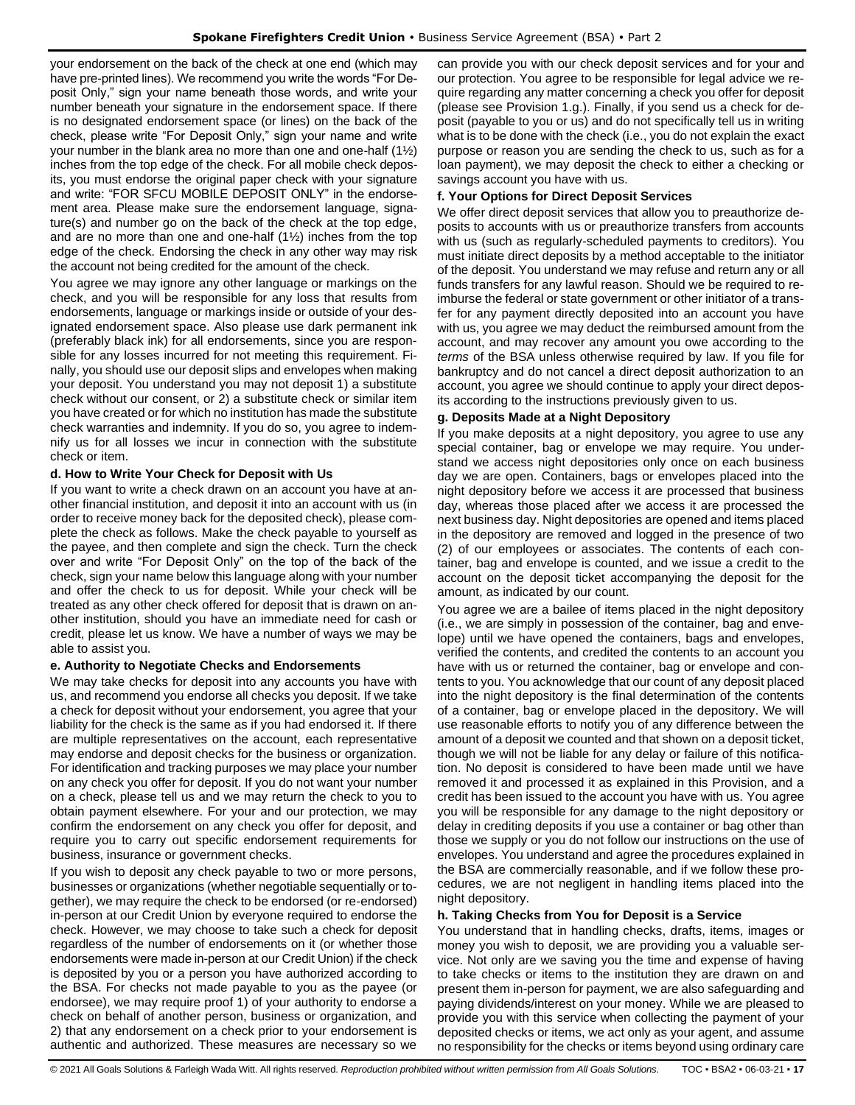your endorsement on the back of the check at one end (which may have pre-printed lines). We recommend you write the words "For Deposit Only," sign your name beneath those words, and write your number beneath your signature in the endorsement space. If there is no designated endorsement space (or lines) on the back of the check, please write "For Deposit Only," sign your name and write your number in the blank area no more than one and one-half (1½) inches from the top edge of the check. For all mobile check deposits, you must endorse the original paper check with your signature and write: "FOR SFCU MOBILE DEPOSIT ONLY" in the endorsement area. Please make sure the endorsement language, signature(s) and number go on the back of the check at the top edge, and are no more than one and one-half (1½) inches from the top edge of the check. Endorsing the check in any other way may risk the account not being credited for the amount of the check.

You agree we may ignore any other language or markings on the check, and you will be responsible for any loss that results from endorsements, language or markings inside or outside of your designated endorsement space. Also please use dark permanent ink (preferably black ink) for all endorsements, since you are responsible for any losses incurred for not meeting this requirement. Finally, you should use our deposit slips and envelopes when making your deposit. You understand you may not deposit 1) a substitute check without our consent, or 2) a substitute check or similar item you have created or for which no institution has made the substitute check warranties and indemnity. If you do so, you agree to indemnify us for all losses we incur in connection with the substitute check or item.

## **d. How to Write Your Check for Deposit with Us**

If you want to write a check drawn on an account you have at another financial institution, and deposit it into an account with us (in order to receive money back for the deposited check), please complete the check as follows. Make the check payable to yourself as the payee, and then complete and sign the check. Turn the check over and write "For Deposit Only" on the top of the back of the check, sign your name below this language along with your number and offer the check to us for deposit. While your check will be treated as any other check offered for deposit that is drawn on another institution, should you have an immediate need for cash or credit, please let us know. We have a number of ways we may be able to assist you.

## **e. Authority to Negotiate Checks and Endorsements**

We may take checks for deposit into any accounts you have with us, and recommend you endorse all checks you deposit. If we take a check for deposit without your endorsement, you agree that your liability for the check is the same as if you had endorsed it. If there are multiple representatives on the account, each representative may endorse and deposit checks for the business or organization. For identification and tracking purposes we may place your number on any check you offer for deposit. If you do not want your number on a check, please tell us and we may return the check to you to obtain payment elsewhere. For your and our protection, we may confirm the endorsement on any check you offer for deposit, and require you to carry out specific endorsement requirements for business, insurance or government checks.

If you wish to deposit any check payable to two or more persons, businesses or organizations (whether negotiable sequentially or together), we may require the check to be endorsed (or re-endorsed) in-person at our Credit Union by everyone required to endorse the check. However, we may choose to take such a check for deposit regardless of the number of endorsements on it (or whether those endorsements were made in-person at our Credit Union) if the check is deposited by you or a person you have authorized according to the BSA. For checks not made payable to you as the payee (or endorsee), we may require proof 1) of your authority to endorse a check on behalf of another person, business or organization, and 2) that any endorsement on a check prior to your endorsement is authentic and authorized. These measures are necessary so we

can provide you with our check deposit services and for your and our protection. You agree to be responsible for legal advice we require regarding any matter concerning a check you offer for deposit (please see Provision 1.g.). Finally, if you send us a check for deposit (payable to you or us) and do not specifically tell us in writing what is to be done with the check (i.e., you do not explain the exact purpose or reason you are sending the check to us, such as for a loan payment), we may deposit the check to either a checking or savings account you have with us.

## **f. Your Options for Direct Deposit Services**

We offer direct deposit services that allow you to preauthorize deposits to accounts with us or preauthorize transfers from accounts with us (such as regularly-scheduled payments to creditors). You must initiate direct deposits by a method acceptable to the initiator of the deposit. You understand we may refuse and return any or all funds transfers for any lawful reason. Should we be required to reimburse the federal or state government or other initiator of a transfer for any payment directly deposited into an account you have with us, you agree we may deduct the reimbursed amount from the account, and may recover any amount you owe according to the *terms* of the BSA unless otherwise required by law. If you file for bankruptcy and do not cancel a direct deposit authorization to an account, you agree we should continue to apply your direct deposits according to the instructions previously given to us.

## **g. Deposits Made at a Night Depository**

If you make deposits at a night depository, you agree to use any special container, bag or envelope we may require. You understand we access night depositories only once on each business day we are open. Containers, bags or envelopes placed into the night depository before we access it are processed that business day, whereas those placed after we access it are processed the next business day. Night depositories are opened and items placed in the depository are removed and logged in the presence of two (2) of our employees or associates. The contents of each container, bag and envelope is counted, and we issue a credit to the account on the deposit ticket accompanying the deposit for the amount, as indicated by our count.

You agree we are a bailee of items placed in the night depository (i.e., we are simply in possession of the container, bag and envelope) until we have opened the containers, bags and envelopes, verified the contents, and credited the contents to an account you have with us or returned the container, bag or envelope and contents to you. You acknowledge that our count of any deposit placed into the night depository is the final determination of the contents of a container, bag or envelope placed in the depository. We will use reasonable efforts to notify you of any difference between the amount of a deposit we counted and that shown on a deposit ticket, though we will not be liable for any delay or failure of this notification. No deposit is considered to have been made until we have removed it and processed it as explained in this Provision, and a credit has been issued to the account you have with us. You agree you will be responsible for any damage to the night depository or delay in crediting deposits if you use a container or bag other than those we supply or you do not follow our instructions on the use of envelopes. You understand and agree the procedures explained in the BSA are commercially reasonable, and if we follow these procedures, we are not negligent in handling items placed into the night depository.

## **h. Taking Checks from You for Deposit is a Service**

You understand that in handling checks, drafts, items, images or money you wish to deposit, we are providing you a valuable service. Not only are we saving you the time and expense of having to take checks or items to the institution they are drawn on and present them in-person for payment, we are also safeguarding and paying dividends/interest on your money. While we are pleased to provide you with this service when collecting the payment of your deposited checks or items, we act only as your agent, and assume no responsibility for the checks or items beyond using ordinary care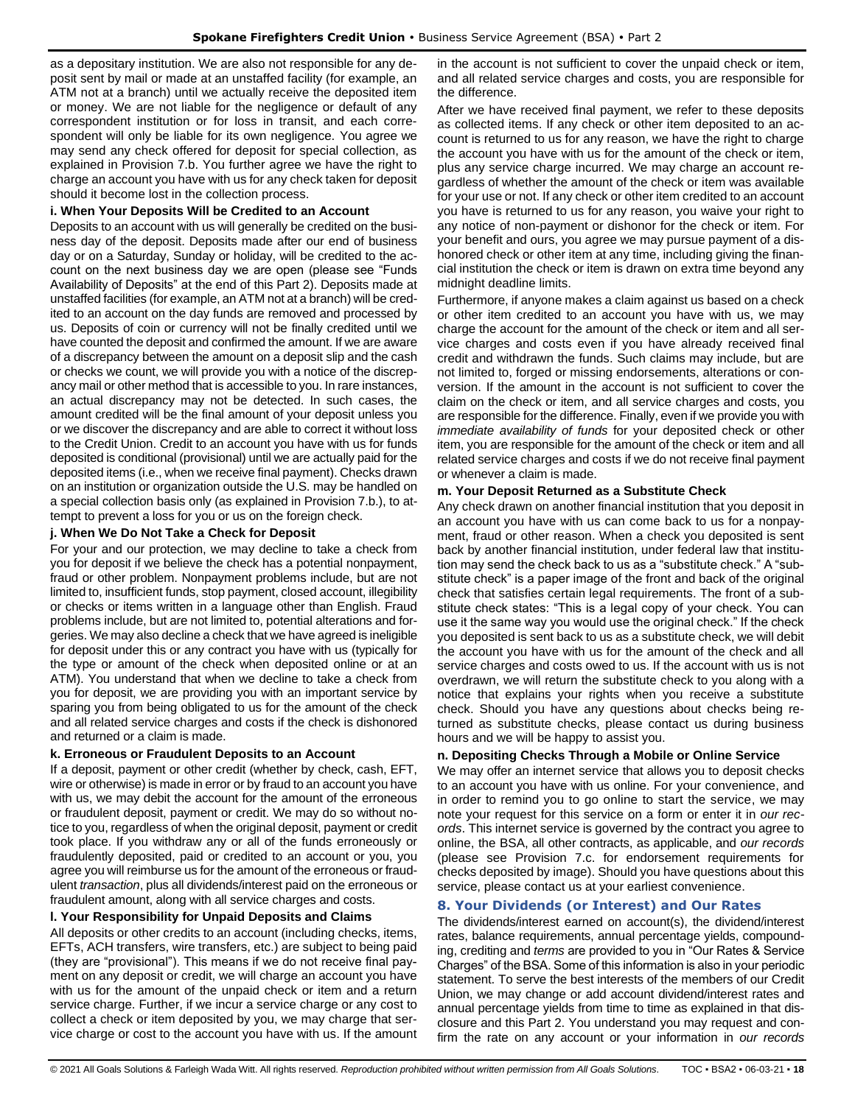as a depositary institution. We are also not responsible for any deposit sent by mail or made at an unstaffed facility (for example, an ATM not at a branch) until we actually receive the deposited item or money. We are not liable for the negligence or default of any correspondent institution or for loss in transit, and each correspondent will only be liable for its own negligence. You agree we may send any check offered for deposit for special collection, as explained in Provision 7.b. You further agree we have the right to charge an account you have with us for any check taken for deposit should it become lost in the collection process.

#### **i. When Your Deposits Will be Credited to an Account**

Deposits to an account with us will generally be credited on the business day of the deposit. Deposits made after our end of business day or on a Saturday, Sunday or holiday, will be credited to the account on the next business day we are open (please see "Funds Availability of Deposits" at the end of this Part 2). Deposits made at unstaffed facilities (for example, an ATM not at a branch) will be credited to an account on the day funds are removed and processed by us. Deposits of coin or currency will not be finally credited until we have counted the deposit and confirmed the amount. If we are aware of a discrepancy between the amount on a deposit slip and the cash or checks we count, we will provide you with a notice of the discrepancy mail or other method that is accessible to you. In rare instances, an actual discrepancy may not be detected. In such cases, the amount credited will be the final amount of your deposit unless you or we discover the discrepancy and are able to correct it without loss to the Credit Union. Credit to an account you have with us for funds deposited is conditional (provisional) until we are actually paid for the deposited items (i.e., when we receive final payment). Checks drawn on an institution or organization outside the U.S. may be handled on a special collection basis only (as explained in Provision 7.b.), to attempt to prevent a loss for you or us on the foreign check.

#### **j. When We Do Not Take a Check for Deposit**

For your and our protection, we may decline to take a check from you for deposit if we believe the check has a potential nonpayment, fraud or other problem. Nonpayment problems include, but are not limited to, insufficient funds, stop payment, closed account, illegibility or checks or items written in a language other than English. Fraud problems include, but are not limited to, potential alterations and forgeries. We may also decline a check that we have agreed is ineligible for deposit under this or any contract you have with us (typically for the type or amount of the check when deposited online or at an ATM). You understand that when we decline to take a check from you for deposit, we are providing you with an important service by sparing you from being obligated to us for the amount of the check and all related service charges and costs if the check is dishonored and returned or a claim is made.

#### **k. Erroneous or Fraudulent Deposits to an Account**

If a deposit, payment or other credit (whether by check, cash, EFT, wire or otherwise) is made in error or by fraud to an account you have with us, we may debit the account for the amount of the erroneous or fraudulent deposit, payment or credit. We may do so without notice to you, regardless of when the original deposit, payment or credit took place. If you withdraw any or all of the funds erroneously or fraudulently deposited, paid or credited to an account or you, you agree you will reimburse us for the amount of the erroneous or fraudulent *transaction*, plus all dividends/interest paid on the erroneous or fraudulent amount, along with all service charges and costs.

## **l. Your Responsibility for Unpaid Deposits and Claims**

All deposits or other credits to an account (including checks, items, EFTs, ACH transfers, wire transfers, etc.) are subject to being paid (they are "provisional"). This means if we do not receive final payment on any deposit or credit, we will charge an account you have with us for the amount of the unpaid check or item and a return service charge. Further, if we incur a service charge or any cost to collect a check or item deposited by you, we may charge that service charge or cost to the account you have with us. If the amount in the account is not sufficient to cover the unpaid check or item, and all related service charges and costs, you are responsible for the difference.

After we have received final payment, we refer to these deposits as collected items. If any check or other item deposited to an account is returned to us for any reason, we have the right to charge the account you have with us for the amount of the check or item, plus any service charge incurred. We may charge an account regardless of whether the amount of the check or item was available for your use or not. If any check or other item credited to an account you have is returned to us for any reason, you waive your right to any notice of non-payment or dishonor for the check or item. For your benefit and ours, you agree we may pursue payment of a dishonored check or other item at any time, including giving the financial institution the check or item is drawn on extra time beyond any midnight deadline limits.

Furthermore, if anyone makes a claim against us based on a check or other item credited to an account you have with us, we may charge the account for the amount of the check or item and all service charges and costs even if you have already received final credit and withdrawn the funds. Such claims may include, but are not limited to, forged or missing endorsements, alterations or conversion. If the amount in the account is not sufficient to cover the claim on the check or item, and all service charges and costs, you are responsible for the difference. Finally, even if we provide you with *immediate availability of funds* for your deposited check or other item, you are responsible for the amount of the check or item and all related service charges and costs if we do not receive final payment or whenever a claim is made.

#### **m. Your Deposit Returned as a Substitute Check**

Any check drawn on another financial institution that you deposit in an account you have with us can come back to us for a nonpayment, fraud or other reason. When a check you deposited is sent back by another financial institution, under federal law that institution may send the check back to us as a "substitute check." A "substitute check" is a paper image of the front and back of the original check that satisfies certain legal requirements. The front of a substitute check states: "This is a legal copy of your check. You can use it the same way you would use the original check." If the check you deposited is sent back to us as a substitute check, we will debit the account you have with us for the amount of the check and all service charges and costs owed to us. If the account with us is not overdrawn, we will return the substitute check to you along with a notice that explains your rights when you receive a substitute check. Should you have any questions about checks being returned as substitute checks, please contact us during business hours and we will be happy to assist you.

## **n. Depositing Checks Through a Mobile or Online Service**

We may offer an internet service that allows you to deposit checks to an account you have with us online. For your convenience, and in order to remind you to go online to start the service, we may note your request for this service on a form or enter it in *our records*. This internet service is governed by the contract you agree to online, the BSA, all other contracts, as applicable, and *our records* (please see Provision 7.c. for endorsement requirements for checks deposited by image). Should you have questions about this service, please contact us at your earliest convenience.

## <span id="page-17-0"></span>**8. Your Dividends (or Interest) and Our Rates**

The dividends/interest earned on account(s), the dividend/interest rates, balance requirements, annual percentage yields, compounding, crediting and *terms* are provided to you in "Our Rates & Service Charges" of the BSA. Some of this information is also in your periodic statement. To serve the best interests of the members of our Credit Union, we may change or add account dividend/interest rates and annual percentage yields from time to time as explained in that disclosure and this Part 2. You understand you may request and confirm the rate on any account or your information in *our records*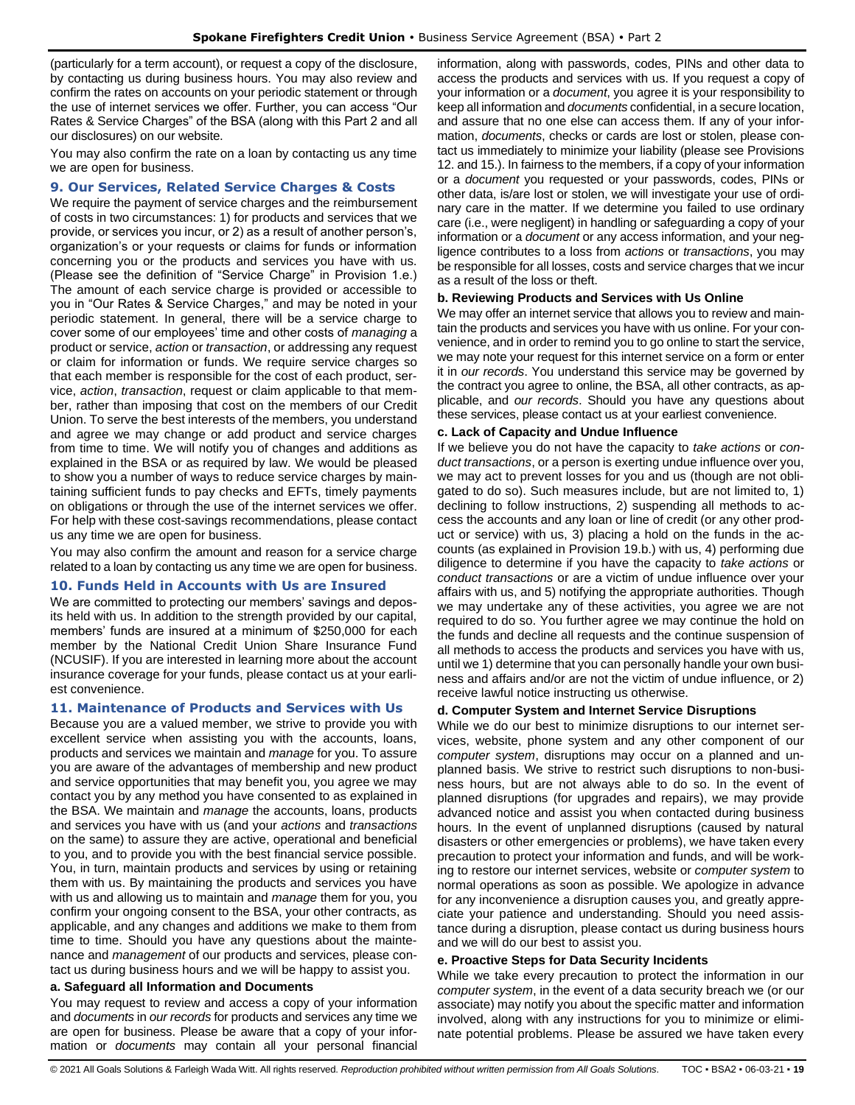(particularly for a term account), or request a copy of the disclosure, by contacting us during business hours. You may also review and confirm the rates on accounts on your periodic statement or through the use of internet services we offer. Further, you can access "Our Rates & Service Charges" of the BSA (along with this Part 2 and all our disclosures) on our website.

You may also confirm the rate on a loan by contacting us any time we are open for business.

#### <span id="page-18-0"></span>**9. Our Services, Related Service Charges & Costs**

We require the payment of service charges and the reimbursement of costs in two circumstances: 1) for products and services that we provide, or services you incur, or 2) as a result of another person's, organization's or your requests or claims for funds or information concerning you or the products and services you have with us. (Please see the definition of "Service Charge" in Provision 1.e.) The amount of each service charge is provided or accessible to you in "Our Rates & Service Charges," and may be noted in your periodic statement. In general, there will be a service charge to cover some of our employees' time and other costs of *managing* a product or service, *action* or *transaction*, or addressing any request or claim for information or funds. We require service charges so that each member is responsible for the cost of each product, service, *action*, *transaction*, request or claim applicable to that member, rather than imposing that cost on the members of our Credit Union. To serve the best interests of the members, you understand and agree we may change or add product and service charges from time to time. We will notify you of changes and additions as explained in the BSA or as required by law. We would be pleased to show you a number of ways to reduce service charges by maintaining sufficient funds to pay checks and EFTs, timely payments on obligations or through the use of the internet services we offer. For help with these cost-savings recommendations, please contact us any time we are open for business.

You may also confirm the amount and reason for a service charge related to a loan by contacting us any time we are open for business.

## <span id="page-18-1"></span>**10. Funds Held in Accounts with Us are Insured**

We are committed to protecting our members' savings and deposits held with us. In addition to the strength provided by our capital, members' funds are insured at a minimum of \$250,000 for each member by the National Credit Union Share Insurance Fund (NCUSIF). If you are interested in learning more about the account insurance coverage for your funds, please contact us at your earliest convenience.

## <span id="page-18-2"></span>**11. Maintenance of Products and Services with Us**

Because you are a valued member, we strive to provide you with excellent service when assisting you with the accounts, loans, products and services we maintain and *manage* for you. To assure you are aware of the advantages of membership and new product and service opportunities that may benefit you, you agree we may contact you by any method you have consented to as explained in the BSA. We maintain and *manage* the accounts, loans, products and services you have with us (and your *actions* and *transactions* on the same) to assure they are active, operational and beneficial to you, and to provide you with the best financial service possible. You, in turn, maintain products and services by using or retaining them with us. By maintaining the products and services you have with us and allowing us to maintain and *manage* them for you, you confirm your ongoing consent to the BSA, your other contracts, as applicable, and any changes and additions we make to them from time to time. Should you have any questions about the maintenance and *management* of our products and services, please contact us during business hours and we will be happy to assist you.

## **a. Safeguard all Information and Documents**

You may request to review and access a copy of your information and *documents* in *our records* for products and services any time we are open for business. Please be aware that a copy of your information or *documents* may contain all your personal financial information, along with passwords, codes, PINs and other data to access the products and services with us. If you request a copy of your information or a *document*, you agree it is your responsibility to keep all information and *documents* confidential, in a secure location, and assure that no one else can access them. If any of your information, *documents*, checks or cards are lost or stolen, please contact us immediately to minimize your liability (please see Provisions 12. and 15.). In fairness to the members, if a copy of your information or a *document* you requested or your passwords, codes, PINs or other data, is/are lost or stolen, we will investigate your use of ordinary care in the matter. If we determine you failed to use ordinary care (i.e., were negligent) in handling or safeguarding a copy of your information or a *document* or any access information, and your negligence contributes to a loss from *actions* or *transactions*, you may be responsible for all losses, costs and service charges that we incur as a result of the loss or theft.

#### **b. Reviewing Products and Services with Us Online**

We may offer an internet service that allows you to review and maintain the products and services you have with us online. For your convenience, and in order to remind you to go online to start the service, we may note your request for this internet service on a form or enter it in *our records*. You understand this service may be governed by the contract you agree to online, the BSA, all other contracts, as applicable, and *our records*. Should you have any questions about these services, please contact us at your earliest convenience.

#### **c. Lack of Capacity and Undue Influence**

If we believe you do not have the capacity to *take actions* or *conduct transactions*, or a person is exerting undue influence over you, we may act to prevent losses for you and us (though are not obligated to do so). Such measures include, but are not limited to, 1) declining to follow instructions, 2) suspending all methods to access the accounts and any loan or line of credit (or any other product or service) with us, 3) placing a hold on the funds in the accounts (as explained in Provision 19.b.) with us, 4) performing due diligence to determine if you have the capacity to *take actions* or *conduct transactions* or are a victim of undue influence over your affairs with us, and 5) notifying the appropriate authorities. Though we may undertake any of these activities, you agree we are not required to do so. You further agree we may continue the hold on the funds and decline all requests and the continue suspension of all methods to access the products and services you have with us, until we 1) determine that you can personally handle your own business and affairs and/or are not the victim of undue influence, or 2) receive lawful notice instructing us otherwise.

#### **d. Computer System and Internet Service Disruptions**

While we do our best to minimize disruptions to our internet services, website, phone system and any other component of our *computer system*, disruptions may occur on a planned and unplanned basis. We strive to restrict such disruptions to non-business hours, but are not always able to do so. In the event of planned disruptions (for upgrades and repairs), we may provide advanced notice and assist you when contacted during business hours. In the event of unplanned disruptions (caused by natural disasters or other emergencies or problems), we have taken every precaution to protect your information and funds, and will be working to restore our internet services, website or *computer system* to normal operations as soon as possible. We apologize in advance for any inconvenience a disruption causes you, and greatly appreciate your patience and understanding. Should you need assistance during a disruption, please contact us during business hours and we will do our best to assist you.

#### **e. Proactive Steps for Data Security Incidents**

While we take every precaution to protect the information in our *computer system*, in the event of a data security breach we (or our associate) may notify you about the specific matter and information involved, along with any instructions for you to minimize or eliminate potential problems. Please be assured we have taken every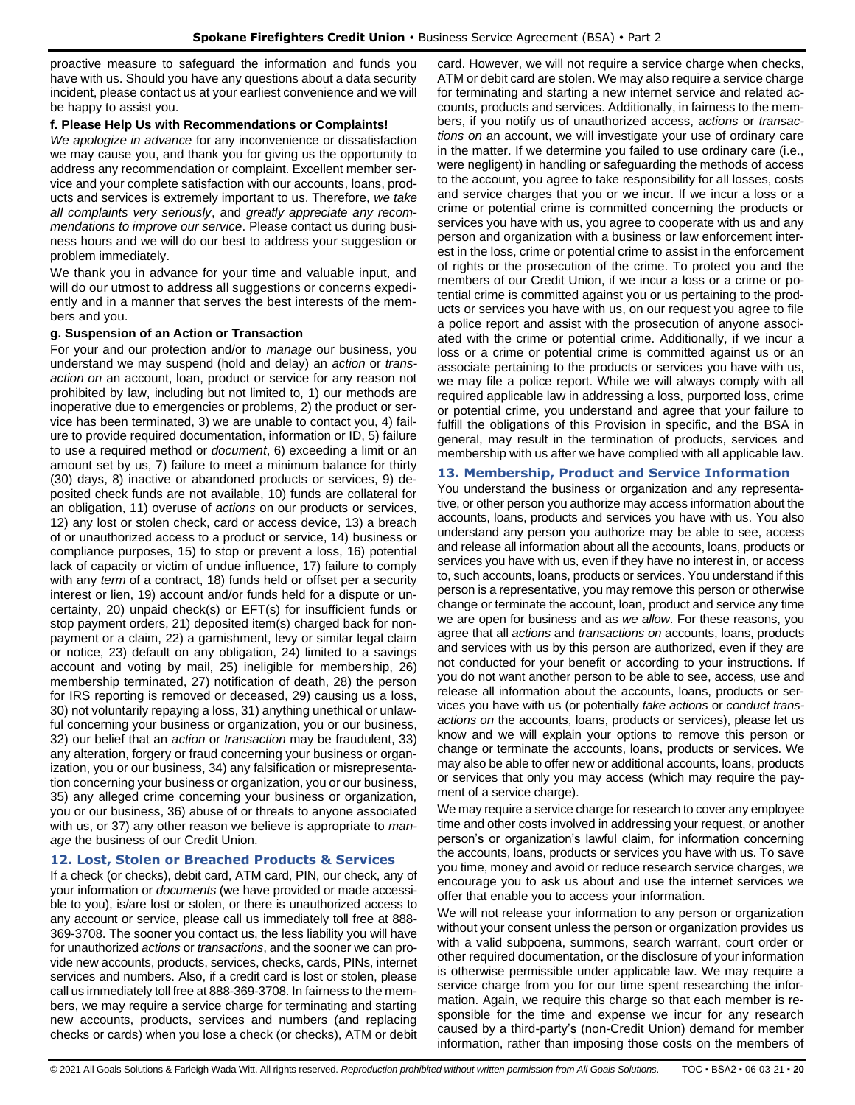proactive measure to safeguard the information and funds you have with us. Should you have any questions about a data security incident, please contact us at your earliest convenience and we will be happy to assist you.

## **f. Please Help Us with Recommendations or Complaints!**

*We apologize in advance* for any inconvenience or dissatisfaction we may cause you, and thank you for giving us the opportunity to address any recommendation or complaint. Excellent member service and your complete satisfaction with our accounts, loans, products and services is extremely important to us. Therefore, *we take all complaints very seriously*, and *greatly appreciate any recommendations to improve our service*. Please contact us during business hours and we will do our best to address your suggestion or problem immediately.

We thank you in advance for your time and valuable input, and will do our utmost to address all suggestions or concerns expediently and in a manner that serves the best interests of the members and you.

## **g. Suspension of an Action or Transaction**

For your and our protection and/or to *manage* our business, you understand we may suspend (hold and delay) an *action* or *transaction on* an account, loan, product or service for any reason not prohibited by law, including but not limited to, 1) our methods are inoperative due to emergencies or problems, 2) the product or service has been terminated, 3) we are unable to contact you, 4) failure to provide required documentation, information or ID, 5) failure to use a required method or *document*, 6) exceeding a limit or an amount set by us, 7) failure to meet a minimum balance for thirty (30) days, 8) inactive or abandoned products or services, 9) deposited check funds are not available, 10) funds are collateral for an obligation, 11) overuse of *actions* on our products or services, 12) any lost or stolen check, card or access device, 13) a breach of or unauthorized access to a product or service, 14) business or compliance purposes, 15) to stop or prevent a loss, 16) potential lack of capacity or victim of undue influence, 17) failure to comply with any *term* of a contract, 18) funds held or offset per a security interest or lien, 19) account and/or funds held for a dispute or uncertainty, 20) unpaid check(s) or EFT(s) for insufficient funds or stop payment orders, 21) deposited item(s) charged back for nonpayment or a claim, 22) a garnishment, levy or similar legal claim or notice, 23) default on any obligation, 24) limited to a savings account and voting by mail, 25) ineligible for membership, 26) membership terminated, 27) notification of death, 28) the person for IRS reporting is removed or deceased, 29) causing us a loss, 30) not voluntarily repaying a loss, 31) anything unethical or unlawful concerning your business or organization, you or our business, 32) our belief that an *action* or *transaction* may be fraudulent, 33) any alteration, forgery or fraud concerning your business or organization, you or our business, 34) any falsification or misrepresentation concerning your business or organization, you or our business, 35) any alleged crime concerning your business or organization, you or our business, 36) abuse of or threats to anyone associated with us, or 37) any other reason we believe is appropriate to *manage* the business of our Credit Union.

## <span id="page-19-0"></span>**12. Lost, Stolen or Breached Products & Services**

If a check (or checks), debit card, ATM card, PIN, our check, any of your information or *documents* (we have provided or made accessible to you), is/are lost or stolen, or there is unauthorized access to any account or service, please call us immediately toll free at 888- 369-3708. The sooner you contact us, the less liability you will have for unauthorized *actions* or *transactions*, and the sooner we can provide new accounts, products, services, checks, cards, PINs, internet services and numbers. Also, if a credit card is lost or stolen, please call us immediately toll free at 888-369-3708. In fairness to the members, we may require a service charge for terminating and starting new accounts, products, services and numbers (and replacing checks or cards) when you lose a check (or checks), ATM or debit card. However, we will not require a service charge when checks, ATM or debit card are stolen. We may also require a service charge for terminating and starting a new internet service and related accounts, products and services. Additionally, in fairness to the members, if you notify us of unauthorized access, *actions* or *transactions on* an account, we will investigate your use of ordinary care in the matter. If we determine you failed to use ordinary care (i.e., were negligent) in handling or safeguarding the methods of access to the account, you agree to take responsibility for all losses, costs and service charges that you or we incur. If we incur a loss or a crime or potential crime is committed concerning the products or services you have with us, you agree to cooperate with us and any person and organization with a business or law enforcement interest in the loss, crime or potential crime to assist in the enforcement of rights or the prosecution of the crime. To protect you and the members of our Credit Union, if we incur a loss or a crime or potential crime is committed against you or us pertaining to the products or services you have with us, on our request you agree to file a police report and assist with the prosecution of anyone associated with the crime or potential crime. Additionally, if we incur a loss or a crime or potential crime is committed against us or an associate pertaining to the products or services you have with us, we may file a police report. While we will always comply with all required applicable law in addressing a loss, purported loss, crime or potential crime, you understand and agree that your failure to fulfill the obligations of this Provision in specific, and the BSA in general, may result in the termination of products, services and membership with us after we have complied with all applicable law.

## <span id="page-19-1"></span>**13. Membership, Product and Service Information**

You understand the business or organization and any representative, or other person you authorize may access information about the accounts, loans, products and services you have with us. You also understand any person you authorize may be able to see, access and release all information about all the accounts, loans, products or services you have with us, even if they have no interest in, or access to, such accounts, loans, products or services. You understand if this person is a representative, you may remove this person or otherwise change or terminate the account, loan, product and service any time we are open for business and as *we allow*. For these reasons, you agree that all *actions* and *transactions on* accounts, loans, products and services with us by this person are authorized, even if they are not conducted for your benefit or according to your instructions. If you do not want another person to be able to see, access, use and release all information about the accounts, loans, products or services you have with us (or potentially *take actions* or *conduct transactions on* the accounts, loans, products or services), please let us know and we will explain your options to remove this person or change or terminate the accounts, loans, products or services. We may also be able to offer new or additional accounts, loans, products or services that only you may access (which may require the payment of a service charge).

We may require a service charge for research to cover any employee time and other costs involved in addressing your request, or another person's or organization's lawful claim, for information concerning the accounts, loans, products or services you have with us. To save you time, money and avoid or reduce research service charges, we encourage you to ask us about and use the internet services we offer that enable you to access your information.

We will not release your information to any person or organization without your consent unless the person or organization provides us with a valid subpoena, summons, search warrant, court order or other required documentation, or the disclosure of your information is otherwise permissible under applicable law. We may require a service charge from you for our time spent researching the information. Again, we require this charge so that each member is responsible for the time and expense we incur for any research caused by a third-party's (non-Credit Union) demand for member information, rather than imposing those costs on the members of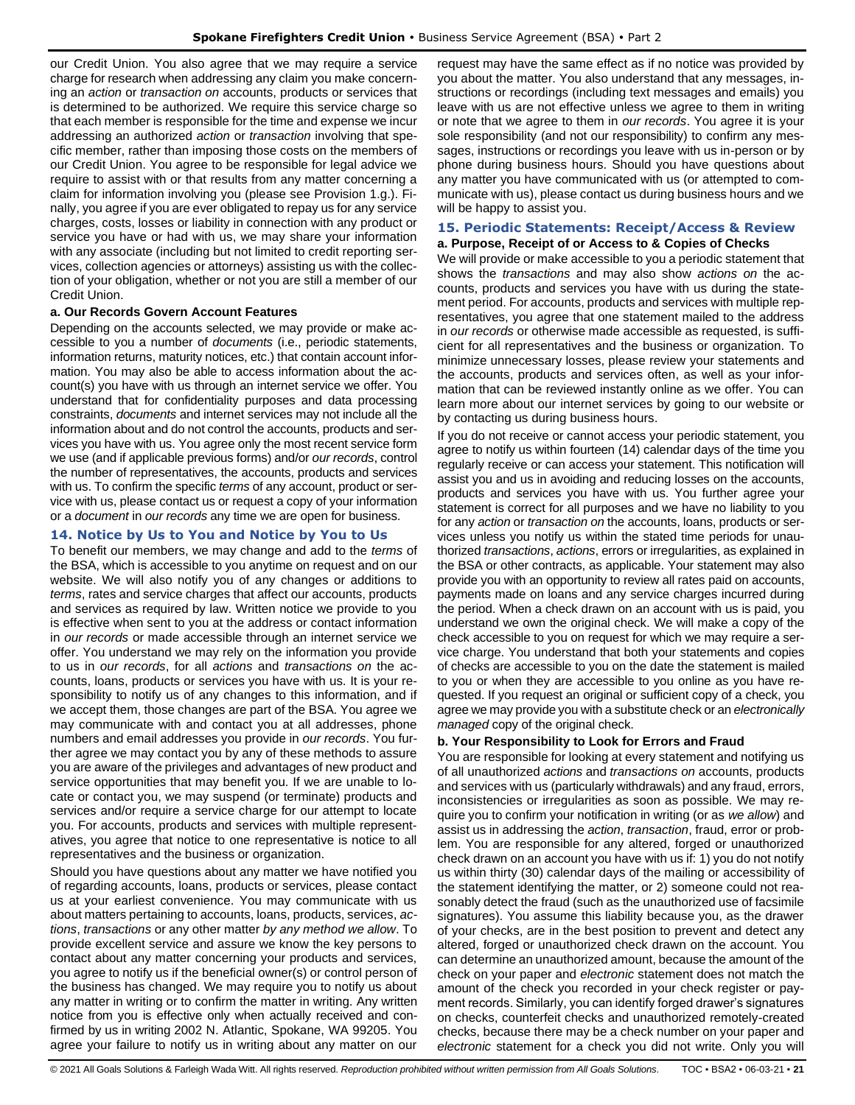our Credit Union. You also agree that we may require a service charge for research when addressing any claim you make concerning an *action* or *transaction on* accounts, products or services that is determined to be authorized. We require this service charge so that each member is responsible for the time and expense we incur addressing an authorized *action* or *transaction* involving that specific member, rather than imposing those costs on the members of our Credit Union. You agree to be responsible for legal advice we require to assist with or that results from any matter concerning a claim for information involving you (please see Provision 1.g.). Finally, you agree if you are ever obligated to repay us for any service charges, costs, losses or liability in connection with any product or service you have or had with us, we may share your information with any associate (including but not limited to credit reporting services, collection agencies or attorneys) assisting us with the collection of your obligation, whether or not you are still a member of our Credit Union.

## **a. Our Records Govern Account Features**

Depending on the accounts selected, we may provide or make accessible to you a number of *documents* (i.e., periodic statements, information returns, maturity notices, etc.) that contain account information. You may also be able to access information about the account(s) you have with us through an internet service we offer. You understand that for confidentiality purposes and data processing constraints, *documents* and internet services may not include all the information about and do not control the accounts, products and services you have with us. You agree only the most recent service form we use (and if applicable previous forms) and/or *our records*, control the number of representatives, the accounts, products and services with us. To confirm the specific *terms* of any account, product or service with us, please contact us or request a copy of your information or a *document* in *our records* any time we are open for business.

## <span id="page-20-0"></span>**14. Notice by Us to You and Notice by You to Us**

To benefit our members, we may change and add to the *terms* of the BSA, which is accessible to you anytime on request and on our website. We will also notify you of any changes or additions to *terms*, rates and service charges that affect our accounts, products and services as required by law. Written notice we provide to you is effective when sent to you at the address or contact information in *our records* or made accessible through an internet service we offer. You understand we may rely on the information you provide to us in *our records*, for all *actions* and *transactions on* the accounts, loans, products or services you have with us. It is your responsibility to notify us of any changes to this information, and if we accept them, those changes are part of the BSA. You agree we may communicate with and contact you at all addresses, phone numbers and email addresses you provide in *our records*. You further agree we may contact you by any of these methods to assure you are aware of the privileges and advantages of new product and service opportunities that may benefit you. If we are unable to locate or contact you, we may suspend (or terminate) products and services and/or require a service charge for our attempt to locate you. For accounts, products and services with multiple representatives, you agree that notice to one representative is notice to all representatives and the business or organization.

Should you have questions about any matter we have notified you of regarding accounts, loans, products or services, please contact us at your earliest convenience. You may communicate with us about matters pertaining to accounts, loans, products, services, *actions*, *transactions* or any other matter *by any method we allow*. To provide excellent service and assure we know the key persons to contact about any matter concerning your products and services, you agree to notify us if the beneficial owner(s) or control person of the business has changed. We may require you to notify us about any matter in writing or to confirm the matter in writing. Any written notice from you is effective only when actually received and confirmed by us in writing 2002 N. Atlantic, Spokane, WA 99205. You agree your failure to notify us in writing about any matter on our

request may have the same effect as if no notice was provided by you about the matter. You also understand that any messages, instructions or recordings (including text messages and emails) you leave with us are not effective unless we agree to them in writing or note that we agree to them in *our records*. You agree it is your sole responsibility (and not our responsibility) to confirm any messages, instructions or recordings you leave with us in-person or by phone during business hours. Should you have questions about any matter you have communicated with us (or attempted to communicate with us), please contact us during business hours and we will be happy to assist you.

## <span id="page-20-1"></span>**15. Periodic Statements: Receipt/Access & Review**

#### **a. Purpose, Receipt of or Access to & Copies of Checks**

We will provide or make accessible to you a periodic statement that shows the *transactions* and may also show *actions on* the accounts, products and services you have with us during the statement period. For accounts, products and services with multiple representatives, you agree that one statement mailed to the address in *our records* or otherwise made accessible as requested, is sufficient for all representatives and the business or organization. To minimize unnecessary losses, please review your statements and the accounts, products and services often, as well as your information that can be reviewed instantly online as we offer. You can learn more about our internet services by going to our website or by contacting us during business hours.

If you do not receive or cannot access your periodic statement, you agree to notify us within fourteen (14) calendar days of the time you regularly receive or can access your statement. This notification will assist you and us in avoiding and reducing losses on the accounts, products and services you have with us. You further agree your statement is correct for all purposes and we have no liability to you for any *action* or *transaction on* the accounts, loans, products or services unless you notify us within the stated time periods for unauthorized *transactions*, *actions*, errors or irregularities, as explained in the BSA or other contracts, as applicable. Your statement may also provide you with an opportunity to review all rates paid on accounts, payments made on loans and any service charges incurred during the period. When a check drawn on an account with us is paid, you understand we own the original check. We will make a copy of the check accessible to you on request for which we may require a service charge. You understand that both your statements and copies of checks are accessible to you on the date the statement is mailed to you or when they are accessible to you online as you have requested. If you request an original or sufficient copy of a check, you agree we may provide you with a substitute check or an *electronically managed* copy of the original check.

## **b. Your Responsibility to Look for Errors and Fraud**

You are responsible for looking at every statement and notifying us of all unauthorized *actions* and *transactions on* accounts, products and services with us (particularly withdrawals) and any fraud, errors, inconsistencies or irregularities as soon as possible. We may require you to confirm your notification in writing (or as *we allow*) and assist us in addressing the *action*, *transaction*, fraud, error or problem. You are responsible for any altered, forged or unauthorized check drawn on an account you have with us if: 1) you do not notify us within thirty (30) calendar days of the mailing or accessibility of the statement identifying the matter, or 2) someone could not reasonably detect the fraud (such as the unauthorized use of facsimile signatures). You assume this liability because you, as the drawer of your checks, are in the best position to prevent and detect any altered, forged or unauthorized check drawn on the account. You can determine an unauthorized amount, because the amount of the check on your paper and *electronic* statement does not match the amount of the check you recorded in your check register or payment records. Similarly, you can identify forged drawer's signatures on checks, counterfeit checks and unauthorized remotely-created checks, because there may be a check number on your paper and *electronic* statement for a check you did not write. Only you will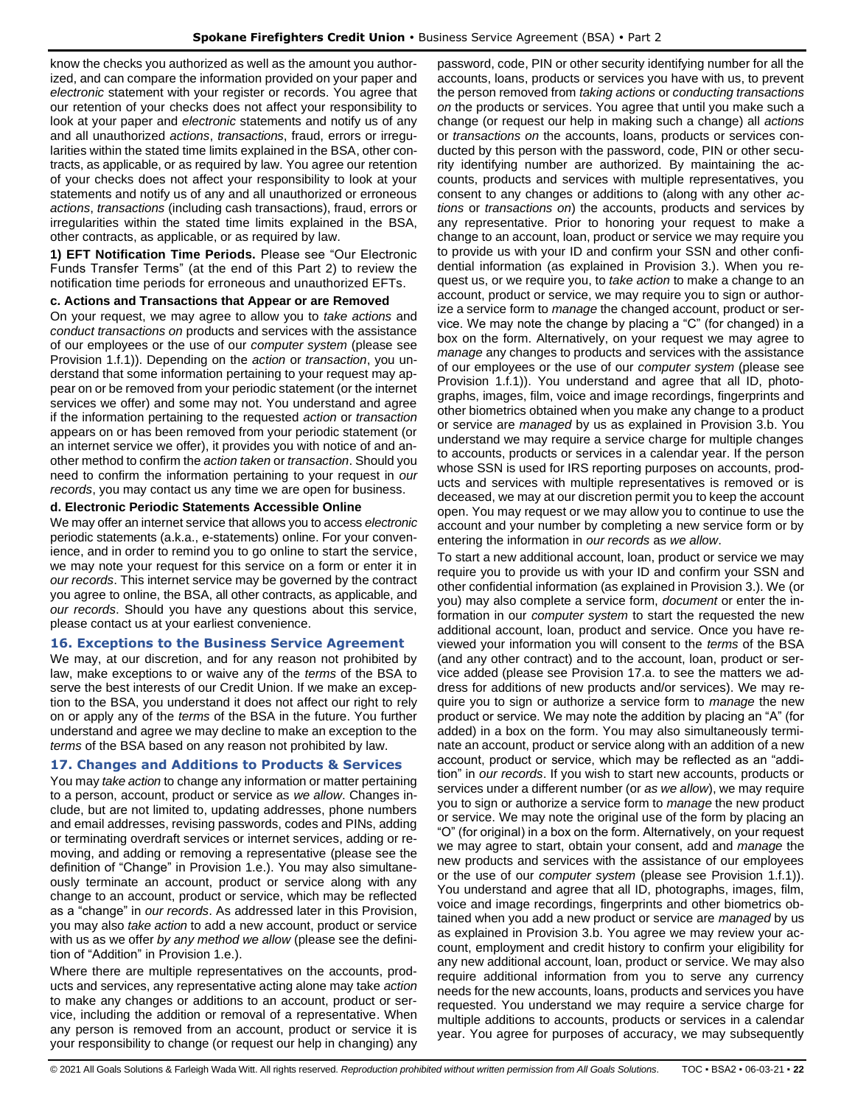know the checks you authorized as well as the amount you authorized, and can compare the information provided on your paper and *electronic* statement with your register or records. You agree that our retention of your checks does not affect your responsibility to look at your paper and *electronic* statements and notify us of any and all unauthorized *actions*, *transactions*, fraud, errors or irregularities within the stated time limits explained in the BSA, other contracts, as applicable, or as required by law. You agree our retention of your checks does not affect your responsibility to look at your statements and notify us of any and all unauthorized or erroneous *actions*, *transactions* (including cash transactions), fraud, errors or irregularities within the stated time limits explained in the BSA, other contracts, as applicable, or as required by law.

**1) EFT Notification Time Periods.** Please see "Our Electronic Funds Transfer Terms" (at the end of this Part 2) to review the notification time periods for erroneous and unauthorized EFTs.

#### **c. Actions and Transactions that Appear or are Removed**

On your request, we may agree to allow you to *take actions* and *conduct transactions on* products and services with the assistance of our employees or the use of our *computer system* (please see Provision 1.f.1)). Depending on the *action* or *transaction*, you understand that some information pertaining to your request may appear on or be removed from your periodic statement (or the internet services we offer) and some may not. You understand and agree if the information pertaining to the requested *action* or *transaction* appears on or has been removed from your periodic statement (or an internet service we offer), it provides you with notice of and another method to confirm the *action taken* or *transaction*. Should you need to confirm the information pertaining to your request in *our records*, you may contact us any time we are open for business.

#### **d. Electronic Periodic Statements Accessible Online**

We may offer an internet service that allows you to access *electronic* periodic statements (a.k.a., e-statements) online. For your convenience, and in order to remind you to go online to start the service, we may note your request for this service on a form or enter it in *our records*. This internet service may be governed by the contract you agree to online, the BSA, all other contracts, as applicable, and *our records*. Should you have any questions about this service, please contact us at your earliest convenience.

#### <span id="page-21-0"></span>**16. Exceptions to the Business Service Agreement**

We may, at our discretion, and for any reason not prohibited by law, make exceptions to or waive any of the *terms* of the BSA to serve the best interests of our Credit Union. If we make an exception to the BSA, you understand it does not affect our right to rely on or apply any of the *terms* of the BSA in the future. You further understand and agree we may decline to make an exception to the *terms* of the BSA based on any reason not prohibited by law.

#### <span id="page-21-1"></span>**17. Changes and Additions to Products & Services**

You may *take action* to change any information or matter pertaining to a person, account, product or service as *we allow*. Changes include, but are not limited to, updating addresses, phone numbers and email addresses, revising passwords, codes and PINs, adding or terminating overdraft services or internet services, adding or removing, and adding or removing a representative (please see the definition of "Change" in Provision 1.e.). You may also simultaneously terminate an account, product or service along with any change to an account, product or service, which may be reflected as a "change" in *our records*. As addressed later in this Provision, you may also *take action* to add a new account, product or service with us as we offer *by any method we allow* (please see the definition of "Addition" in Provision 1.e.).

Where there are multiple representatives on the accounts, products and services, any representative acting alone may take *action* to make any changes or additions to an account, product or service, including the addition or removal of a representative. When any person is removed from an account, product or service it is your responsibility to change (or request our help in changing) any

password, code, PIN or other security identifying number for all the accounts, loans, products or services you have with us, to prevent the person removed from *taking actions* or *conducting transactions on* the products or services. You agree that until you make such a change (or request our help in making such a change) all *actions* or *transactions on* the accounts, loans, products or services conducted by this person with the password, code, PIN or other security identifying number are authorized. By maintaining the accounts, products and services with multiple representatives, you consent to any changes or additions to (along with any other *actions* or *transactions on*) the accounts, products and services by any representative. Prior to honoring your request to make a change to an account, loan, product or service we may require you to provide us with your ID and confirm your SSN and other confidential information (as explained in Provision 3.). When you request us, or we require you, to *take action* to make a change to an account, product or service, we may require you to sign or authorize a service form to *manage* the changed account, product or service. We may note the change by placing a "C" (for changed) in a box on the form. Alternatively, on your request we may agree to *manage* any changes to products and services with the assistance of our employees or the use of our *computer system* (please see Provision 1.f.1)). You understand and agree that all ID, photographs, images, film, voice and image recordings, fingerprints and other biometrics obtained when you make any change to a product or service are *managed* by us as explained in Provision 3.b. You understand we may require a service charge for multiple changes to accounts, products or services in a calendar year. If the person whose SSN is used for IRS reporting purposes on accounts, products and services with multiple representatives is removed or is deceased, we may at our discretion permit you to keep the account open. You may request or we may allow you to continue to use the account and your number by completing a new service form or by entering the information in *our records* as *we allow*.

To start a new additional account, loan, product or service we may require you to provide us with your ID and confirm your SSN and other confidential information (as explained in Provision 3.). We (or you) may also complete a service form, *document* or enter the information in our *computer system* to start the requested the new additional account, loan, product and service. Once you have reviewed your information you will consent to the *terms* of the BSA (and any other contract) and to the account, loan, product or service added (please see Provision 17.a. to see the matters we address for additions of new products and/or services). We may require you to sign or authorize a service form to *manage* the new product or service. We may note the addition by placing an "A" (for added) in a box on the form. You may also simultaneously terminate an account, product or service along with an addition of a new account, product or service, which may be reflected as an "addition" in *our records*. If you wish to start new accounts, products or services under a different number (or *as we allow*), we may require you to sign or authorize a service form to *manage* the new product or service. We may note the original use of the form by placing an "O" (for original) in a box on the form. Alternatively, on your request we may agree to start, obtain your consent, add and *manage* the new products and services with the assistance of our employees or the use of our *computer system* (please see Provision 1.f.1)). You understand and agree that all ID, photographs, images, film, voice and image recordings, fingerprints and other biometrics obtained when you add a new product or service are *managed* by us as explained in Provision 3.b. You agree we may review your account, employment and credit history to confirm your eligibility for any new additional account, loan, product or service. We may also require additional information from you to serve any currency needs for the new accounts, loans, products and services you have requested. You understand we may require a service charge for multiple additions to accounts, products or services in a calendar year. You agree for purposes of accuracy, we may subsequently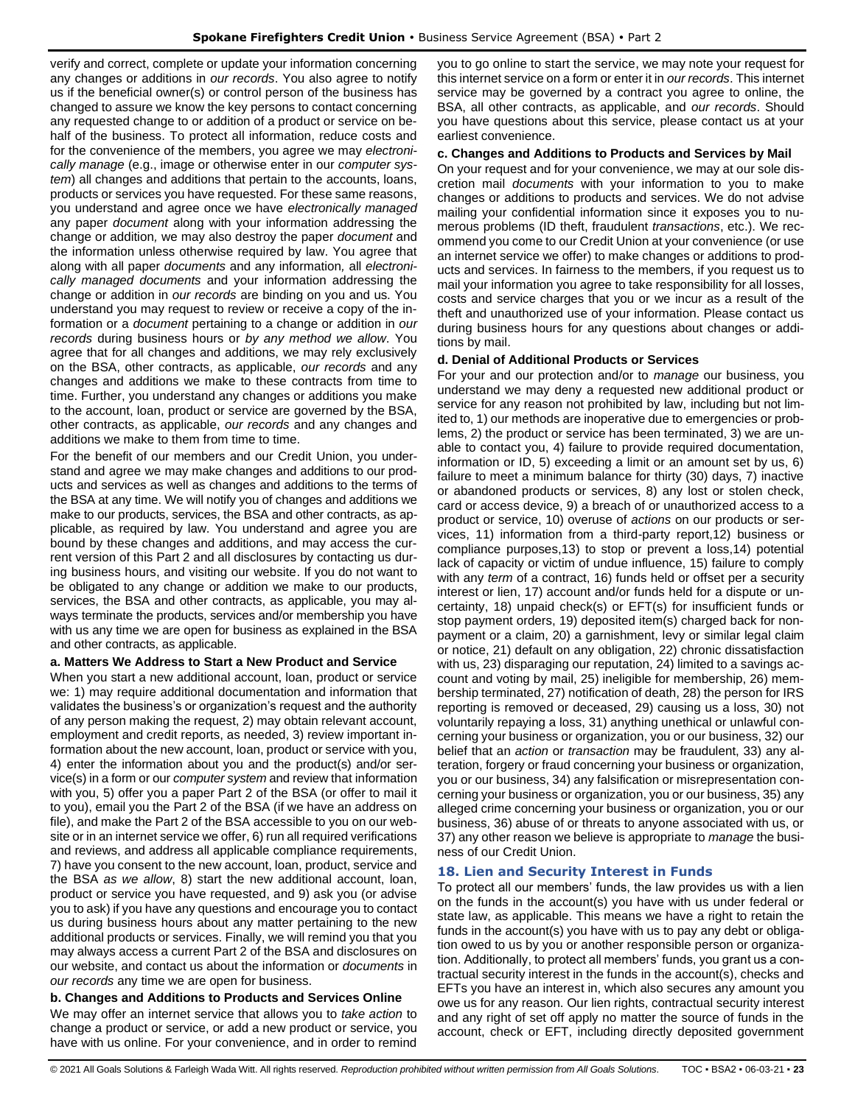verify and correct, complete or update your information concerning any changes or additions in *our records*. You also agree to notify us if the beneficial owner(s) or control person of the business has changed to assure we know the key persons to contact concerning any requested change to or addition of a product or service on behalf of the business. To protect all information, reduce costs and for the convenience of the members, you agree we may *electronically manage* (e.g., image or otherwise enter in our *computer system*) all changes and additions that pertain to the accounts, loans, products or services you have requested. For these same reasons, you understand and agree once we have *electronically managed* any paper *document* along with your information addressing the change or addition*,* we may also destroy the paper *document* and the information unless otherwise required by law. You agree that along with all paper *documents* and any information*,* all *electronically managed documents* and your information addressing the change or addition in *our records* are binding on you and us. You understand you may request to review or receive a copy of the information or a *document* pertaining to a change or addition in *our records* during business hours or *by any method we allow*. You agree that for all changes and additions, we may rely exclusively on the BSA, other contracts, as applicable, *our records* and any changes and additions we make to these contracts from time to time. Further, you understand any changes or additions you make to the account, loan, product or service are governed by the BSA, other contracts, as applicable, *our records* and any changes and additions we make to them from time to time.

For the benefit of our members and our Credit Union, you understand and agree we may make changes and additions to our products and services as well as changes and additions to the terms of the BSA at any time. We will notify you of changes and additions we make to our products, services, the BSA and other contracts, as applicable, as required by law. You understand and agree you are bound by these changes and additions, and may access the current version of this Part 2 and all disclosures by contacting us during business hours, and visiting our website. If you do not want to be obligated to any change or addition we make to our products, services, the BSA and other contracts, as applicable, you may always terminate the products, services and/or membership you have with us any time we are open for business as explained in the BSA and other contracts, as applicable.

#### **a. Matters We Address to Start a New Product and Service**

When you start a new additional account, loan, product or service we: 1) may require additional documentation and information that validates the business's or organization's request and the authority of any person making the request, 2) may obtain relevant account, employment and credit reports, as needed, 3) review important information about the new account, loan, product or service with you, 4) enter the information about you and the product(s) and/or service(s) in a form or our *computer system* and review that information with you, 5) offer you a paper Part 2 of the BSA (or offer to mail it to you), email you the Part 2 of the BSA (if we have an address on file), and make the Part 2 of the BSA accessible to you on our website or in an internet service we offer, 6) run all required verifications and reviews, and address all applicable compliance requirements, 7) have you consent to the new account, loan, product, service and the BSA *as we allow*, 8) start the new additional account, loan, product or service you have requested, and 9) ask you (or advise you to ask) if you have any questions and encourage you to contact us during business hours about any matter pertaining to the new additional products or services. Finally, we will remind you that you may always access a current Part 2 of the BSA and disclosures on our website, and contact us about the information or *documents* in *our records* any time we are open for business.

## **b. Changes and Additions to Products and Services Online**

We may offer an internet service that allows you to *take action* to change a product or service, or add a new product or service, you have with us online. For your convenience, and in order to remind

you to go online to start the service, we may note your request for this internet service on a form or enter it in *our records*. This internet service may be governed by a contract you agree to online, the BSA, all other contracts, as applicable, and *our records*. Should you have questions about this service, please contact us at your earliest convenience.

#### **c. Changes and Additions to Products and Services by Mail**

On your request and for your convenience, we may at our sole discretion mail *documents* with your information to you to make changes or additions to products and services. We do not advise mailing your confidential information since it exposes you to numerous problems (ID theft, fraudulent *transactions*, etc.). We recommend you come to our Credit Union at your convenience (or use an internet service we offer) to make changes or additions to products and services. In fairness to the members, if you request us to mail your information you agree to take responsibility for all losses, costs and service charges that you or we incur as a result of the theft and unauthorized use of your information. Please contact us during business hours for any questions about changes or additions by mail.

#### **d. Denial of Additional Products or Services**

For your and our protection and/or to *manage* our business, you understand we may deny a requested new additional product or service for any reason not prohibited by law, including but not limited to, 1) our methods are inoperative due to emergencies or problems, 2) the product or service has been terminated, 3) we are unable to contact you, 4) failure to provide required documentation, information or ID, 5) exceeding a limit or an amount set by us, 6) failure to meet a minimum balance for thirty (30) days, 7) inactive or abandoned products or services, 8) any lost or stolen check, card or access device, 9) a breach of or unauthorized access to a product or service, 10) overuse of *actions* on our products or services, 11) information from a third-party report,12) business or compliance purposes,13) to stop or prevent a loss,14) potential lack of capacity or victim of undue influence, 15) failure to comply with any *term* of a contract, 16) funds held or offset per a security interest or lien, 17) account and/or funds held for a dispute or uncertainty, 18) unpaid check(s) or EFT(s) for insufficient funds or stop payment orders, 19) deposited item(s) charged back for nonpayment or a claim, 20) a garnishment, levy or similar legal claim or notice, 21) default on any obligation, 22) chronic dissatisfaction with us, 23) disparaging our reputation, 24) limited to a savings account and voting by mail, 25) ineligible for membership, 26) membership terminated, 27) notification of death, 28) the person for IRS reporting is removed or deceased, 29) causing us a loss, 30) not voluntarily repaying a loss, 31) anything unethical or unlawful concerning your business or organization, you or our business, 32) our belief that an *action* or *transaction* may be fraudulent, 33) any alteration, forgery or fraud concerning your business or organization, you or our business, 34) any falsification or misrepresentation concerning your business or organization, you or our business, 35) any alleged crime concerning your business or organization, you or our business, 36) abuse of or threats to anyone associated with us, or 37) any other reason we believe is appropriate to *manage* the business of our Credit Union.

## <span id="page-22-0"></span>**18. Lien and Security Interest in Funds**

To protect all our members' funds, the law provides us with a lien on the funds in the account(s) you have with us under federal or state law, as applicable. This means we have a right to retain the funds in the account(s) you have with us to pay any debt or obligation owed to us by you or another responsible person or organization. Additionally, to protect all members' funds, you grant us a contractual security interest in the funds in the account(s), checks and EFTs you have an interest in, which also secures any amount you owe us for any reason. Our lien rights, contractual security interest and any right of set off apply no matter the source of funds in the account, check or EFT, including directly deposited government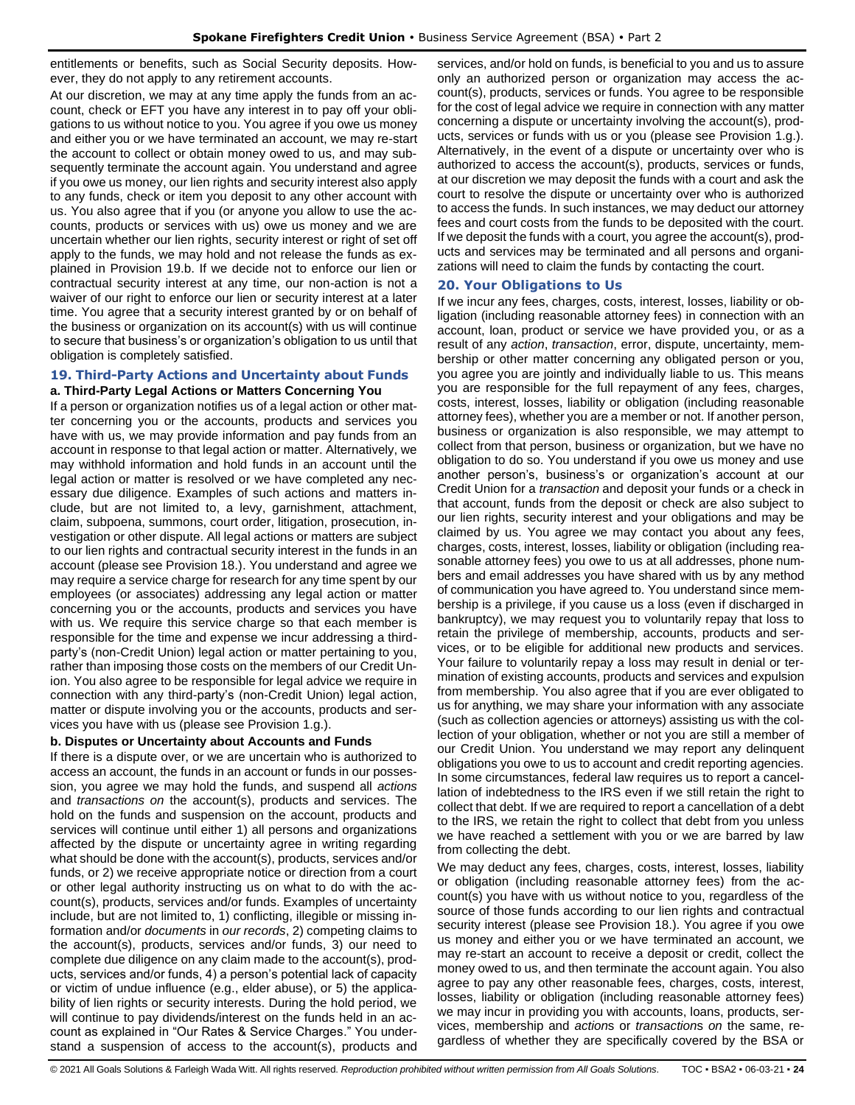entitlements or benefits, such as Social Security deposits. However, they do not apply to any retirement accounts.

At our discretion, we may at any time apply the funds from an account, check or EFT you have any interest in to pay off your obligations to us without notice to you. You agree if you owe us money and either you or we have terminated an account, we may re-start the account to collect or obtain money owed to us, and may subsequently terminate the account again. You understand and agree if you owe us money, our lien rights and security interest also apply to any funds, check or item you deposit to any other account with us. You also agree that if you (or anyone you allow to use the accounts, products or services with us) owe us money and we are uncertain whether our lien rights, security interest or right of set off apply to the funds, we may hold and not release the funds as explained in Provision 19.b. If we decide not to enforce our lien or contractual security interest at any time, our non-action is not a waiver of our right to enforce our lien or security interest at a later time. You agree that a security interest granted by or on behalf of the business or organization on its account(s) with us will continue to secure that business's or organization's obligation to us until that obligation is completely satisfied.

#### <span id="page-23-0"></span>**19. Third-Party Actions and Uncertainty about Funds a. Third-Party Legal Actions or Matters Concerning You**

If a person or organization notifies us of a legal action or other matter concerning you or the accounts, products and services you have with us, we may provide information and pay funds from an account in response to that legal action or matter. Alternatively, we may withhold information and hold funds in an account until the legal action or matter is resolved or we have completed any necessary due diligence. Examples of such actions and matters include, but are not limited to, a levy, garnishment, attachment, claim, subpoena, summons, court order, litigation, prosecution, investigation or other dispute. All legal actions or matters are subject to our lien rights and contractual security interest in the funds in an account (please see Provision 18.). You understand and agree we may require a service charge for research for any time spent by our employees (or associates) addressing any legal action or matter concerning you or the accounts, products and services you have with us. We require this service charge so that each member is responsible for the time and expense we incur addressing a thirdparty's (non-Credit Union) legal action or matter pertaining to you, rather than imposing those costs on the members of our Credit Union. You also agree to be responsible for legal advice we require in connection with any third-party's (non-Credit Union) legal action, matter or dispute involving you or the accounts, products and services you have with us (please see Provision 1.g.).

## **b. Disputes or Uncertainty about Accounts and Funds**

If there is a dispute over, or we are uncertain who is authorized to access an account, the funds in an account or funds in our possession, you agree we may hold the funds, and suspend all *actions* and *transactions on* the account(s), products and services. The hold on the funds and suspension on the account, products and services will continue until either 1) all persons and organizations affected by the dispute or uncertainty agree in writing regarding what should be done with the account(s), products, services and/or funds, or 2) we receive appropriate notice or direction from a court or other legal authority instructing us on what to do with the account(s), products, services and/or funds. Examples of uncertainty include, but are not limited to, 1) conflicting, illegible or missing information and/or *documents* in *our records*, 2) competing claims to the account(s), products, services and/or funds, 3) our need to complete due diligence on any claim made to the account(s), products, services and/or funds, 4) a person's potential lack of capacity or victim of undue influence (e.g., elder abuse), or 5) the applicability of lien rights or security interests. During the hold period, we will continue to pay dividends/interest on the funds held in an account as explained in "Our Rates & Service Charges." You understand a suspension of access to the account(s), products and services, and/or hold on funds, is beneficial to you and us to assure only an authorized person or organization may access the account(s), products, services or funds. You agree to be responsible for the cost of legal advice we require in connection with any matter concerning a dispute or uncertainty involving the account(s), products, services or funds with us or you (please see Provision 1.g.). Alternatively, in the event of a dispute or uncertainty over who is authorized to access the account(s), products, services or funds, at our discretion we may deposit the funds with a court and ask the court to resolve the dispute or uncertainty over who is authorized to access the funds. In such instances, we may deduct our attorney fees and court costs from the funds to be deposited with the court. If we deposit the funds with a court, you agree the account(s), products and services may be terminated and all persons and organizations will need to claim the funds by contacting the court.

## <span id="page-23-1"></span>**20. Your Obligations to Us**

If we incur any fees, charges, costs, interest, losses, liability or obligation (including reasonable attorney fees) in connection with an account, loan, product or service we have provided you, or as a result of any *action*, *transaction*, error, dispute, uncertainty, membership or other matter concerning any obligated person or you, you agree you are jointly and individually liable to us. This means you are responsible for the full repayment of any fees, charges, costs, interest, losses, liability or obligation (including reasonable attorney fees), whether you are a member or not. If another person, business or organization is also responsible, we may attempt to collect from that person, business or organization, but we have no obligation to do so. You understand if you owe us money and use another person's, business's or organization's account at our Credit Union for a *transaction* and deposit your funds or a check in that account, funds from the deposit or check are also subject to our lien rights, security interest and your obligations and may be claimed by us. You agree we may contact you about any fees, charges, costs, interest, losses, liability or obligation (including reasonable attorney fees) you owe to us at all addresses, phone numbers and email addresses you have shared with us by any method of communication you have agreed to. You understand since membership is a privilege, if you cause us a loss (even if discharged in bankruptcy), we may request you to voluntarily repay that loss to retain the privilege of membership, accounts, products and services, or to be eligible for additional new products and services. Your failure to voluntarily repay a loss may result in denial or termination of existing accounts, products and services and expulsion from membership. You also agree that if you are ever obligated to us for anything, we may share your information with any associate (such as collection agencies or attorneys) assisting us with the collection of your obligation, whether or not you are still a member of our Credit Union. You understand we may report any delinquent obligations you owe to us to account and credit reporting agencies. In some circumstances, federal law requires us to report a cancellation of indebtedness to the IRS even if we still retain the right to collect that debt. If we are required to report a cancellation of a debt to the IRS, we retain the right to collect that debt from you unless we have reached a settlement with you or we are barred by law from collecting the debt.

We may deduct any fees, charges, costs, interest, losses, liability or obligation (including reasonable attorney fees) from the account(s) you have with us without notice to you, regardless of the source of those funds according to our lien rights and contractual security interest (please see Provision 18.). You agree if you owe us money and either you or we have terminated an account, we may re-start an account to receive a deposit or credit, collect the money owed to us, and then terminate the account again. You also agree to pay any other reasonable fees, charges, costs, interest, losses, liability or obligation (including reasonable attorney fees) we may incur in providing you with accounts, loans, products, services, membership and *action*s or *transaction*s *on* the same, regardless of whether they are specifically covered by the BSA or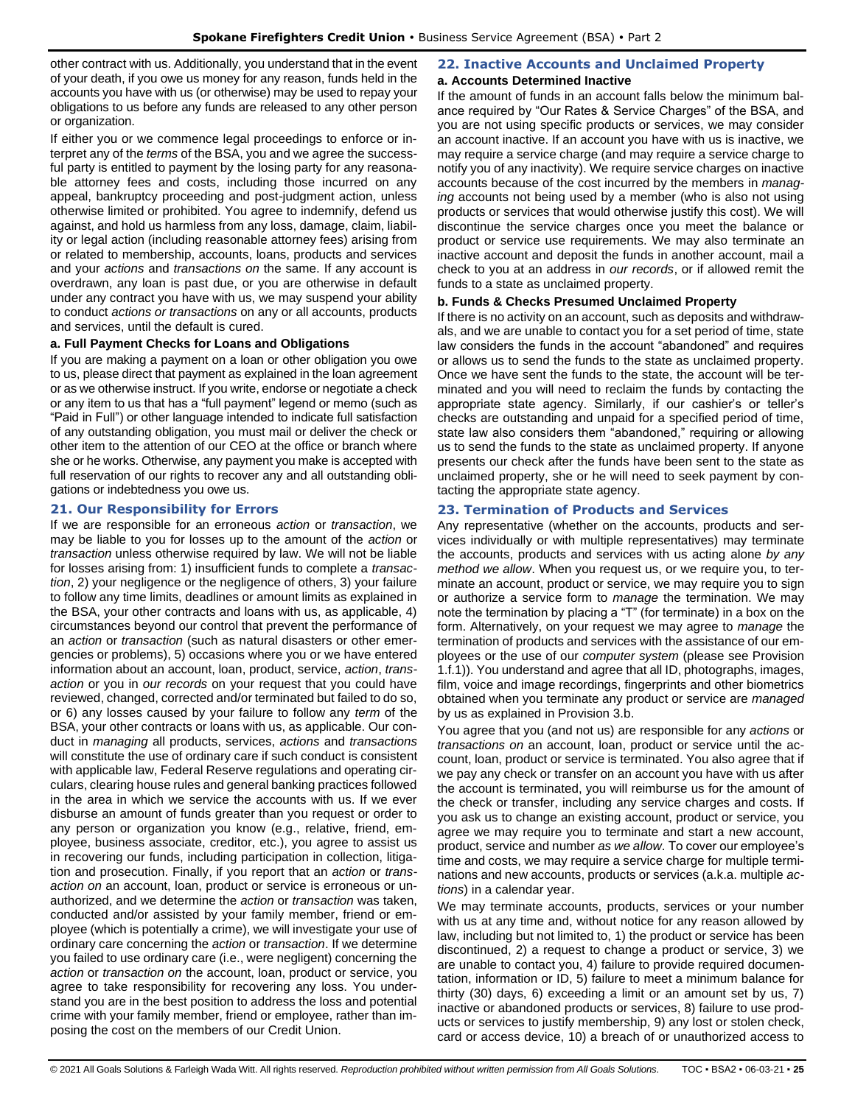other contract with us. Additionally, you understand that in the event of your death, if you owe us money for any reason, funds held in the accounts you have with us (or otherwise) may be used to repay your obligations to us before any funds are released to any other person or organization.

If either you or we commence legal proceedings to enforce or interpret any of the *terms* of the BSA, you and we agree the successful party is entitled to payment by the losing party for any reasonable attorney fees and costs, including those incurred on any appeal, bankruptcy proceeding and post-judgment action, unless otherwise limited or prohibited. You agree to indemnify, defend us against, and hold us harmless from any loss, damage, claim, liability or legal action (including reasonable attorney fees) arising from or related to membership, accounts, loans, products and services and your *actions* and *transactions on* the same. If any account is overdrawn, any loan is past due, or you are otherwise in default under any contract you have with us, we may suspend your ability to conduct *actions or transactions* on any or all accounts, products and services, until the default is cured.

## **a. Full Payment Checks for Loans and Obligations**

If you are making a payment on a loan or other obligation you owe to us, please direct that payment as explained in the loan agreement or as we otherwise instruct. If you write, endorse or negotiate a check or any item to us that has a "full payment" legend or memo (such as "Paid in Full") or other language intended to indicate full satisfaction of any outstanding obligation, you must mail or deliver the check or other item to the attention of our CEO at the office or branch where she or he works. Otherwise, any payment you make is accepted with full reservation of our rights to recover any and all outstanding obligations or indebtedness you owe us.

## <span id="page-24-0"></span>**21. Our Responsibility for Errors**

If we are responsible for an erroneous *action* or *transaction*, we may be liable to you for losses up to the amount of the *action* or *transaction* unless otherwise required by law. We will not be liable for losses arising from: 1) insufficient funds to complete a *transaction*, 2) your negligence or the negligence of others, 3) your failure to follow any time limits, deadlines or amount limits as explained in the BSA, your other contracts and loans with us, as applicable, 4) circumstances beyond our control that prevent the performance of an *action* or *transaction* (such as natural disasters or other emergencies or problems), 5) occasions where you or we have entered information about an account, loan, product, service, *action*, *transaction* or you in *our records* on your request that you could have reviewed, changed, corrected and/or terminated but failed to do so, or 6) any losses caused by your failure to follow any *term* of the BSA, your other contracts or loans with us, as applicable. Our conduct in *managing* all products, services, *actions* and *transactions* will constitute the use of ordinary care if such conduct is consistent with applicable law, Federal Reserve regulations and operating circulars, clearing house rules and general banking practices followed in the area in which we service the accounts with us. If we ever disburse an amount of funds greater than you request or order to any person or organization you know (e.g., relative, friend, employee, business associate, creditor, etc.), you agree to assist us in recovering our funds, including participation in collection, litigation and prosecution. Finally, if you report that an *action* or *transaction on* an account, loan, product or service is erroneous or unauthorized, and we determine the *action* or *transaction* was taken, conducted and/or assisted by your family member, friend or employee (which is potentially a crime), we will investigate your use of ordinary care concerning the *action* or *transaction*. If we determine you failed to use ordinary care (i.e., were negligent) concerning the *action* or *transaction on* the account, loan, product or service, you agree to take responsibility for recovering any loss. You understand you are in the best position to address the loss and potential crime with your family member, friend or employee, rather than imposing the cost on the members of our Credit Union.

# <span id="page-24-1"></span>**22. Inactive Accounts and Unclaimed Property**

#### **a. Accounts Determined Inactive**

If the amount of funds in an account falls below the minimum balance required by "Our Rates & Service Charges" of the BSA, and you are not using specific products or services, we may consider an account inactive. If an account you have with us is inactive, we may require a service charge (and may require a service charge to notify you of any inactivity). We require service charges on inactive accounts because of the cost incurred by the members in *managing* accounts not being used by a member (who is also not using products or services that would otherwise justify this cost). We will discontinue the service charges once you meet the balance or product or service use requirements. We may also terminate an inactive account and deposit the funds in another account, mail a check to you at an address in *our records*, or if allowed remit the funds to a state as unclaimed property.

#### **b. Funds & Checks Presumed Unclaimed Property**

If there is no activity on an account, such as deposits and withdrawals, and we are unable to contact you for a set period of time, state law considers the funds in the account "abandoned" and requires or allows us to send the funds to the state as unclaimed property. Once we have sent the funds to the state, the account will be terminated and you will need to reclaim the funds by contacting the appropriate state agency. Similarly, if our cashier's or teller's checks are outstanding and unpaid for a specified period of time, state law also considers them "abandoned," requiring or allowing us to send the funds to the state as unclaimed property. If anyone presents our check after the funds have been sent to the state as unclaimed property, she or he will need to seek payment by contacting the appropriate state agency.

## <span id="page-24-2"></span>**23. Termination of Products and Services**

Any representative (whether on the accounts, products and services individually or with multiple representatives) may terminate the accounts, products and services with us acting alone *by any method we allow*. When you request us, or we require you, to terminate an account, product or service, we may require you to sign or authorize a service form to *manage* the termination. We may note the termination by placing a "T" (for terminate) in a box on the form. Alternatively, on your request we may agree to *manage* the termination of products and services with the assistance of our employees or the use of our *computer system* (please see Provision 1.f.1)). You understand and agree that all ID, photographs, images, film, voice and image recordings, fingerprints and other biometrics obtained when you terminate any product or service are *managed* by us as explained in Provision 3.b.

You agree that you (and not us) are responsible for any *actions* or *transactions on* an account, loan, product or service until the account, loan, product or service is terminated. You also agree that if we pay any check or transfer on an account you have with us after the account is terminated, you will reimburse us for the amount of the check or transfer, including any service charges and costs. If you ask us to change an existing account, product or service, you agree we may require you to terminate and start a new account, product, service and number *as we allow*. To cover our employee's time and costs, we may require a service charge for multiple terminations and new accounts, products or services (a.k.a. multiple *actions*) in a calendar year.

We may terminate accounts, products, services or your number with us at any time and, without notice for any reason allowed by law, including but not limited to, 1) the product or service has been discontinued, 2) a request to change a product or service, 3) we are unable to contact you, 4) failure to provide required documentation, information or ID, 5) failure to meet a minimum balance for thirty (30) days, 6) exceeding a limit or an amount set by us, 7) inactive or abandoned products or services, 8) failure to use products or services to justify membership, 9) any lost or stolen check, card or access device, 10) a breach of or unauthorized access to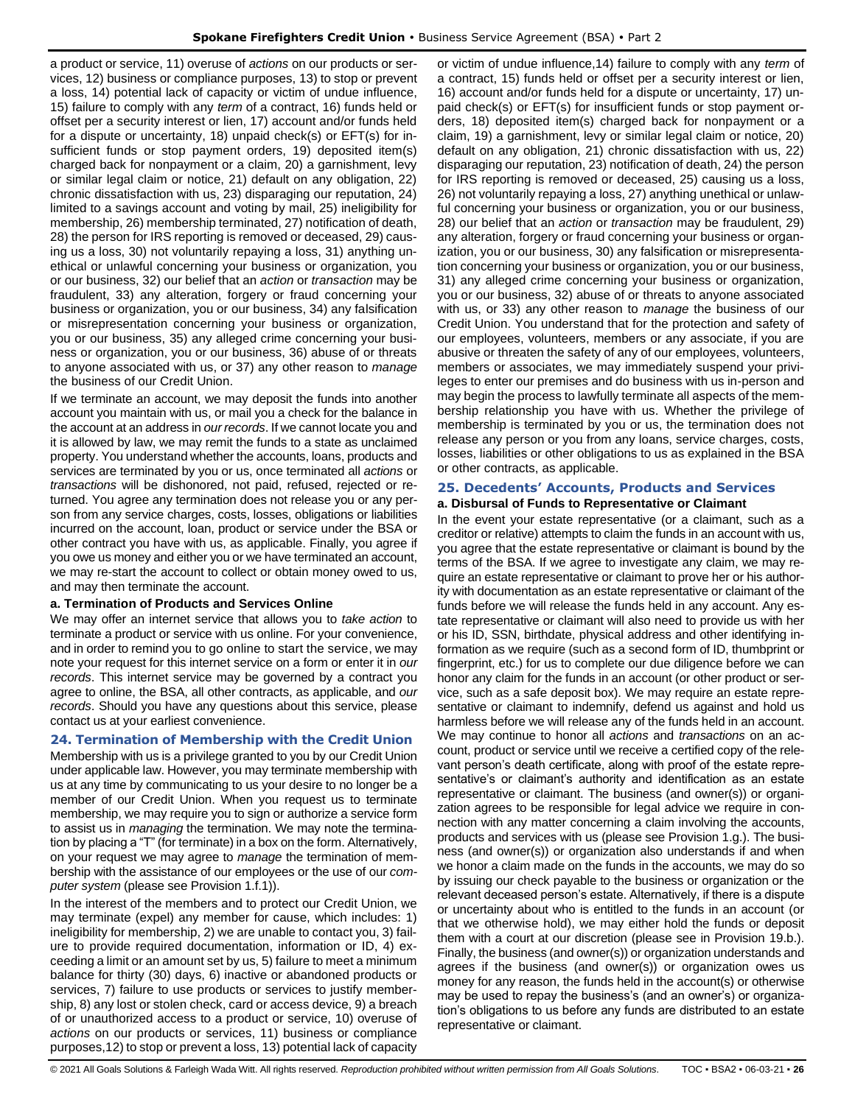a product or service, 11) overuse of *actions* on our products or services, 12) business or compliance purposes, 13) to stop or prevent a loss, 14) potential lack of capacity or victim of undue influence, 15) failure to comply with any *term* of a contract, 16) funds held or offset per a security interest or lien, 17) account and/or funds held for a dispute or uncertainty, 18) unpaid check(s) or EFT(s) for insufficient funds or stop payment orders, 19) deposited item(s) charged back for nonpayment or a claim, 20) a garnishment, levy or similar legal claim or notice, 21) default on any obligation, 22) chronic dissatisfaction with us, 23) disparaging our reputation, 24) limited to a savings account and voting by mail, 25) ineligibility for membership, 26) membership terminated, 27) notification of death, 28) the person for IRS reporting is removed or deceased, 29) causing us a loss, 30) not voluntarily repaying a loss, 31) anything unethical or unlawful concerning your business or organization, you or our business, 32) our belief that an *action* or *transaction* may be fraudulent, 33) any alteration, forgery or fraud concerning your business or organization, you or our business, 34) any falsification or misrepresentation concerning your business or organization, you or our business, 35) any alleged crime concerning your business or organization, you or our business, 36) abuse of or threats to anyone associated with us, or 37) any other reason to *manage* the business of our Credit Union.

If we terminate an account, we may deposit the funds into another account you maintain with us, or mail you a check for the balance in the account at an address in *our records*. If we cannot locate you and it is allowed by law, we may remit the funds to a state as unclaimed property. You understand whether the accounts, loans, products and services are terminated by you or us, once terminated all *actions* or *transactions* will be dishonored, not paid, refused, rejected or returned. You agree any termination does not release you or any person from any service charges, costs, losses, obligations or liabilities incurred on the account, loan, product or service under the BSA or other contract you have with us, as applicable. Finally, you agree if you owe us money and either you or we have terminated an account, we may re-start the account to collect or obtain money owed to us, and may then terminate the account.

#### **a. Termination of Products and Services Online**

We may offer an internet service that allows you to *take action* to terminate a product or service with us online. For your convenience, and in order to remind you to go online to start the service, we may note your request for this internet service on a form or enter it in *our records*. This internet service may be governed by a contract you agree to online, the BSA, all other contracts, as applicable, and *our records*. Should you have any questions about this service, please contact us at your earliest convenience.

## <span id="page-25-0"></span>**24. Termination of Membership with the Credit Union**

Membership with us is a privilege granted to you by our Credit Union under applicable law. However, you may terminate membership with us at any time by communicating to us your desire to no longer be a member of our Credit Union. When you request us to terminate membership, we may require you to sign or authorize a service form to assist us in *managing* the termination. We may note the termination by placing a "T" (for terminate) in a box on the form. Alternatively, on your request we may agree to *manage* the termination of membership with the assistance of our employees or the use of our *computer system* (please see Provision 1.f.1)).

In the interest of the members and to protect our Credit Union, we may terminate (expel) any member for cause, which includes: 1) ineligibility for membership, 2) we are unable to contact you, 3) failure to provide required documentation, information or ID, 4) exceeding a limit or an amount set by us, 5) failure to meet a minimum balance for thirty (30) days, 6) inactive or abandoned products or services, 7) failure to use products or services to justify membership, 8) any lost or stolen check, card or access device, 9) a breach of or unauthorized access to a product or service, 10) overuse of *actions* on our products or services, 11) business or compliance purposes,12) to stop or prevent a loss, 13) potential lack of capacity

or victim of undue influence,14) failure to comply with any *term* of a contract, 15) funds held or offset per a security interest or lien, 16) account and/or funds held for a dispute or uncertainty, 17) unpaid check(s) or EFT(s) for insufficient funds or stop payment orders, 18) deposited item(s) charged back for nonpayment or a claim, 19) a garnishment, levy or similar legal claim or notice, 20) default on any obligation, 21) chronic dissatisfaction with us, 22) disparaging our reputation, 23) notification of death, 24) the person for IRS reporting is removed or deceased, 25) causing us a loss, 26) not voluntarily repaying a loss, 27) anything unethical or unlawful concerning your business or organization, you or our business, 28) our belief that an *action* or *transaction* may be fraudulent, 29) any alteration, forgery or fraud concerning your business or organization, you or our business, 30) any falsification or misrepresentation concerning your business or organization, you or our business, 31) any alleged crime concerning your business or organization, you or our business, 32) abuse of or threats to anyone associated with us, or 33) any other reason to *manage* the business of our Credit Union. You understand that for the protection and safety of our employees, volunteers, members or any associate, if you are abusive or threaten the safety of any of our employees, volunteers, members or associates, we may immediately suspend your privileges to enter our premises and do business with us in-person and may begin the process to lawfully terminate all aspects of the membership relationship you have with us. Whether the privilege of membership is terminated by you or us, the termination does not release any person or you from any loans, service charges, costs, losses, liabilities or other obligations to us as explained in the BSA or other contracts, as applicable.

## <span id="page-25-1"></span>**25. Decedents' Accounts, Products and Services**

## **a. Disbursal of Funds to Representative or Claimant**

In the event your estate representative (or a claimant, such as a creditor or relative) attempts to claim the funds in an account with us, you agree that the estate representative or claimant is bound by the terms of the BSA. If we agree to investigate any claim, we may require an estate representative or claimant to prove her or his authority with documentation as an estate representative or claimant of the funds before we will release the funds held in any account. Any estate representative or claimant will also need to provide us with her or his ID, SSN, birthdate, physical address and other identifying information as we require (such as a second form of ID, thumbprint or fingerprint, etc.) for us to complete our due diligence before we can honor any claim for the funds in an account (or other product or service, such as a safe deposit box). We may require an estate representative or claimant to indemnify, defend us against and hold us harmless before we will release any of the funds held in an account. We may continue to honor all *actions* and *transactions* on an account, product or service until we receive a certified copy of the relevant person's death certificate, along with proof of the estate representative's or claimant's authority and identification as an estate representative or claimant. The business (and owner(s)) or organization agrees to be responsible for legal advice we require in connection with any matter concerning a claim involving the accounts, products and services with us (please see Provision 1.g.). The business (and owner(s)) or organization also understands if and when we honor a claim made on the funds in the accounts, we may do so by issuing our check payable to the business or organization or the relevant deceased person's estate. Alternatively, if there is a dispute or uncertainty about who is entitled to the funds in an account (or that we otherwise hold), we may either hold the funds or deposit them with a court at our discretion (please see in Provision 19.b.). Finally, the business (and owner(s)) or organization understands and agrees if the business (and owner(s)) or organization owes us money for any reason, the funds held in the account(s) or otherwise may be used to repay the business's (and an owner's) or organization's obligations to us before any funds are distributed to an estate representative or claimant.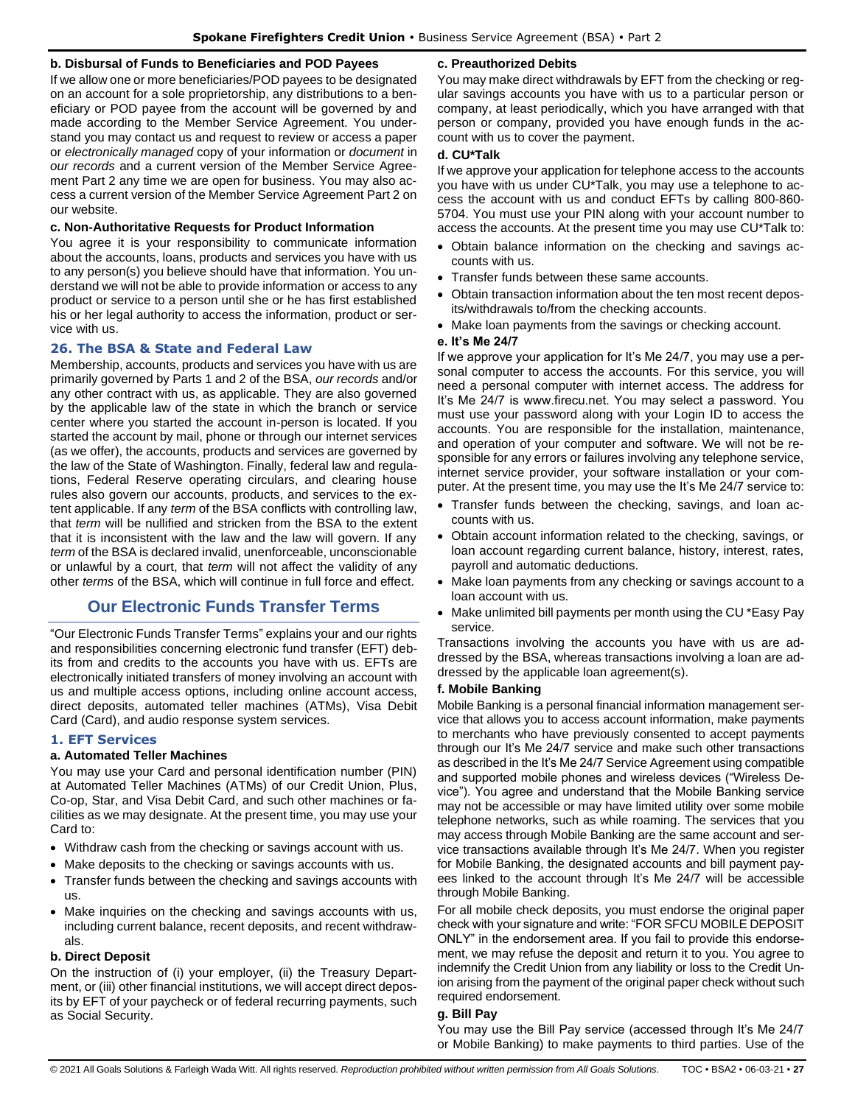#### **b. Disbursal of Funds to Beneficiaries and POD Payees**

If we allow one or more beneficiaries/POD payees to be designated on an account for a sole proprietorship, any distributions to a beneficiary or POD payee from the account will be governed by and made according to the Member Service Agreement. You understand you may contact us and request to review or access a paper or *electronically managed* copy of your information or *document* in *our records* and a current version of the Member Service Agreement Part 2 any time we are open for business. You may also access a current version of the Member Service Agreement Part 2 on our website.

#### **c. Non-Authoritative Requests for Product Information**

You agree it is your responsibility to communicate information about the accounts, loans, products and services you have with us to any person(s) you believe should have that information. You understand we will not be able to provide information or access to any product or service to a person until she or he has first established his or her legal authority to access the information, product or service with us.

## <span id="page-26-0"></span>**26. The BSA & State and Federal Law**

Membership, accounts, products and services you have with us are primarily governed by Parts 1 and 2 of the BSA, *our records* and/or any other contract with us, as applicable. They are also governed by the applicable law of the state in which the branch or service center where you started the account in-person is located. If you started the account by mail, phone or through our internet services (as we offer), the accounts, products and services are governed by the law of the State of Washington. Finally, federal law and regulations, Federal Reserve operating circulars, and clearing house rules also govern our accounts, products, and services to the extent applicable. If any *term* of the BSA conflicts with controlling law, that *term* will be nullified and stricken from the BSA to the extent that it is inconsistent with the law and the law will govern. If any *term* of the BSA is declared invalid, unenforceable, unconscionable or unlawful by a court, that *term* will not affect the validity of any other *terms* of the BSA, which will continue in full force and effect.

# **Our Electronic Funds Transfer Terms**

<span id="page-26-1"></span>"Our Electronic Funds Transfer Terms" explains your and our rights and responsibilities concerning electronic fund transfer (EFT) debits from and credits to the accounts you have with us. EFTs are electronically initiated transfers of money involving an account with us and multiple access options, including online account access, direct deposits, automated teller machines (ATMs), Visa Debit Card (Card), and audio response system services.

#### <span id="page-26-2"></span>**1. EFT Services**

#### **a. Automated Teller Machines**

You may use your Card and personal identification number (PIN) at Automated Teller Machines (ATMs) of our Credit Union, Plus, Co-op, Star, and Visa Debit Card, and such other machines or facilities as we may designate. At the present time, you may use your Card to:

- Withdraw cash from the checking or savings account with us.
- Make deposits to the checking or savings accounts with us.
- Transfer funds between the checking and savings accounts with us.
- Make inquiries on the checking and savings accounts with us, including current balance, recent deposits, and recent withdrawals.

#### **b. Direct Deposit**

On the instruction of (i) your employer, (ii) the Treasury Department, or (iii) other financial institutions, we will accept direct deposits by EFT of your paycheck or of federal recurring payments, such as Social Security.

#### **c. Preauthorized Debits**

You may make direct withdrawals by EFT from the checking or regular savings accounts you have with us to a particular person or company, at least periodically, which you have arranged with that person or company, provided you have enough funds in the account with us to cover the payment.

#### **d. CU\*Talk**

If we approve your application for telephone access to the accounts you have with us under CU\*Talk, you may use a telephone to access the account with us and conduct EFTs by calling 800-860- 5704. You must use your PIN along with your account number to access the accounts. At the present time you may use CU\*Talk to:

- Obtain balance information on the checking and savings accounts with us.
- Transfer funds between these same accounts.
- Obtain transaction information about the ten most recent deposits/withdrawals to/from the checking accounts.
- Make loan payments from the savings or checking account.

#### **e. It's Me 24/7**

If we approve your application for It's Me 24/7, you may use a personal computer to access the accounts. For this service, you will need a personal computer with internet access. The address for It's Me 24/7 is www.firecu.net. You may select a password. You must use your password along with your Login ID to access the accounts. You are responsible for the installation, maintenance, and operation of your computer and software. We will not be responsible for any errors or failures involving any telephone service, internet service provider, your software installation or your computer. At the present time, you may use the It's Me 24/7 service to:

- Transfer funds between the checking, savings, and loan accounts with us.
- Obtain account information related to the checking, savings, or loan account regarding current balance, history, interest, rates, payroll and automatic deductions.
- Make loan payments from any checking or savings account to a loan account with us.
- Make unlimited bill payments per month using the CU \*Easy Pay service.

Transactions involving the accounts you have with us are addressed by the BSA, whereas transactions involving a loan are addressed by the applicable loan agreement(s).

#### **f. Mobile Banking**

Mobile Banking is a personal financial information management service that allows you to access account information, make payments to merchants who have previously consented to accept payments through our It's Me 24/7 service and make such other transactions as described in the It's Me 24/7 Service Agreement using compatible and supported mobile phones and wireless devices ("Wireless Device"). You agree and understand that the Mobile Banking service may not be accessible or may have limited utility over some mobile telephone networks, such as while roaming. The services that you may access through Mobile Banking are the same account and service transactions available through It's Me 24/7. When you register for Mobile Banking, the designated accounts and bill payment payees linked to the account through It's Me 24/7 will be accessible through Mobile Banking.

For all mobile check deposits, you must endorse the original paper check with your signature and write: "FOR SFCU MOBILE DEPOSIT ONLY" in the endorsement area. If you fail to provide this endorsement, we may refuse the deposit and return it to you. You agree to indemnify the Credit Union from any liability or loss to the Credit Union arising from the payment of the original paper check without such required endorsement.

## **g. Bill Pay**

You may use the Bill Pay service (accessed through It's Me 24/7 or Mobile Banking) to make payments to third parties. Use of the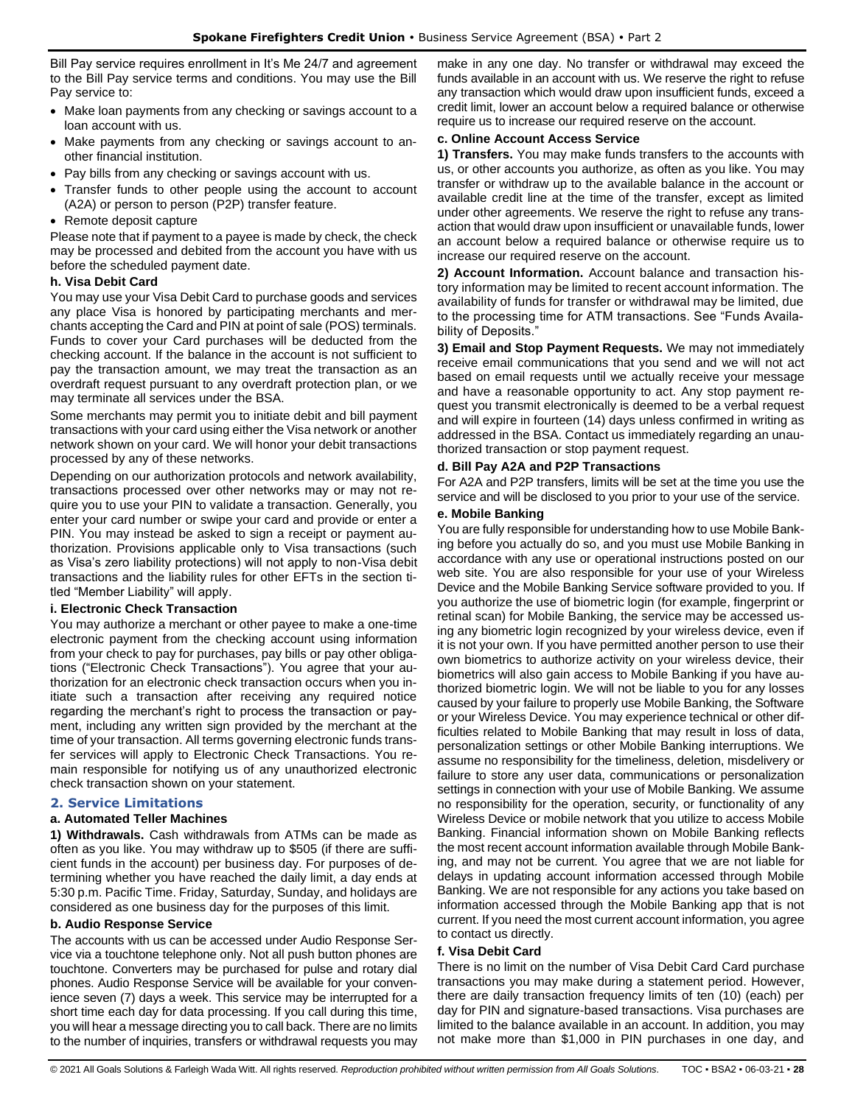Bill Pay service requires enrollment in It's Me 24/7 and agreement to the Bill Pay service terms and conditions. You may use the Bill Pay service to:

- Make loan payments from any checking or savings account to a loan account with us.
- Make payments from any checking or savings account to another financial institution.
- Pay bills from any checking or savings account with us.
- Transfer funds to other people using the account to account (A2A) or person to person (P2P) transfer feature.
- Remote deposit capture

Please note that if payment to a payee is made by check, the check may be processed and debited from the account you have with us before the scheduled payment date.

#### **h. Visa Debit Card**

You may use your Visa Debit Card to purchase goods and services any place Visa is honored by participating merchants and merchants accepting the Card and PIN at point of sale (POS) terminals. Funds to cover your Card purchases will be deducted from the checking account. If the balance in the account is not sufficient to pay the transaction amount, we may treat the transaction as an overdraft request pursuant to any overdraft protection plan, or we may terminate all services under the BSA.

Some merchants may permit you to initiate debit and bill payment transactions with your card using either the Visa network or another network shown on your card. We will honor your debit transactions processed by any of these networks.

Depending on our authorization protocols and network availability, transactions processed over other networks may or may not require you to use your PIN to validate a transaction. Generally, you enter your card number or swipe your card and provide or enter a PIN. You may instead be asked to sign a receipt or payment authorization. Provisions applicable only to Visa transactions (such as Visa's zero liability protections) will not apply to non-Visa debit transactions and the liability rules for other EFTs in the section titled "Member Liability" will apply.

## **i. Electronic Check Transaction**

You may authorize a merchant or other payee to make a one-time electronic payment from the checking account using information from your check to pay for purchases, pay bills or pay other obligations ("Electronic Check Transactions"). You agree that your authorization for an electronic check transaction occurs when you initiate such a transaction after receiving any required notice regarding the merchant's right to process the transaction or payment, including any written sign provided by the merchant at the time of your transaction. All terms governing electronic funds transfer services will apply to Electronic Check Transactions. You remain responsible for notifying us of any unauthorized electronic check transaction shown on your statement.

## <span id="page-27-0"></span>**2. Service Limitations**

## **a. Automated Teller Machines**

**1) Withdrawals.** Cash withdrawals from ATMs can be made as often as you like. You may withdraw up to \$505 (if there are sufficient funds in the account) per business day. For purposes of determining whether you have reached the daily limit, a day ends at 5:30 p.m. Pacific Time. Friday, Saturday, Sunday, and holidays are considered as one business day for the purposes of this limit.

## **b. Audio Response Service**

The accounts with us can be accessed under Audio Response Service via a touchtone telephone only. Not all push button phones are touchtone. Converters may be purchased for pulse and rotary dial phones. Audio Response Service will be available for your convenience seven (7) days a week. This service may be interrupted for a short time each day for data processing. If you call during this time, you will hear a message directing you to call back. There are no limits to the number of inquiries, transfers or withdrawal requests you may make in any one day. No transfer or withdrawal may exceed the funds available in an account with us. We reserve the right to refuse any transaction which would draw upon insufficient funds, exceed a credit limit, lower an account below a required balance or otherwise require us to increase our required reserve on the account.

#### **c. Online Account Access Service**

**1) Transfers.** You may make funds transfers to the accounts with us, or other accounts you authorize, as often as you like. You may transfer or withdraw up to the available balance in the account or available credit line at the time of the transfer, except as limited under other agreements. We reserve the right to refuse any transaction that would draw upon insufficient or unavailable funds, lower an account below a required balance or otherwise require us to increase our required reserve on the account.

**2) Account Information.** Account balance and transaction history information may be limited to recent account information. The availability of funds for transfer or withdrawal may be limited, due to the processing time for ATM transactions. See "Funds Availability of Deposits."

**3) Email and Stop Payment Requests.** We may not immediately receive email communications that you send and we will not act based on email requests until we actually receive your message and have a reasonable opportunity to act. Any stop payment request you transmit electronically is deemed to be a verbal request and will expire in fourteen (14) days unless confirmed in writing as addressed in the BSA. Contact us immediately regarding an unauthorized transaction or stop payment request.

#### **d. Bill Pay A2A and P2P Transactions**

For A2A and P2P transfers, limits will be set at the time you use the service and will be disclosed to you prior to your use of the service.

#### **e. Mobile Banking**

You are fully responsible for understanding how to use Mobile Banking before you actually do so, and you must use Mobile Banking in accordance with any use or operational instructions posted on our web site. You are also responsible for your use of your Wireless Device and the Mobile Banking Service software provided to you. If you authorize the use of biometric login (for example, fingerprint or retinal scan) for Mobile Banking, the service may be accessed using any biometric login recognized by your wireless device, even if it is not your own. If you have permitted another person to use their own biometrics to authorize activity on your wireless device, their biometrics will also gain access to Mobile Banking if you have authorized biometric login. We will not be liable to you for any losses caused by your failure to properly use Mobile Banking, the Software or your Wireless Device. You may experience technical or other difficulties related to Mobile Banking that may result in loss of data, personalization settings or other Mobile Banking interruptions. We assume no responsibility for the timeliness, deletion, misdelivery or failure to store any user data, communications or personalization settings in connection with your use of Mobile Banking. We assume no responsibility for the operation, security, or functionality of any Wireless Device or mobile network that you utilize to access Mobile Banking. Financial information shown on Mobile Banking reflects the most recent account information available through Mobile Banking, and may not be current. You agree that we are not liable for delays in updating account information accessed through Mobile Banking. We are not responsible for any actions you take based on information accessed through the Mobile Banking app that is not current. If you need the most current account information, you agree to contact us directly.

## **f. Visa Debit Card**

There is no limit on the number of Visa Debit Card Card purchase transactions you may make during a statement period. However, there are daily transaction frequency limits of ten (10) (each) per day for PIN and signature-based transactions. Visa purchases are limited to the balance available in an account. In addition, you may not make more than \$1,000 in PIN purchases in one day, and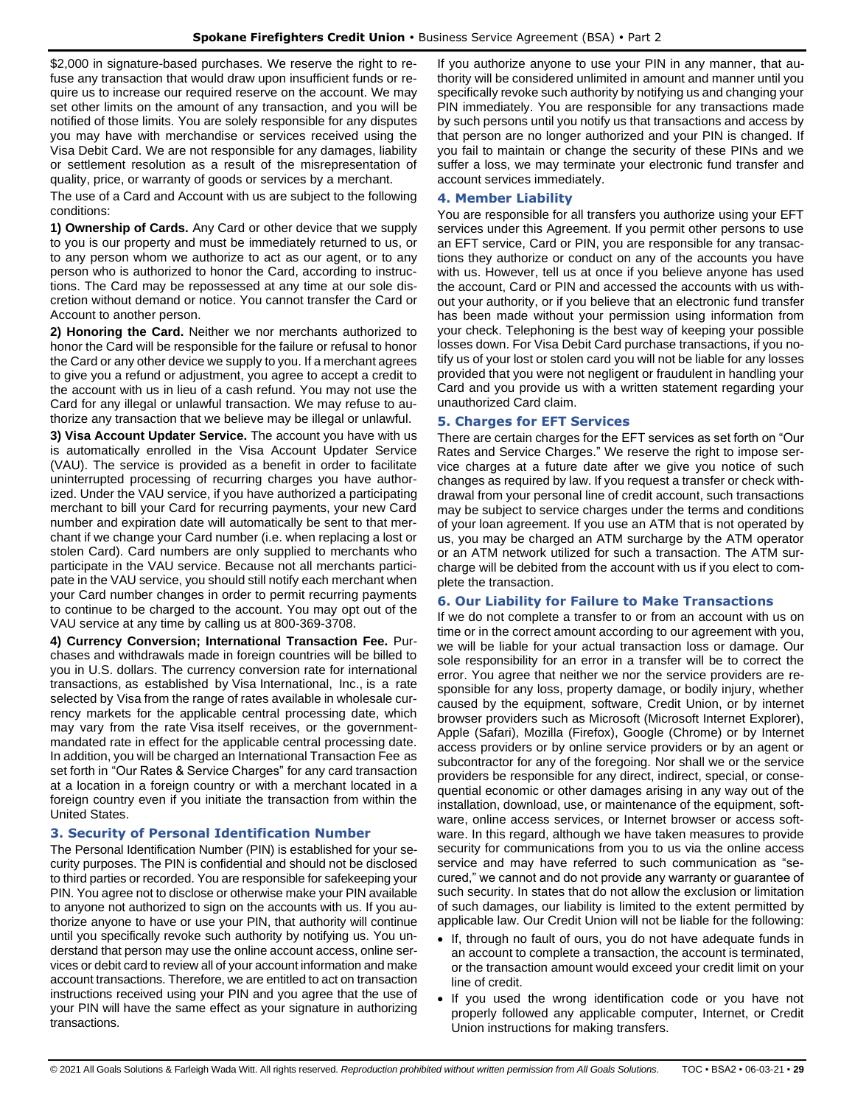\$2,000 in signature-based purchases. We reserve the right to refuse any transaction that would draw upon insufficient funds or require us to increase our required reserve on the account. We may set other limits on the amount of any transaction, and you will be notified of those limits. You are solely responsible for any disputes you may have with merchandise or services received using the Visa Debit Card. We are not responsible for any damages, liability or settlement resolution as a result of the misrepresentation of quality, price, or warranty of goods or services by a merchant.

The use of a Card and Account with us are subject to the following conditions:

**1) Ownership of Cards.** Any Card or other device that we supply to you is our property and must be immediately returned to us, or to any person whom we authorize to act as our agent, or to any person who is authorized to honor the Card, according to instructions. The Card may be repossessed at any time at our sole discretion without demand or notice. You cannot transfer the Card or Account to another person.

**2) Honoring the Card.** Neither we nor merchants authorized to honor the Card will be responsible for the failure or refusal to honor the Card or any other device we supply to you. If a merchant agrees to give you a refund or adjustment, you agree to accept a credit to the account with us in lieu of a cash refund. You may not use the Card for any illegal or unlawful transaction. We may refuse to authorize any transaction that we believe may be illegal or unlawful.

**3) Visa Account Updater Service.** The account you have with us is automatically enrolled in the Visa Account Updater Service (VAU). The service is provided as a benefit in order to facilitate uninterrupted processing of recurring charges you have authorized. Under the VAU service, if you have authorized a participating merchant to bill your Card for recurring payments, your new Card number and expiration date will automatically be sent to that merchant if we change your Card number (i.e. when replacing a lost or stolen Card). Card numbers are only supplied to merchants who participate in the VAU service. Because not all merchants participate in the VAU service, you should still notify each merchant when your Card number changes in order to permit recurring payments to continue to be charged to the account. You may opt out of the VAU service at any time by calling us at 800-369-3708.

**4) Currency Conversion; International Transaction Fee.** Purchases and withdrawals made in foreign countries will be billed to you in U.S. dollars. The currency conversion rate for international transactions, as established by Visa International, Inc., is a rate selected by Visa from the range of rates available in wholesale currency markets for the applicable central processing date, which may vary from the rate Visa itself receives, or the governmentmandated rate in effect for the applicable central processing date. In addition, you will be charged an International Transaction Fee as set forth in "Our Rates & Service Charges" for any card transaction at a location in a foreign country or with a merchant located in a foreign country even if you initiate the transaction from within the United States.

## <span id="page-28-0"></span>**3. Security of Personal Identification Number**

The Personal Identification Number (PIN) is established for your security purposes. The PIN is confidential and should not be disclosed to third parties or recorded. You are responsible for safekeeping your PIN. You agree not to disclose or otherwise make your PIN available to anyone not authorized to sign on the accounts with us. If you authorize anyone to have or use your PIN, that authority will continue until you specifically revoke such authority by notifying us. You understand that person may use the online account access, online services or debit card to review all of your account information and make account transactions. Therefore, we are entitled to act on transaction instructions received using your PIN and you agree that the use of your PIN will have the same effect as your signature in authorizing transactions.

If you authorize anyone to use your PIN in any manner, that authority will be considered unlimited in amount and manner until you specifically revoke such authority by notifying us and changing your PIN immediately. You are responsible for any transactions made by such persons until you notify us that transactions and access by that person are no longer authorized and your PIN is changed. If you fail to maintain or change the security of these PINs and we suffer a loss, we may terminate your electronic fund transfer and account services immediately.

## <span id="page-28-1"></span>**4. Member Liability**

You are responsible for all transfers you authorize using your EFT services under this Agreement. If you permit other persons to use an EFT service, Card or PIN, you are responsible for any transactions they authorize or conduct on any of the accounts you have with us. However, tell us at once if you believe anyone has used the account, Card or PIN and accessed the accounts with us without your authority, or if you believe that an electronic fund transfer has been made without your permission using information from your check. Telephoning is the best way of keeping your possible losses down. For Visa Debit Card purchase transactions, if you notify us of your lost or stolen card you will not be liable for any losses provided that you were not negligent or fraudulent in handling your Card and you provide us with a written statement regarding your unauthorized Card claim.

## <span id="page-28-2"></span>**5. Charges for EFT Services**

There are certain charges for the EFT services as set forth on "Our Rates and Service Charges." We reserve the right to impose service charges at a future date after we give you notice of such changes as required by law. If you request a transfer or check withdrawal from your personal line of credit account, such transactions may be subject to service charges under the terms and conditions of your loan agreement. If you use an ATM that is not operated by us, you may be charged an ATM surcharge by the ATM operator or an ATM network utilized for such a transaction. The ATM surcharge will be debited from the account with us if you elect to complete the transaction.

## <span id="page-28-3"></span>**6. Our Liability for Failure to Make Transactions**

If we do not complete a transfer to or from an account with us on time or in the correct amount according to our agreement with you, we will be liable for your actual transaction loss or damage. Our sole responsibility for an error in a transfer will be to correct the error. You agree that neither we nor the service providers are responsible for any loss, property damage, or bodily injury, whether caused by the equipment, software, Credit Union, or by internet browser providers such as Microsoft (Microsoft Internet Explorer), Apple (Safari), Mozilla (Firefox), Google (Chrome) or by Internet access providers or by online service providers or by an agent or subcontractor for any of the foregoing. Nor shall we or the service providers be responsible for any direct, indirect, special, or consequential economic or other damages arising in any way out of the installation, download, use, or maintenance of the equipment, software, online access services, or Internet browser or access software. In this regard, although we have taken measures to provide security for communications from you to us via the online access service and may have referred to such communication as "secured," we cannot and do not provide any warranty or guarantee of such security. In states that do not allow the exclusion or limitation of such damages, our liability is limited to the extent permitted by applicable law. Our Credit Union will not be liable for the following:

- If, through no fault of ours, you do not have adequate funds in an account to complete a transaction, the account is terminated, or the transaction amount would exceed your credit limit on your line of credit.
- If you used the wrong identification code or you have not properly followed any applicable computer, Internet, or Credit Union instructions for making transfers.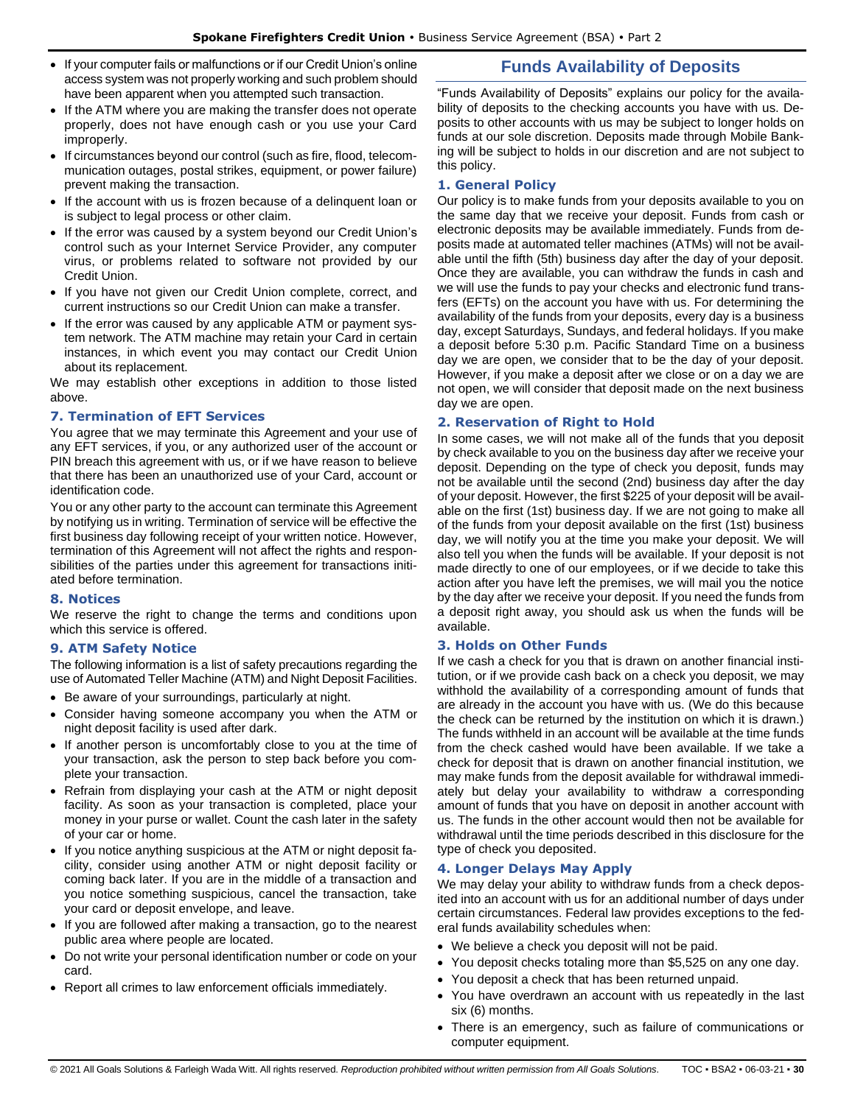• If your computer fails or malfunctions or if our Credit Union's online access system was not properly working and such problem should have been apparent when you attempted such transaction.

# **Funds Availability of Deposits**

- If the ATM where you are making the transfer does not operate properly, does not have enough cash or you use your Card improperly.
- If circumstances beyond our control (such as fire, flood, telecommunication outages, postal strikes, equipment, or power failure) prevent making the transaction.
- If the account with us is frozen because of a delinquent loan or is subject to legal process or other claim.
- If the error was caused by a system beyond our Credit Union's control such as your Internet Service Provider, any computer virus, or problems related to software not provided by our Credit Union.
- If you have not given our Credit Union complete, correct, and current instructions so our Credit Union can make a transfer.
- If the error was caused by any applicable ATM or payment system network. The ATM machine may retain your Card in certain instances, in which event you may contact our Credit Union about its replacement.

We may establish other exceptions in addition to those listed above.

#### <span id="page-29-0"></span>**7. Termination of EFT Services**

You agree that we may terminate this Agreement and your use of any EFT services, if you, or any authorized user of the account or PIN breach this agreement with us, or if we have reason to believe that there has been an unauthorized use of your Card, account or identification code.

You or any other party to the account can terminate this Agreement by notifying us in writing. Termination of service will be effective the first business day following receipt of your written notice. However, termination of this Agreement will not affect the rights and responsibilities of the parties under this agreement for transactions initiated before termination.

#### <span id="page-29-1"></span>**8. Notices**

We reserve the right to change the terms and conditions upon which this service is offered.

## <span id="page-29-2"></span>**9. ATM Safety Notice**

The following information is a list of safety precautions regarding the use of Automated Teller Machine (ATM) and Night Deposit Facilities.

- Be aware of your surroundings, particularly at night.
- Consider having someone accompany you when the ATM or night deposit facility is used after dark.
- If another person is uncomfortably close to you at the time of your transaction, ask the person to step back before you complete your transaction.
- Refrain from displaying your cash at the ATM or night deposit facility. As soon as your transaction is completed, place your money in your purse or wallet. Count the cash later in the safety of your car or home.
- If you notice anything suspicious at the ATM or night deposit facility, consider using another ATM or night deposit facility or coming back later. If you are in the middle of a transaction and you notice something suspicious, cancel the transaction, take your card or deposit envelope, and leave.
- If you are followed after making a transaction, go to the nearest public area where people are located.
- Do not write your personal identification number or code on your card.
- Report all crimes to law enforcement officials immediately.

<span id="page-29-3"></span>"Funds Availability of Deposits" explains our policy for the availability of deposits to the checking accounts you have with us. Deposits to other accounts with us may be subject to longer holds on funds at our sole discretion. Deposits made through Mobile Banking will be subject to holds in our discretion and are not subject to this policy.

## <span id="page-29-4"></span>**1. General Policy**

Our policy is to make funds from your deposits available to you on the same day that we receive your deposit. Funds from cash or electronic deposits may be available immediately. Funds from deposits made at automated teller machines (ATMs) will not be available until the fifth (5th) business day after the day of your deposit. Once they are available, you can withdraw the funds in cash and we will use the funds to pay your checks and electronic fund transfers (EFTs) on the account you have with us. For determining the availability of the funds from your deposits, every day is a business day, except Saturdays, Sundays, and federal holidays. If you make a deposit before 5:30 p.m. Pacific Standard Time on a business day we are open, we consider that to be the day of your deposit. However, if you make a deposit after we close or on a day we are not open, we will consider that deposit made on the next business day we are open.

## <span id="page-29-5"></span>**2. Reservation of Right to Hold**

In some cases, we will not make all of the funds that you deposit by check available to you on the business day after we receive your deposit. Depending on the type of check you deposit, funds may not be available until the second (2nd) business day after the day of your deposit. However, the first \$225 of your deposit will be available on the first (1st) business day. If we are not going to make all of the funds from your deposit available on the first (1st) business day, we will notify you at the time you make your deposit. We will also tell you when the funds will be available. If your deposit is not made directly to one of our employees, or if we decide to take this action after you have left the premises, we will mail you the notice by the day after we receive your deposit. If you need the funds from a deposit right away, you should ask us when the funds will be available.

## <span id="page-29-6"></span>**3. Holds on Other Funds**

If we cash a check for you that is drawn on another financial institution, or if we provide cash back on a check you deposit, we may withhold the availability of a corresponding amount of funds that are already in the account you have with us. (We do this because the check can be returned by the institution on which it is drawn.) The funds withheld in an account will be available at the time funds from the check cashed would have been available. If we take a check for deposit that is drawn on another financial institution, we may make funds from the deposit available for withdrawal immediately but delay your availability to withdraw a corresponding amount of funds that you have on deposit in another account with us. The funds in the other account would then not be available for withdrawal until the time periods described in this disclosure for the type of check you deposited.

## <span id="page-29-7"></span>**4. Longer Delays May Apply**

We may delay your ability to withdraw funds from a check deposited into an account with us for an additional number of days under certain circumstances. Federal law provides exceptions to the federal funds availability schedules when:

- We believe a check you deposit will not be paid.
- You deposit checks totaling more than \$5,525 on any one day.
- You deposit a check that has been returned unpaid.
- You have overdrawn an account with us repeatedly in the last six (6) months.
- There is an emergency, such as failure of communications or computer equipment.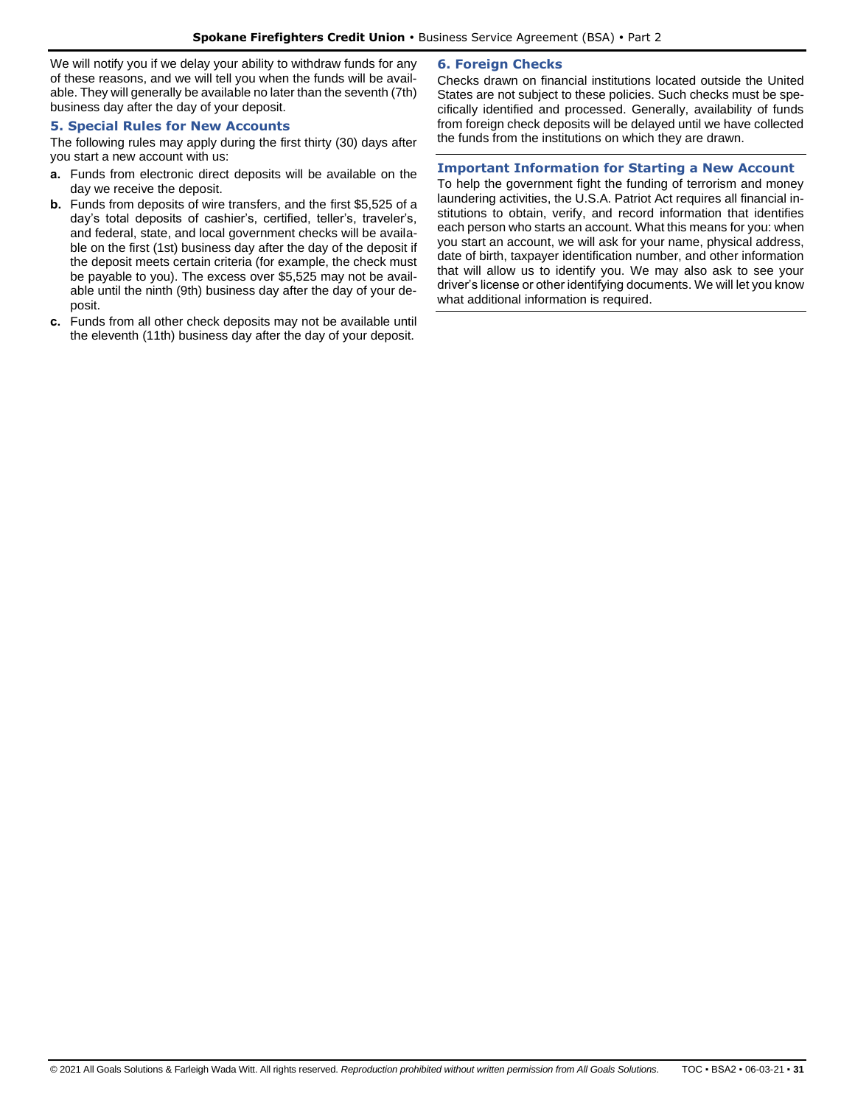We will notify you if we delay your ability to withdraw funds for any of these reasons, and we will tell you when the funds will be available. They will generally be available no later than the seventh (7th) business day after the day of your deposit.

## <span id="page-30-0"></span>**5. Special Rules for New Accounts**

The following rules may apply during the first thirty (30) days after you start a new account with us:

- **a.** Funds from electronic direct deposits will be available on the day we receive the deposit.
- **b.** Funds from deposits of wire transfers, and the first \$5,525 of a day's total deposits of cashier's, certified, teller's, traveler's, and federal, state, and local government checks will be available on the first (1st) business day after the day of the deposit if the deposit meets certain criteria (for example, the check must be payable to you). The excess over \$5,525 may not be available until the ninth (9th) business day after the day of your deposit.
- <span id="page-30-1"></span>**c.** Funds from all other check deposits may not be available until the eleventh (11th) business day after the day of your deposit.

## **6. Foreign Checks**

Checks drawn on financial institutions located outside the United States are not subject to these policies. Such checks must be specifically identified and processed. Generally, availability of funds from foreign check deposits will be delayed until we have collected the funds from the institutions on which they are drawn.

## <span id="page-30-2"></span>**Important Information for Starting a New Account**

To help the government fight the funding of terrorism and money laundering activities, the U.S.A. Patriot Act requires all financial institutions to obtain, verify, and record information that identifies each person who starts an account. What this means for you: when you start an account, we will ask for your name, physical address, date of birth, taxpayer identification number, and other information that will allow us to identify you. We may also ask to see your driver's license or other identifying documents. We will let you know what additional information is required.